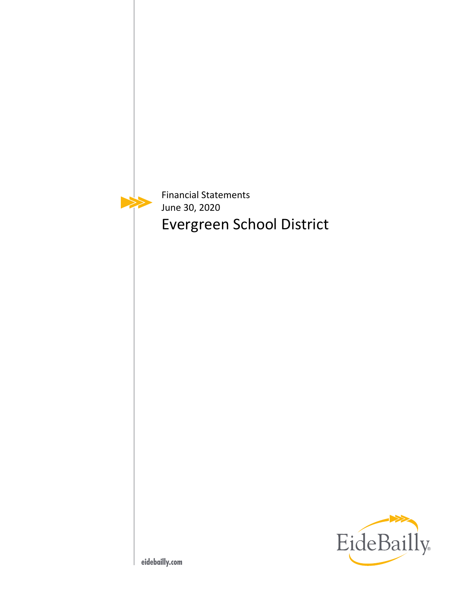$\blacktriangleright$ 

Financial Statements June 30, 2020 Evergreen School District

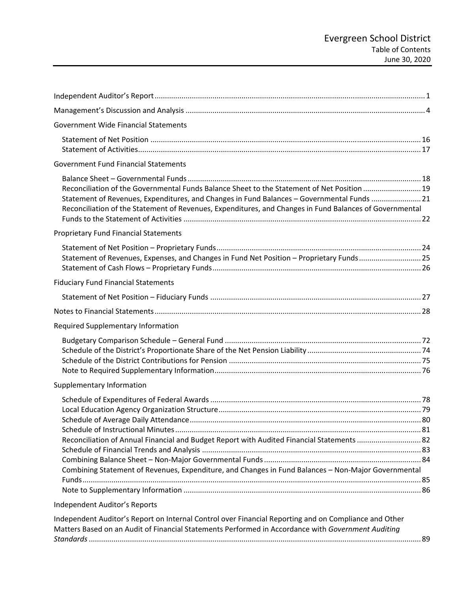| <b>Government Wide Financial Statements</b>                                                                                                                                                                                                                                                         |  |
|-----------------------------------------------------------------------------------------------------------------------------------------------------------------------------------------------------------------------------------------------------------------------------------------------------|--|
|                                                                                                                                                                                                                                                                                                     |  |
| <b>Government Fund Financial Statements</b>                                                                                                                                                                                                                                                         |  |
| Reconciliation of the Governmental Funds Balance Sheet to the Statement of Net Position  19<br>Statement of Revenues, Expenditures, and Changes in Fund Balances - Governmental Funds 21<br>Reconciliation of the Statement of Revenues, Expenditures, and Changes in Fund Balances of Governmental |  |
| <b>Proprietary Fund Financial Statements</b>                                                                                                                                                                                                                                                        |  |
| Statement of Revenues, Expenses, and Changes in Fund Net Position - Proprietary Funds 25                                                                                                                                                                                                            |  |
| <b>Fiduciary Fund Financial Statements</b>                                                                                                                                                                                                                                                          |  |
|                                                                                                                                                                                                                                                                                                     |  |
|                                                                                                                                                                                                                                                                                                     |  |
| Required Supplementary Information                                                                                                                                                                                                                                                                  |  |
|                                                                                                                                                                                                                                                                                                     |  |
| Supplementary Information                                                                                                                                                                                                                                                                           |  |
| Reconciliation of Annual Financial and Budget Report with Audited Financial Statements  82<br>Combining Statement of Revenues, Expenditure, and Changes in Fund Balances - Non-Major Governmental                                                                                                   |  |
| Independent Auditor's Reports                                                                                                                                                                                                                                                                       |  |
|                                                                                                                                                                                                                                                                                                     |  |

| Independent Auditor's Report on Internal Control over Financial Reporting and on Compliance and Other |  |
|-------------------------------------------------------------------------------------------------------|--|
| Matters Based on an Audit of Financial Statements Performed in Accordance with Government Auditing    |  |
|                                                                                                       |  |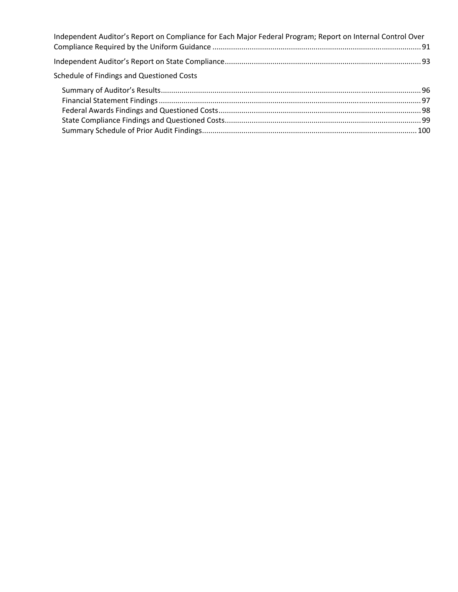| Independent Auditor's Report on Compliance for Each Major Federal Program; Report on Internal Control Over |  |
|------------------------------------------------------------------------------------------------------------|--|
|                                                                                                            |  |
| Schedule of Findings and Questioned Costs                                                                  |  |
|                                                                                                            |  |
|                                                                                                            |  |
|                                                                                                            |  |
|                                                                                                            |  |
|                                                                                                            |  |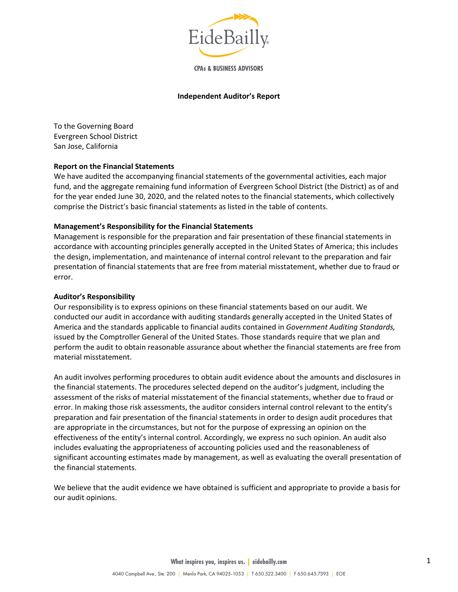

**CPAs & BUSINESS ADVISORS** 

#### **Independent Auditor's Report**

To the Governing Board Evergreen School District San Jose, California

## **Report on the Financial Statements**

We have audited the accompanying financial statements of the governmental activities, each major fund, and the aggregate remaining fund information of Evergreen School District (the District) as of and for the year ended June 30, 2020, and the related notes to the financial statements, which collectively comprise the District's basic financial statements as listed in the table of contents.

#### **Management's Responsibility for the Financial Statements**

Management is responsible for the preparation and fair presentation of these financial statements in accordance with accounting principles generally accepted in the United States of America; this includes the design, implementation, and maintenance of internal control relevant to the preparation and fair presentation of financial statements that are free from material misstatement, whether due to fraud or error.

#### **Auditor's Responsibility**

Our responsibility is to express opinions on these financial statements based on our audit. We conducted our audit in accordance with auditing standards generally accepted in the United States of America and the standards applicable to financial audits contained in *Government Auditing Standards,*  issued by the Comptroller General of the United States. Those standards require that we plan and perform the audit to obtain reasonable assurance about whether the financial statements are free from material misstatement.

An audit involves performing procedures to obtain audit evidence about the amounts and disclosures in the financial statements. The procedures selected depend on the auditor's judgment, including the assessment of the risks of material misstatement of the financial statements, whether due to fraud or error. In making those risk assessments, the auditor considers internal control relevant to the entity's preparation and fair presentation of the financial statements in order to design audit procedures that are appropriate in the circumstances, but not for the purpose of expressing an opinion on the effectiveness of the entity's internal control. Accordingly, we express no such opinion. An audit also includes evaluating the appropriateness of accounting policies used and the reasonableness of significant accounting estimates made by management, as well as evaluating the overall presentation of the financial statements.

We believe that the audit evidence we have obtained is sufficient and appropriate to provide a basis for our audit opinions.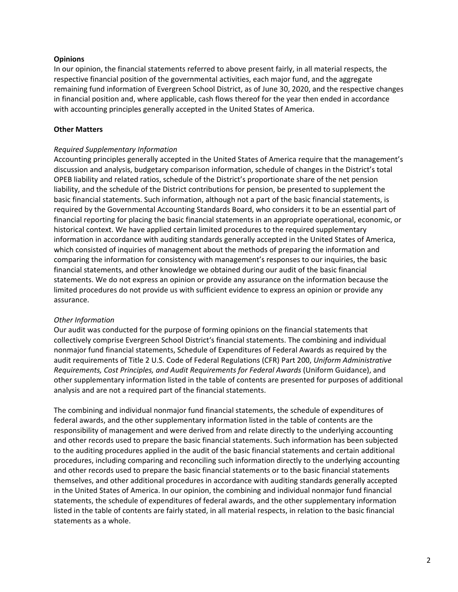## **Opinions**

In our opinion, the financial statements referred to above present fairly, in all material respects, the respective financial position of the governmental activities, each major fund, and the aggregate remaining fund information of Evergreen School District, as of June 30, 2020, and the respective changes in financial position and, where applicable, cash flows thereof for the year then ended in accordance with accounting principles generally accepted in the United States of America.

#### **Other Matters**

#### *Required Supplementary Information*

Accounting principles generally accepted in the United States of America require that the management's discussion and analysis, budgetary comparison information, schedule of changes in the District's total OPEB liability and related ratios, schedule of the District's proportionate share of the net pension liability, and the schedule of the District contributions for pension, be presented to supplement the basic financial statements. Such information, although not a part of the basic financial statements, is required by the Governmental Accounting Standards Board, who considers it to be an essential part of financial reporting for placing the basic financial statements in an appropriate operational, economic, or historical context. We have applied certain limited procedures to the required supplementary information in accordance with auditing standards generally accepted in the United States of America, which consisted of inquiries of management about the methods of preparing the information and comparing the information for consistency with management's responses to our inquiries, the basic financial statements, and other knowledge we obtained during our audit of the basic financial statements. We do not express an opinion or provide any assurance on the information because the limited procedures do not provide us with sufficient evidence to express an opinion or provide any assurance.

## *Other Information*

Our audit was conducted for the purpose of forming opinions on the financial statements that collectively comprise Evergreen School District's financial statements. The combining and individual nonmajor fund financial statements, Schedule of Expenditures of Federal Awards as required by the audit requirements of Title 2 U.S. Code of Federal Regulations (CFR) Part 200, *Uniform Administrative Requirements, Cost Principles, and Audit Requirements for Federal Awards* (Uniform Guidance), and other supplementary information listed in the table of contents are presented for purposes of additional analysis and are not a required part of the financial statements.

The combining and individual nonmajor fund financial statements, the schedule of expenditures of federal awards, and the other supplementary information listed in the table of contents are the responsibility of management and were derived from and relate directly to the underlying accounting and other records used to prepare the basic financial statements. Such information has been subjected to the auditing procedures applied in the audit of the basic financial statements and certain additional procedures, including comparing and reconciling such information directly to the underlying accounting and other records used to prepare the basic financial statements or to the basic financial statements themselves, and other additional procedures in accordance with auditing standards generally accepted in the United States of America. In our opinion, the combining and individual nonmajor fund financial statements, the schedule of expenditures of federal awards, and the other supplementary information listed in the table of contents are fairly stated, in all material respects, in relation to the basic financial statements as a whole.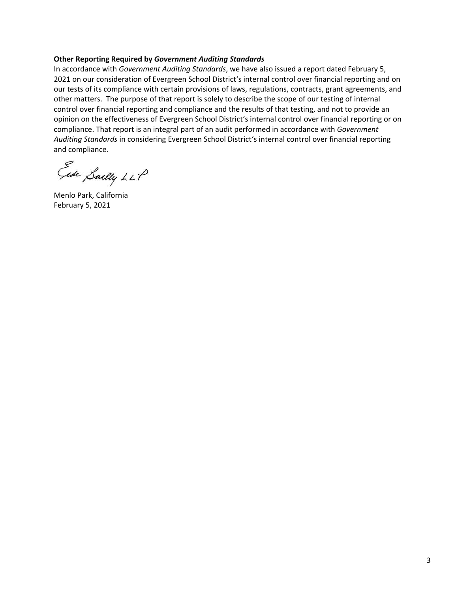#### **Other Reporting Required by** *Government Auditing Standards*

In accordance with *Government Auditing Standards*, we have also issued a report dated February 5, 2021 on our consideration of Evergreen School District's internal control over financial reporting and on our tests of its compliance with certain provisions of laws, regulations, contracts, grant agreements, and other matters. The purpose of that report is solely to describe the scope of our testing of internal control over financial reporting and compliance and the results of that testing, and not to provide an opinion on the effectiveness of Evergreen School District's internal control over financial reporting or on compliance. That report is an integral part of an audit performed in accordance with *Government Auditing Standards* in considering Evergreen School District's internal control over financial reporting and compliance.

Ede Sailly LLP

Menlo Park, California February 5, 2021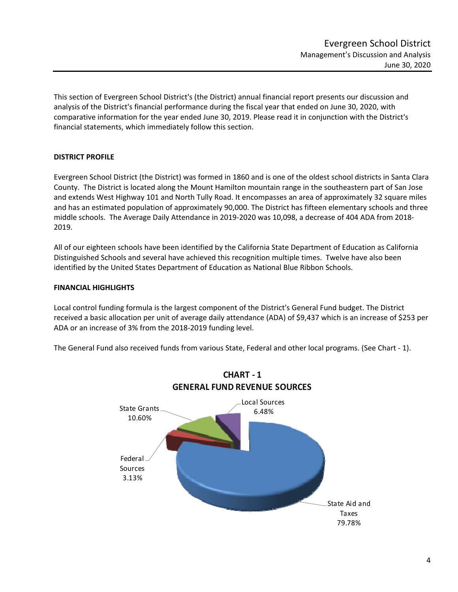This section of Evergreen School District's (the District) annual financial report presents our discussion and analysis of the District's financial performance during the fiscal year that ended on June 30, 2020, with comparative information for the year ended June 30, 2019. Please read it in conjunction with the District's financial statements, which immediately follow this section.

## **DISTRICT PROFILE**

Evergreen School District (the District) was formed in 1860 and is one of the oldest school districts in Santa Clara County. The District is located along the Mount Hamilton mountain range in the southeastern part of San Jose and extends West Highway 101 and North Tully Road. It encompasses an area of approximately 32 square miles and has an estimated population of approximately 90,000. The District has fifteen elementary schools and three middle schools. The Average Daily Attendance in 2019-2020 was 10,098, a decrease of 404 ADA from 2018-2019.

All of our eighteen schools have been identified by the California State Department of Education as California Distinguished Schools and several have achieved this recognition multiple times. Twelve have also been identified by the United States Department of Education as National Blue Ribbon Schools.

## **FINANCIAL HIGHLIGHTS**

Local control funding formula is the largest component of the District's General Fund budget. The District received a basic allocation per unit of average daily attendance (ADA) of \$9,437 which is an increase of \$253 per ADA or an increase of 3% from the 2018‐2019 funding level.

The General Fund also received funds from various State, Federal and other local programs. (See Chart ‐ 1).



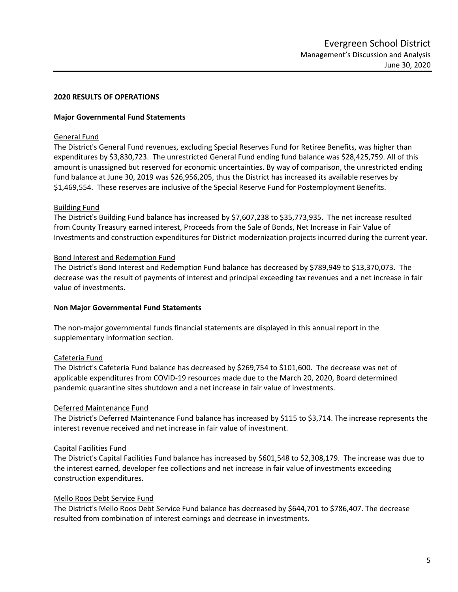#### **2020 RESULTS OF OPERATIONS**

#### **Major Governmental Fund Statements**

#### General Fund

The District's General Fund revenues, excluding Special Reserves Fund for Retiree Benefits, was higher than expenditures by \$3,830,723. The unrestricted General Fund ending fund balance was \$28,425,759. All of this amount is unassigned but reserved for economic uncertainties. By way of comparison, the unrestricted ending fund balance at June 30, 2019 was \$26,956,205, thus the District has increased its available reserves by \$1,469,554. These reserves are inclusive of the Special Reserve Fund for Postemployment Benefits.

#### Building Fund

The District's Building Fund balance has increased by \$7,607,238 to \$35,773,935. The net increase resulted from County Treasury earned interest, Proceeds from the Sale of Bonds, Net Increase in Fair Value of Investments and construction expenditures for District modernization projects incurred during the current year.

#### Bond Interest and Redemption Fund

The District's Bond Interest and Redemption Fund balance has decreased by \$789,949 to \$13,370,073. The decrease was the result of payments of interest and principal exceeding tax revenues and a net increase in fair value of investments.

#### **Non Major Governmental Fund Statements**

The non‐major governmental funds financial statements are displayed in this annual report in the supplementary information section.

## Cafeteria Fund

The District's Cafeteria Fund balance has decreased by \$269,754 to \$101,600. The decrease was net of applicable expenditures from COVID‐19 resources made due to the March 20, 2020, Board determined pandemic quarantine sites shutdown and a net increase in fair value of investments.

#### Deferred Maintenance Fund

The District's Deferred Maintenance Fund balance has increased by \$115 to \$3,714. The increase represents the interest revenue received and net increase in fair value of investment.

## Capital Facilities Fund

The District's Capital Facilities Fund balance has increased by \$601,548 to \$2,308,179. The increase was due to the interest earned, developer fee collections and net increase in fair value of investments exceeding construction expenditures.

#### Mello Roos Debt Service Fund

The District's Mello Roos Debt Service Fund balance has decreased by \$644,701 to \$786,407. The decrease resulted from combination of interest earnings and decrease in investments.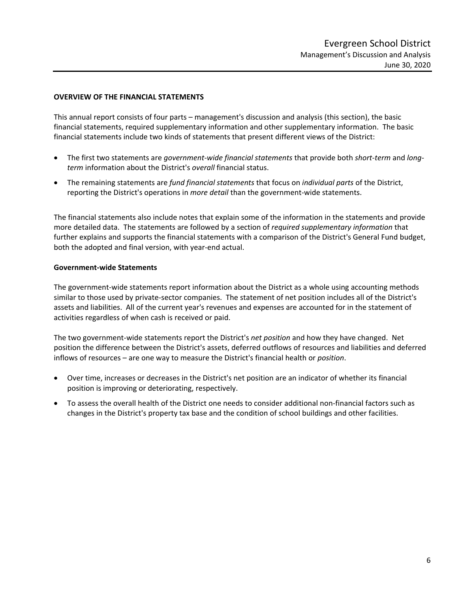## **OVERVIEW OF THE FINANCIAL STATEMENTS**

This annual report consists of four parts – management's discussion and analysis (this section), the basic financial statements, required supplementary information and other supplementary information. The basic financial statements include two kinds of statements that present different views of the District:

- The first two statements are *government‐wide financial statements* that provide both *short‐term* and *long‐ term* information about the District's *overall* financial status.
- The remaining statements are *fund financial statements* that focus on *individual parts* of the District, reporting the District's operations in *more detail* than the government-wide statements.

The financial statements also include notes that explain some of the information in the statements and provide more detailed data. The statements are followed by a section of *required supplementary information* that further explains and supports the financial statements with a comparison of the District's General Fund budget, both the adopted and final version, with year-end actual.

## **Government‐wide Statements**

The government-wide statements report information about the District as a whole using accounting methods similar to those used by private‐sector companies. The statement of net position includes all of the District's assets and liabilities. All of the current year's revenues and expenses are accounted for in the statement of activities regardless of when cash is received or paid.

The two government‐wide statements report the District's *net position* and how they have changed. Net position the difference between the District's assets, deferred outflows of resources and liabilities and deferred inflows of resources – are one way to measure the District's financial health or *position*.

- Over time, increases or decreases in the District's net position are an indicator of whether its financial position is improving or deteriorating, respectively.
- To assess the overall health of the District one needs to consider additional non‐financial factors such as changes in the District's property tax base and the condition of school buildings and other facilities.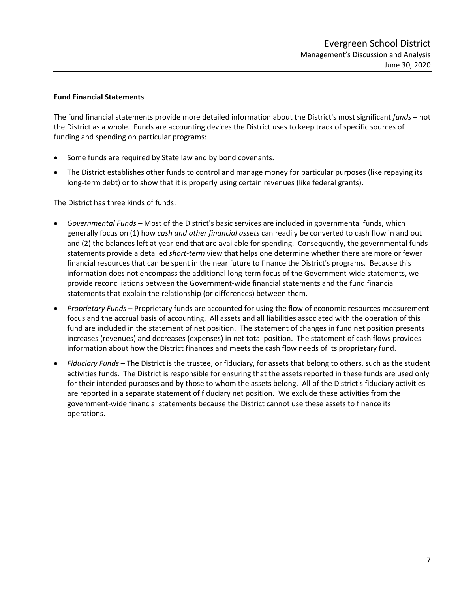## **Fund Financial Statements**

The fund financial statements provide more detailed information about the District's most significant *funds* – not the District as a whole. Funds are accounting devices the District uses to keep track of specific sources of funding and spending on particular programs:

- Some funds are required by State law and by bond covenants.
- The District establishes other funds to control and manage money for particular purposes (like repaying its long-term debt) or to show that it is properly using certain revenues (like federal grants).

The District has three kinds of funds:

- *Governmental Funds* Most of the District's basic services are included in governmental funds, which generally focus on (1) how *cash and other financial assets* can readily be converted to cash flow in and out and (2) the balances left at year-end that are available for spending. Consequently, the governmental funds statements provide a detailed *short‐term* view that helps one determine whether there are more or fewer financial resources that can be spent in the near future to finance the District's programs. Because this information does not encompass the additional long‐term focus of the Government‐wide statements, we provide reconciliations between the Government-wide financial statements and the fund financial statements that explain the relationship (or differences) between them.
- *Proprietary Funds –* Proprietary funds are accounted for using the flow of economic resources measurement focus and the accrual basis of accounting. All assets and all liabilities associated with the operation of this fund are included in the statement of net position. The statement of changes in fund net position presents increases (revenues) and decreases (expenses) in net total position. The statement of cash flows provides information about how the District finances and meets the cash flow needs of its proprietary fund.
- *Fiduciary Funds* The District is the trustee, or fiduciary, for assets that belong to others, such as the student activities funds. The District is responsible for ensuring that the assets reported in these funds are used only for their intended purposes and by those to whom the assets belong. All of the District's fiduciary activities are reported in a separate statement of fiduciary net position. We exclude these activities from the government‐wide financial statements because the District cannot use these assets to finance its operations.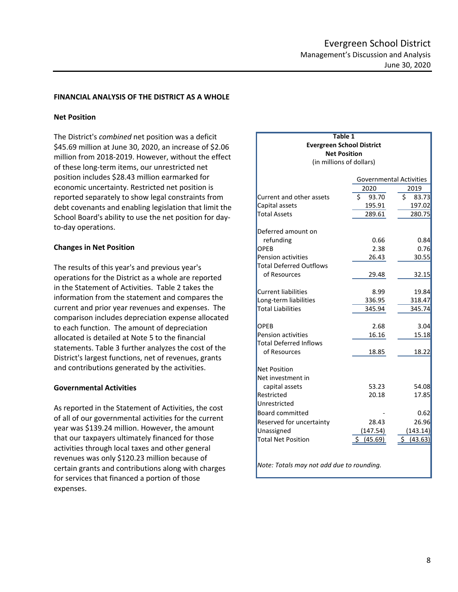#### **FINANCIAL ANALYSIS OF THE DISTRICT AS A WHOLE**

#### **Net Position**

The District's *combined* net position was a deficit \$45.69 million at June 30, 2020, an increase of \$2.06 million from 2018‐2019. However, without the effect of these long‐term items, our unrestricted net position includes \$28.43 million earmarked for economic uncertainty. Restricted net position is reported separately to show legal constraints from debt covenants and enabling legislation that limit the School Board's ability to use the net position for day‐ to‐day operations.

#### **Changes in Net Position**

The results of this year's and previous year's operations for the District as a whole are reported in the Statement of Activities. Table 2 takes the information from the statement and compares the current and prior year revenues and expenses. The comparison includes depreciation expense allocated to each function. The amount of depreciation allocated is detailed at Note 5 to the financial statements. Table 3 further analyzes the cost of the District's largest functions, net of revenues, grants and contributions generated by the activities.

#### **Governmental Activities**

As reported in the Statement of Activities, the cost of all of our governmental activities for the current year was \$139.24 million. However, the amount that our taxpayers ultimately financed for those activities through local taxes and other general revenues was only \$120.23 million because of certain grants and contributions along with charges for services that financed a portion of those expenses.

| Table 1<br><b>Evergreen School District</b><br><b>Net Position</b> |                                |             |  |  |  |  |  |  |
|--------------------------------------------------------------------|--------------------------------|-------------|--|--|--|--|--|--|
| (in millions of dollars)                                           |                                |             |  |  |  |  |  |  |
|                                                                    | <b>Governmental Activities</b> |             |  |  |  |  |  |  |
|                                                                    | 2020                           | 2019        |  |  |  |  |  |  |
| Current and other assets                                           | Ś.<br>93.70                    | Ś.<br>83.73 |  |  |  |  |  |  |
| Capital assets                                                     | 195.91                         | 197.02      |  |  |  |  |  |  |
| <b>Total Assets</b>                                                | 289.61                         | 280.75      |  |  |  |  |  |  |
| Deferred amount on                                                 |                                |             |  |  |  |  |  |  |
| refunding                                                          | 0.66                           | 0.84        |  |  |  |  |  |  |
| OPEB                                                               | 2.38                           | 0.76        |  |  |  |  |  |  |
| Pension activities                                                 | 26.43                          | 30.55       |  |  |  |  |  |  |
| <b>Total Deferred Outflows</b>                                     |                                |             |  |  |  |  |  |  |
| of Resources                                                       | 29.48                          | 32.15       |  |  |  |  |  |  |
| Current liabilities                                                | 8.99                           | 19.84       |  |  |  |  |  |  |
| Long-term liabilities                                              | 336.95                         | 318.47      |  |  |  |  |  |  |
| <b>Total Liabilities</b>                                           | 345.94                         | 345.74      |  |  |  |  |  |  |
| OPEB                                                               | 2.68                           | 3.04        |  |  |  |  |  |  |
| Pension activities                                                 | 16.16                          | 15.18       |  |  |  |  |  |  |
| <b>Total Deferred Inflows</b>                                      |                                |             |  |  |  |  |  |  |
| of Resources                                                       | 18.85                          | 18.22       |  |  |  |  |  |  |
| <b>Net Position</b>                                                |                                |             |  |  |  |  |  |  |
| Net investment in                                                  |                                |             |  |  |  |  |  |  |
| capital assets                                                     | 53.23                          | 54.08       |  |  |  |  |  |  |
| Restricted                                                         | 20.18                          | 17.85       |  |  |  |  |  |  |
| Unrestricted                                                       |                                |             |  |  |  |  |  |  |
| <b>Board committed</b>                                             |                                | 0.62        |  |  |  |  |  |  |
| Reserved for uncertainty                                           | 28.43                          | 26.96       |  |  |  |  |  |  |
| Unassigned                                                         | (147.54)                       | (143.14)    |  |  |  |  |  |  |
| <b>Total Net Position</b>                                          | (45.69)                        | (43.63)     |  |  |  |  |  |  |
| Note: Totals may not add due to rounding.                          |                                |             |  |  |  |  |  |  |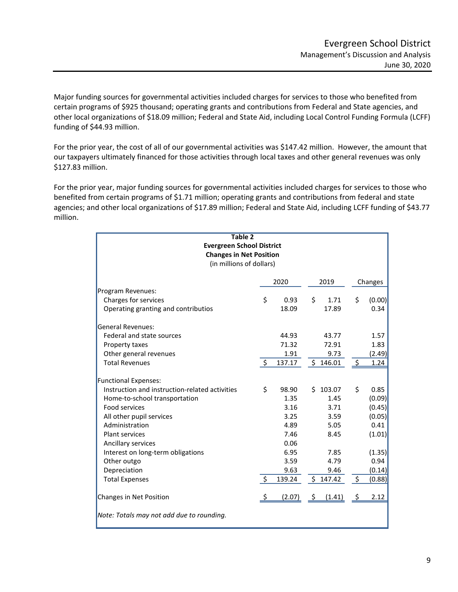Major funding sources for governmental activities included charges for services to those who benefited from certain programs of \$925 thousand; operating grants and contributions from Federal and State agencies, and other local organizations of \$18.09 million; Federal and State Aid, including Local Control Funding Formula (LCFF) funding of \$44.93 million.

For the prior year, the cost of all of our governmental activities was \$147.42 million. However, the amount that our taxpayers ultimately financed for those activities through local taxes and other general revenues was only \$127.83 million.

For the prior year, major funding sources for governmental activities included charges for services to those who benefited from certain programs of \$1.71 million; operating grants and contributions from federal and state agencies; and other local organizations of \$17.89 million; Federal and State Aid, including LCFF funding of \$43.77 million.

| Table 2<br><b>Evergreen School District</b><br><b>Changes in Net Position</b><br>(in millions of dollars) |         |        |    |          |    |         |  |  |
|-----------------------------------------------------------------------------------------------------------|---------|--------|----|----------|----|---------|--|--|
|                                                                                                           |         | 2020   |    | 2019     |    | Changes |  |  |
| Program Revenues:                                                                                         |         |        |    |          |    |         |  |  |
| <b>Charges for services</b>                                                                               | \$      | 0.93   | \$ | 1.71     | \$ | (0.00)  |  |  |
| Operating granting and contributios                                                                       |         | 18.09  |    | 17.89    |    | 0.34    |  |  |
| General Revenues:                                                                                         |         |        |    |          |    |         |  |  |
| Federal and state sources                                                                                 |         | 44.93  |    | 43.77    |    | 1.57    |  |  |
| Property taxes                                                                                            |         | 71.32  |    | 72.91    |    | 1.83    |  |  |
| Other general revenues                                                                                    |         | 1.91   |    | 9.73     |    | (2.49)  |  |  |
| <b>Total Revenues</b>                                                                                     | $\zeta$ | 137.17 |    | \$146.01 | \$ | 1.24    |  |  |
| <b>Functional Expenses:</b>                                                                               |         |        |    |          |    |         |  |  |
| Instruction and instruction-related activities                                                            | \$      | 98.90  | Ś. | 103.07   | Ś. | 0.85    |  |  |
| Home-to-school transportation                                                                             |         | 1.35   |    | 1.45     |    | (0.09)  |  |  |
| Food services                                                                                             |         | 3.16   |    | 3.71     |    | (0.45)  |  |  |
| All other pupil services                                                                                  |         | 3.25   |    | 3.59     |    | (0.05)  |  |  |
| Administration                                                                                            |         | 4.89   |    | 5.05     |    | 0.41    |  |  |
| <b>Plant services</b>                                                                                     |         | 7.46   |    | 8.45     |    | (1.01)  |  |  |
| Ancillary services                                                                                        |         | 0.06   |    |          |    |         |  |  |
| Interest on long-term obligations                                                                         |         | 6.95   |    | 7.85     |    | (1.35)  |  |  |
| Other outgo                                                                                               |         | 3.59   |    | 4.79     |    | 0.94    |  |  |
| Depreciation                                                                                              |         | 9.63   |    | 9.46     |    | (0.14)  |  |  |
| <b>Total Expenses</b>                                                                                     | $\zeta$ | 139.24 |    | \$147.42 | \$ | (0.88)  |  |  |
| Changes in Net Position                                                                                   |         | (2.07) | -S | (1.41)   |    | 2.12    |  |  |
| Note: Totals may not add due to rounding.                                                                 |         |        |    |          |    |         |  |  |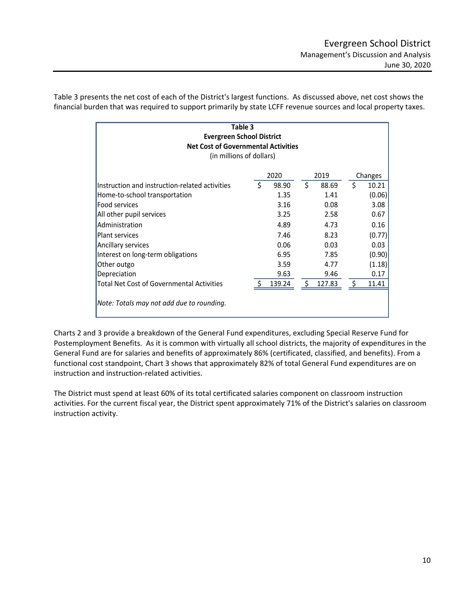| Table 3<br><b>Evergreen School District</b><br><b>Net Cost of Governmental Activities</b><br>(in millions of dollars) |    |        |    |        |                |        |  |  |  |
|-----------------------------------------------------------------------------------------------------------------------|----|--------|----|--------|----------------|--------|--|--|--|
| 2020<br>2019<br>Changes                                                                                               |    |        |    |        |                |        |  |  |  |
| Instruction and instruction-related activities                                                                        | Ś  | 98.90  | \$ | 88.69  | \$             | 10.21  |  |  |  |
| Home-to-school transportation                                                                                         |    | 1.35   |    | 1.41   |                | (0.06) |  |  |  |
| Food services                                                                                                         |    | 3.16   |    | 0.08   |                | 3.08   |  |  |  |
| All other pupil services                                                                                              |    | 3.25   |    | 2.58   |                | 0.67   |  |  |  |
| Administration                                                                                                        |    | 4.89   |    | 4.73   |                | 0.16   |  |  |  |
| <b>Plant services</b>                                                                                                 |    | 7.46   |    | 8.23   |                | (0.77) |  |  |  |
| Ancillary services                                                                                                    |    | 0.06   |    | 0.03   |                | 0.03   |  |  |  |
| Interest on long-term obligations                                                                                     |    | 6.95   |    | 7.85   |                | (0.90) |  |  |  |
| Other outgo                                                                                                           |    | 3.59   |    | 4.77   |                | (1.18) |  |  |  |
| Depreciation                                                                                                          |    | 9.63   |    | 9.46   |                | 0.17   |  |  |  |
| Total Net Cost of Governmental Activities                                                                             | S. | 139.24 | S. | 127.83 | $\mathfrak{S}$ | 11.41  |  |  |  |

Table 3 presents the net cost of each of the District's largest functions. As discussed above, net cost shows the financial burden that was required to support primarily by state LCFF revenue sources and local property taxes.

Charts 2 and 3 provide a breakdown of the General Fund expenditures, excluding Special Reserve Fund for Postemployment Benefits. As it is common with virtually all school districts, the majority of expenditures in the General Fund are for salaries and benefits of approximately 86% (certificated, classified, and benefits). From a functional cost standpoint, Chart 3 shows that approximately 82% of total General Fund expenditures are on instruction and instruction‐related activities.

The District must spend at least 60% of its total certificated salaries component on classroom instruction activities. For the current fiscal year, the District spent approximately 71% of the District's salaries on classroom instruction activity.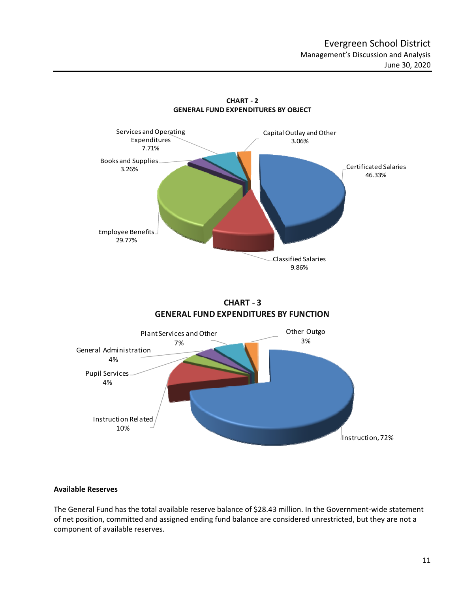

## **CHART ‐ 2 GENERAL FUND EXPENDITURES BY OBJECT**

## **Available Reserves**

The General Fund has the total available reserve balance of \$28.43 million. In the Government‐wide statement of net position, committed and assigned ending fund balance are considered unrestricted, but they are not a component of available reserves.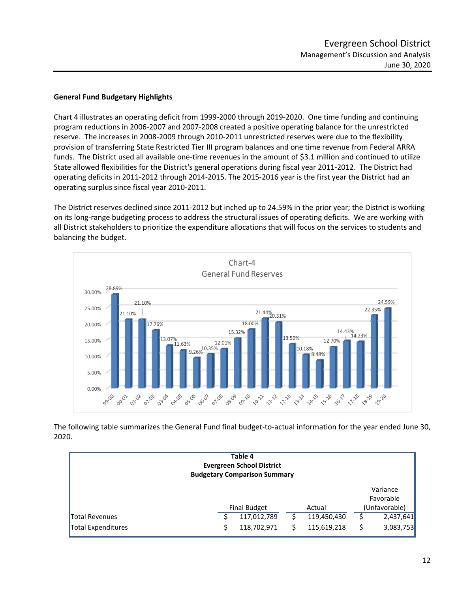## **General Fund Budgetary Highlights**

Chart 4 illustrates an operating deficit from 1999‐2000 through 2019‐2020. One time funding and continuing program reductions in 2006‐2007 and 2007‐2008 created a positive operating balance for the unrestricted reserve. The increases in 2008‐2009 through 2010‐2011 unrestricted reserves were due to the flexibility provision of transferring State Restricted Tier III program balances and one time revenue from Federal ARRA funds. The District used all available one-time revenues in the amount of \$3.1 million and continued to utilize State allowed flexibilities for the District's general operations during fiscal year 2011‐2012. The District had operating deficits in 2011‐2012 through 2014‐2015. The 2015‐2016 year is the first year the District had an operating surplus since fiscal year 2010‐2011.

The District reserves declined since 2011‐2012 but inched up to 24.59% in the prior year; the District is working on its long‐range budgeting process to address the structural issues of operating deficits. We are working with all District stakeholders to prioritize the expenditure allocations that will focus on the services to students and balancing the budget.



The following table summarizes the General Fund final budget-to-actual information for the year ended June 30, 2020.

| Table 4<br><b>Evergreen School District</b><br><b>Budgetary Comparison Summary</b> |  |  |                     |  |             |  |               |  |
|------------------------------------------------------------------------------------|--|--|---------------------|--|-------------|--|---------------|--|
|                                                                                    |  |  |                     |  |             |  | Variance      |  |
|                                                                                    |  |  |                     |  |             |  | Favorable     |  |
|                                                                                    |  |  | <b>Final Budget</b> |  | Actual      |  | (Unfavorable) |  |
| Total Revenues                                                                     |  |  | 117,012,789         |  | 119,450,430 |  | 2,437,641     |  |
| Total Expenditures                                                                 |  |  | 118,702,971         |  | 115,619,218 |  | 3,083,753     |  |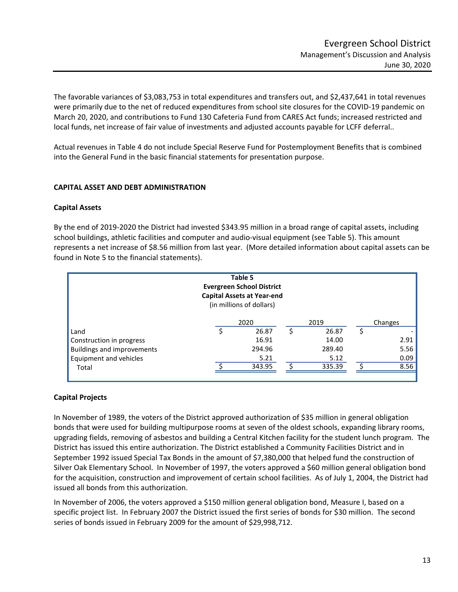The favorable variances of \$3,083,753 in total expenditures and transfers out, and \$2,437,641 in total revenues were primarily due to the net of reduced expenditures from school site closures for the COVID‐19 pandemic on March 20, 2020, and contributions to Fund 130 Cafeteria Fund from CARES Act funds; increased restricted and local funds, net increase of fair value of investments and adjusted accounts payable for LCFF deferral..

Actual revenues in Table 4 do not include Special Reserve Fund for Postemployment Benefits that is combined into the General Fund in the basic financial statements for presentation purpose.

## **CAPITAL ASSET AND DEBT ADMINISTRATION**

## **Capital Assets**

By the end of 2019‐2020 the District had invested \$343.95 million in a broad range of capital assets, including school buildings, athletic facilities and computer and audio‐visual equipment (see Table 5). This amount represents a net increase of \$8.56 million from last year. (More detailed information about capital assets can be found in Note 5 to the financial statements).

|                                                                       | Table 5<br><b>Evergreen School District</b><br><b>Capital Assets at Year-end</b><br>(in millions of dollars) |                                        |   |                         |
|-----------------------------------------------------------------------|--------------------------------------------------------------------------------------------------------------|----------------------------------------|---|-------------------------|
| Land<br>Construction in progress<br><b>Buildings and improvements</b> | \$<br>2020<br>26.87<br>16.91<br>294.96                                                                       | \$<br>2019<br>26.87<br>14.00<br>289.40 | S | Changes<br>2.91<br>5.56 |
| Equipment and vehicles<br>Total                                       | 5.21<br>343.95                                                                                               | 5.12<br>335.39                         |   | 0.09<br>8.56            |

## **Capital Projects**

In November of 1989, the voters of the District approved authorization of \$35 million in general obligation bonds that were used for building multipurpose rooms at seven of the oldest schools, expanding library rooms, upgrading fields, removing of asbestos and building a Central Kitchen facility for the student lunch program. The District has issued this entire authorization. The District established a Community Facilities District and in September 1992 issued Special Tax Bonds in the amount of \$7,380,000 that helped fund the construction of Silver Oak Elementary School. In November of 1997, the voters approved a \$60 million general obligation bond for the acquisition, construction and improvement of certain school facilities. As of July 1, 2004, the District had issued all bonds from this authorization.

In November of 2006, the voters approved a \$150 million general obligation bond, Measure I, based on a specific project list. In February 2007 the District issued the first series of bonds for \$30 million. The second series of bonds issued in February 2009 for the amount of \$29,998,712.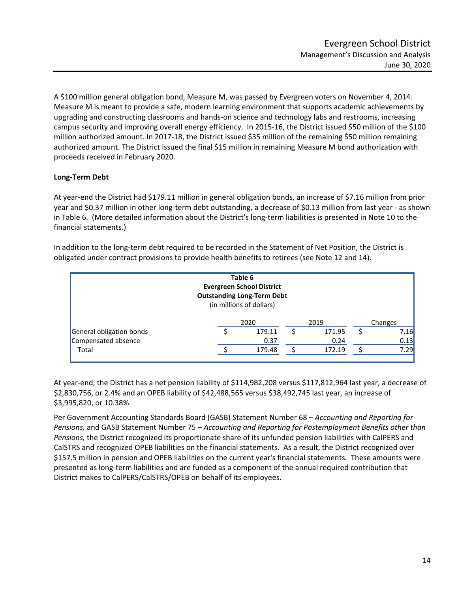A \$100 million general obligation bond, Measure M, was passed by Evergreen voters on November 4, 2014. Measure M is meant to provide a safe, modern learning environment that supports academic achievements by upgrading and constructing classrooms and hands‐on science and technology labs and restrooms, increasing campus security and improving overall energy efficiency. In 2015‐16, the District issued \$50 million of the \$100 million authorized amount. In 2017‐18, the District issued \$35 million of the remaining \$50 million remaining authorized amount. The District issued the final \$15 million in remaining Measure M bond authorization with proceeds received in February 2020.

## **Long‐Term Debt**

At year‐end the District had \$179.11 million in general obligation bonds, an increase of \$7.16 million from prior year and \$0.37 million in other long‐term debt outstanding, a decrease of \$0.13 million from last year ‐ as shown in Table 6. (More detailed information about the District's long-term liabilities is presented in Note 10 to the financial statements.)

In addition to the long‐term debt required to be recorded in the Statement of Net Position, the District is obligated under contract provisions to provide health benefits to retirees (see Note 12 and 14).

| Table 6<br><b>Evergreen School District</b><br><b>Outstanding Long-Term Debt</b><br>(in millions of dollars) |  |  |        |  |        |  |         |  |  |
|--------------------------------------------------------------------------------------------------------------|--|--|--------|--|--------|--|---------|--|--|
|                                                                                                              |  |  | 2020   |  | 2019   |  | Changes |  |  |
| General obligation bonds                                                                                     |  |  | 179.11 |  | 171.95 |  | 7.16    |  |  |
| Compensated absence                                                                                          |  |  | 0.37   |  | 0.24   |  | 0.13    |  |  |
| Total                                                                                                        |  |  | 179.48 |  | 172.19 |  | 7.29    |  |  |
|                                                                                                              |  |  |        |  |        |  |         |  |  |

At year‐end, the District has a net pension liability of \$114,982,208 versus \$117,812,964 last year, a decrease of \$2,830,756, or 2.4% and an OPEB liability of \$42,488,565 versus \$38,492,745 last year, an increase of \$3,995,820, or 10.38%.

Per Government Accounting Standards Board (GASB) Statement Number 68 – *Accounting and Reporting for Pensions,* and GASB Statement Number 75 – *Accounting and Reporting for Postemployment Benefits other than Pensions,* the District recognized its proportionate share of its unfunded pension liabilities with CalPERS and CalSTRS and recognized OPEB liabilities on the financial statements. As a result, the District recognized over \$157.5 million in pension and OPEB liabilities on the current year's financial statements. These amounts were presented as long‐term liabilities and are funded as a component of the annual required contribution that District makes to CalPERS/CalSTRS/OPEB on behalf of its employees.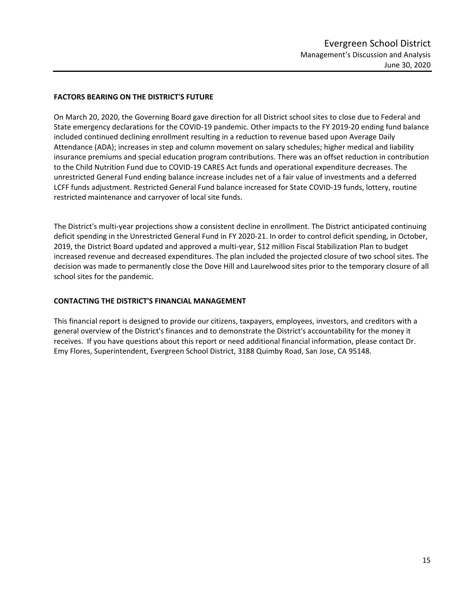## **FACTORS BEARING ON THE DISTRICT'S FUTURE**

On March 20, 2020, the Governing Board gave direction for all District school sites to close due to Federal and State emergency declarations for the COVID-19 pandemic. Other impacts to the FY 2019-20 ending fund balance included continued declining enrollment resulting in a reduction to revenue based upon Average Daily Attendance (ADA); increases in step and column movement on salary schedules; higher medical and liability insurance premiums and special education program contributions. There was an offset reduction in contribution to the Child Nutrition Fund due to COVID‐19 CARES Act funds and operational expenditure decreases. The unrestricted General Fund ending balance increase includes net of a fair value of investments and a deferred LCFF funds adjustment. Restricted General Fund balance increased for State COVID‐19 funds, lottery, routine restricted maintenance and carryover of local site funds.

The District's multi-year projections show a consistent decline in enrollment. The District anticipated continuing deficit spending in the Unrestricted General Fund in FY 2020‐21. In order to control deficit spending, in October, 2019, the District Board updated and approved a multi‐year, \$12 million Fiscal Stabilization Plan to budget increased revenue and decreased expenditures. The plan included the projected closure of two school sites. The decision was made to permanently close the Dove Hill and Laurelwood sites prior to the temporary closure of all school sites for the pandemic.

## **CONTACTING THE DISTRICT'S FINANCIAL MANAGEMENT**

This financial report is designed to provide our citizens, taxpayers, employees, investors, and creditors with a general overview of the District's finances and to demonstrate the District's accountability for the money it receives. If you have questions about this report or need additional financial information, please contact Dr. Emy Flores, Superintendent, Evergreen School District, 3188 Quimby Road, San Jose, CA 95148.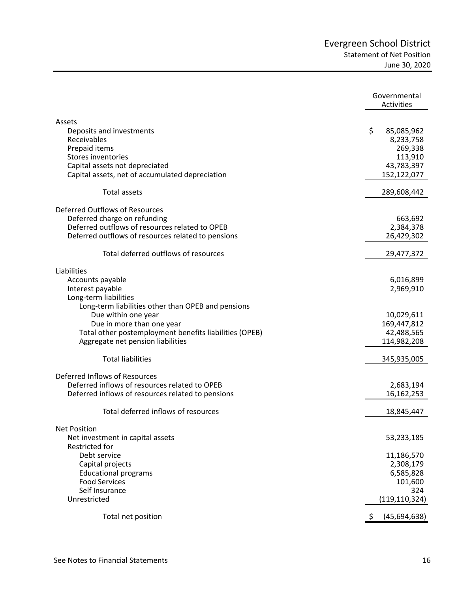|                                                        | Governmental<br>Activities |                 |  |
|--------------------------------------------------------|----------------------------|-----------------|--|
|                                                        |                            |                 |  |
| Assets<br>Deposits and investments                     | \$                         | 85,085,962      |  |
| Receivables                                            |                            | 8,233,758       |  |
| Prepaid items                                          |                            | 269,338         |  |
| Stores inventories                                     |                            | 113,910         |  |
| Capital assets not depreciated                         |                            | 43,783,397      |  |
| Capital assets, net of accumulated depreciation        |                            | 152,122,077     |  |
| <b>Total assets</b>                                    |                            | 289,608,442     |  |
| Deferred Outflows of Resources                         |                            |                 |  |
| Deferred charge on refunding                           |                            | 663,692         |  |
| Deferred outflows of resources related to OPEB         |                            | 2,384,378       |  |
| Deferred outflows of resources related to pensions     |                            | 26,429,302      |  |
| Total deferred outflows of resources                   |                            | 29,477,372      |  |
| Liabilities                                            |                            |                 |  |
| Accounts payable                                       |                            | 6,016,899       |  |
| Interest payable                                       |                            | 2,969,910       |  |
| Long-term liabilities                                  |                            |                 |  |
| Long-term liabilities other than OPEB and pensions     |                            |                 |  |
| Due within one year                                    |                            | 10,029,611      |  |
| Due in more than one year                              |                            | 169,447,812     |  |
| Total other postemployment benefits liabilities (OPEB) |                            | 42,488,565      |  |
| Aggregate net pension liabilities                      |                            | 114,982,208     |  |
| <b>Total liabilities</b>                               |                            | 345,935,005     |  |
| Deferred Inflows of Resources                          |                            |                 |  |
| Deferred inflows of resources related to OPEB          |                            | 2,683,194       |  |
| Deferred inflows of resources related to pensions      |                            | 16, 162, 253    |  |
| Total deferred inflows of resources                    |                            | 18,845,447      |  |
| <b>Net Position</b>                                    |                            |                 |  |
| Net investment in capital assets                       |                            | 53,233,185      |  |
| Restricted for                                         |                            |                 |  |
| Debt service                                           |                            | 11,186,570      |  |
| Capital projects                                       |                            | 2,308,179       |  |
| <b>Educational programs</b>                            |                            | 6,585,828       |  |
| <b>Food Services</b>                                   |                            | 101,600         |  |
| Self Insurance                                         |                            | 324             |  |
| Unrestricted                                           |                            | (119, 110, 324) |  |
| Total net position                                     | S                          | (45,694,638)    |  |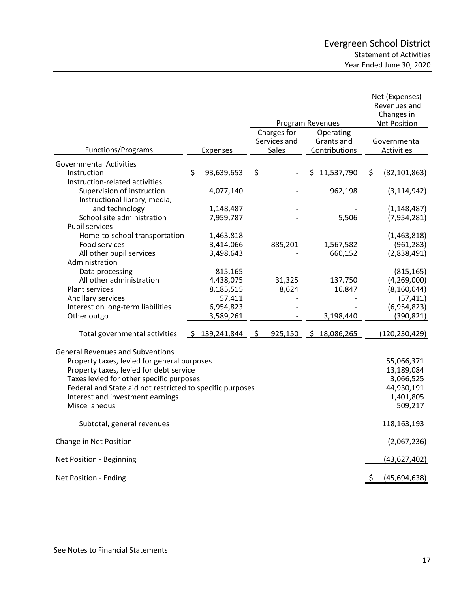|                                                           |                  |      |                   | Program Revenues |    | Net (Expenses)<br>Revenues and<br>Changes in<br><b>Net Position</b> |
|-----------------------------------------------------------|------------------|------|-------------------|------------------|----|---------------------------------------------------------------------|
|                                                           |                  |      | Charges for       | Operating        |    |                                                                     |
|                                                           |                  |      | Services and      | Grants and       |    | Governmental                                                        |
| Functions/Programs                                        | Expenses         |      | <b>Sales</b>      | Contributions    |    | Activities                                                          |
| <b>Governmental Activities</b>                            |                  |      |                   |                  |    |                                                                     |
| Instruction                                               | \$<br>93,639,653 | \$   |                   | \$11,537,790     | \$ | (82, 101, 863)                                                      |
| Instruction-related activities                            |                  |      |                   |                  |    |                                                                     |
| Supervision of instruction                                | 4,077,140        |      |                   | 962,198          |    | (3, 114, 942)                                                       |
| Instructional library, media,                             |                  |      |                   |                  |    |                                                                     |
| and technology                                            | 1,148,487        |      |                   |                  |    | (1, 148, 487)                                                       |
| School site administration                                | 7,959,787        |      |                   | 5,506            |    | (7,954,281)                                                         |
| Pupil services                                            |                  |      |                   |                  |    |                                                                     |
| Home-to-school transportation                             | 1,463,818        |      |                   |                  |    | (1,463,818)                                                         |
| Food services                                             | 3,414,066        |      | 885,201           | 1,567,582        |    | (961, 283)                                                          |
| All other pupil services                                  | 3,498,643        |      |                   | 660,152          |    | (2,838,491)                                                         |
| Administration                                            |                  |      |                   |                  |    |                                                                     |
| Data processing                                           | 815,165          |      |                   |                  |    | (815, 165)                                                          |
| All other administration                                  | 4,438,075        |      | 31,325            | 137,750          |    | (4, 269, 000)                                                       |
| <b>Plant services</b>                                     | 8,185,515        |      | 8,624             | 16,847           |    | (8, 160, 044)                                                       |
| Ancillary services                                        | 57,411           |      |                   |                  |    | (57, 411)                                                           |
| Interest on long-term liabilities                         | 6,954,823        |      |                   |                  |    | (6,954,823)                                                         |
| Other outgo                                               | 3,589,261        |      |                   | 3,198,440        |    | (390, 821)                                                          |
|                                                           |                  |      |                   |                  |    |                                                                     |
| Total governmental activities                             | 139,241,844      | - \$ | <u>925,150 \$</u> | 18,086,265       |    | (120, 230, 429)                                                     |
| <b>General Revenues and Subventions</b>                   |                  |      |                   |                  |    |                                                                     |
| Property taxes, levied for general purposes               |                  |      |                   |                  |    | 55,066,371                                                          |
| Property taxes, levied for debt service                   |                  |      |                   |                  |    | 13,189,084                                                          |
| Taxes levied for other specific purposes                  |                  |      |                   |                  |    | 3,066,525                                                           |
| Federal and State aid not restricted to specific purposes |                  |      |                   |                  |    | 44,930,191                                                          |
| Interest and investment earnings                          |                  |      |                   |                  |    | 1,401,805                                                           |
| Miscellaneous                                             |                  |      |                   |                  |    | 509,217                                                             |
|                                                           |                  |      |                   |                  |    |                                                                     |
| Subtotal, general revenues                                |                  |      |                   |                  |    | 118,163,193                                                         |
| Change in Net Position                                    |                  |      |                   |                  |    | (2,067,236)                                                         |
| Net Position - Beginning                                  |                  |      |                   |                  |    | (43,627,402)                                                        |
| Net Position - Ending                                     |                  |      |                   |                  | -Ş | (45,694,638)                                                        |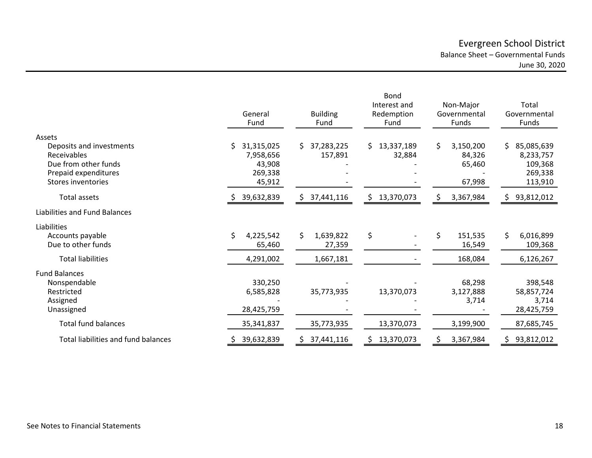## Evergreen School District Balance Sheet – Governmental Funds June 30, 2020

|                                                                              | General<br>Fund                         | <b>Building</b><br>Fund     | Bond<br>Interest and<br>Redemption<br>Fund | Non-Major<br>Governmental<br>Funds   | Total<br>Governmental<br><b>Funds</b>        |
|------------------------------------------------------------------------------|-----------------------------------------|-----------------------------|--------------------------------------------|--------------------------------------|----------------------------------------------|
| Assets<br>Deposits and investments<br>Receivables<br>Due from other funds    | Ś.<br>31,315,025<br>7,958,656<br>43,908 | 37,283,225<br>S.<br>157,891 | \$13,337,189<br>32,884                     | \$.<br>3,150,200<br>84,326<br>65,460 | \$<br>85,085,639<br>8,233,757<br>109,368     |
| Prepaid expenditures<br>Stores inventories                                   | 269,338<br>45,912                       |                             |                                            | 67,998                               | 269,338<br>113,910                           |
| Total assets                                                                 | 39,632,839                              | \$<br>37,441,116            | 13,370,073                                 | 3,367,984                            | 93,812,012                                   |
| Liabilities and Fund Balances                                                |                                         |                             |                                            |                                      |                                              |
| Liabilities<br>Accounts payable<br>Due to other funds                        | \$<br>4,225,542<br>65,460               | \$<br>1,639,822<br>27,359   | \$                                         | \$<br>151,535<br>16,549              | \$<br>6,016,899<br>109,368                   |
| <b>Total liabilities</b>                                                     | 4,291,002                               | 1,667,181                   |                                            | 168,084                              | 6,126,267                                    |
| <b>Fund Balances</b><br>Nonspendable<br>Restricted<br>Assigned<br>Unassigned | 330,250<br>6,585,828<br>28,425,759      | 35,773,935                  | 13,370,073                                 | 68,298<br>3,127,888<br>3,714         | 398,548<br>58,857,724<br>3,714<br>28,425,759 |
| <b>Total fund balances</b>                                                   | 35,341,837                              | 35,773,935                  | 13,370,073                                 | 3,199,900                            | 87,685,745                                   |
| Total liabilities and fund balances                                          | 39,632,839                              | 37,441,116                  | 13,370,073                                 | 3,367,984                            | 93,812,012                                   |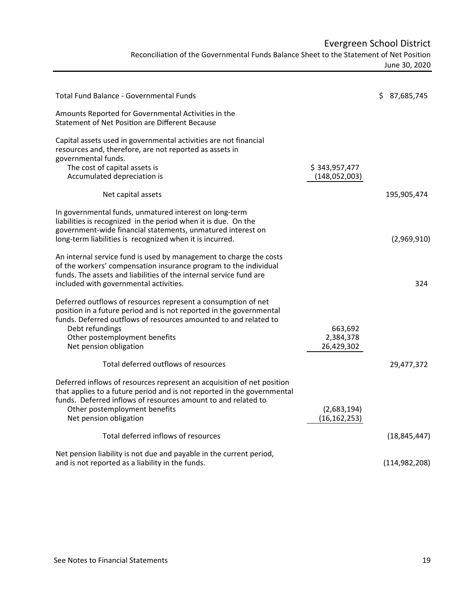| Reconciliation of the Governmental Funds Balance Sheet to the Statement of Net Position |
|-----------------------------------------------------------------------------------------|
|                                                                                         |

June 30, 2020

| Total Fund Balance - Governmental Funds                                                                                                                                                                                                                                                                                        |                                    | \$7,685,745     |
|--------------------------------------------------------------------------------------------------------------------------------------------------------------------------------------------------------------------------------------------------------------------------------------------------------------------------------|------------------------------------|-----------------|
| Amounts Reported for Governmental Activities in the<br>Statement of Net Position are Different Because                                                                                                                                                                                                                         |                                    |                 |
| Capital assets used in governmental activities are not financial<br>resources and, therefore, are not reported as assets in<br>governmental funds.<br>The cost of capital assets is<br>Accumulated depreciation is                                                                                                             | \$343,957,477<br>(148,052,003)     |                 |
| Net capital assets                                                                                                                                                                                                                                                                                                             |                                    | 195,905,474     |
| In governmental funds, unmatured interest on long-term<br>liabilities is recognized in the period when it is due. On the<br>government-wide financial statements, unmatured interest on<br>long-term liabilities is recognized when it is incurred.                                                                            |                                    | (2,969,910)     |
| An internal service fund is used by management to charge the costs<br>of the workers' compensation insurance program to the individual<br>funds. The assets and liabilities of the internal service fund are<br>included with governmental activities.                                                                         |                                    | 324             |
| Deferred outflows of resources represent a consumption of net<br>position in a future period and is not reported in the governmental<br>funds. Deferred outflows of resources amounted to and related to<br>Debt refundings<br>Other postemployment benefits<br>Net pension obligation<br>Total deferred outflows of resources | 663,692<br>2,384,378<br>26,429,302 | 29,477,372      |
| Deferred inflows of resources represent an acquisition of net position<br>that applies to a future period and is not reported in the governmental<br>funds. Deferred inflows of resources amount to and related to<br>Other postemployment benefits<br>Net pension obligation                                                  | (2,683,194)<br>(16, 162, 253)      |                 |
| Total deferred inflows of resources                                                                                                                                                                                                                                                                                            |                                    | (18, 845, 447)  |
| Net pension liability is not due and payable in the current period,<br>and is not reported as a liability in the funds.                                                                                                                                                                                                        |                                    | (114, 982, 208) |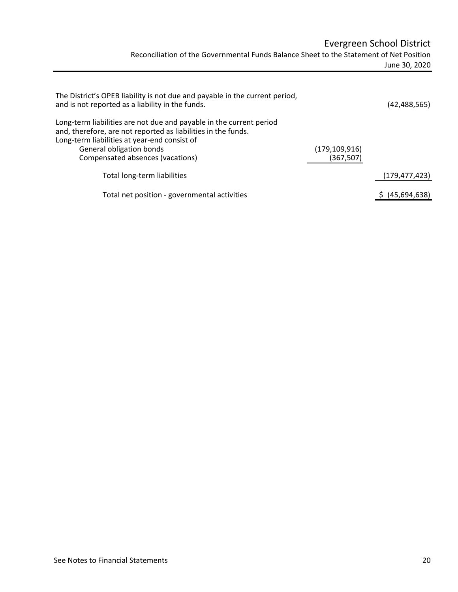| Reconciliation of the Governmental Funds Balance Sheet to the Statement of Net Position |
|-----------------------------------------------------------------------------------------|
| June 30, 2020                                                                           |

| The District's OPEB liability is not due and payable in the current period,<br>and is not reported as a liability in the funds.                                                                                                                      |                              | (42, 488, 565)  |
|------------------------------------------------------------------------------------------------------------------------------------------------------------------------------------------------------------------------------------------------------|------------------------------|-----------------|
| Long-term liabilities are not due and payable in the current period<br>and, therefore, are not reported as liabilities in the funds.<br>Long-term liabilities at year-end consist of<br>General obligation bonds<br>Compensated absences (vacations) | (179, 109, 916)<br>(367,507) |                 |
| Total long-term liabilities                                                                                                                                                                                                                          |                              | (179, 477, 423) |
| Total net position - governmental activities                                                                                                                                                                                                         |                              | (45,694,638)    |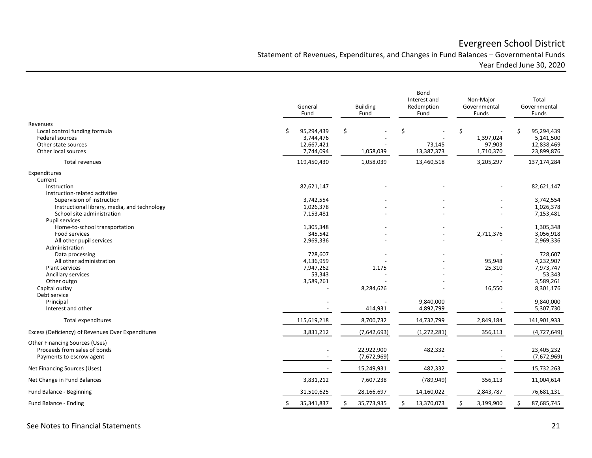## Statement of Revenues, Expenditures, and Changes in Fund Balances – Governmental Funds Year Ended June 30, 2020

| Revenues<br>\$<br>Ś.<br>\$<br>Ś.<br>95,294,439<br>Ś.<br>Local control funding formula<br>3,744,476<br>1,397,024<br>Federal sources<br>97,903<br>12,667,421<br>73,145<br>Other state sources<br>Other local sources<br>7,744,094<br>1,058,039<br>13,387,373<br>1,710,370<br>119,450,430<br>1,058,039<br>13,460,518<br>3,205,297<br>Total revenues<br>Expenditures<br>Current<br>82,621,147<br>Instruction<br>Instruction-related activities<br>Supervision of instruction<br>3,742,554<br>Instructional library, media, and technology<br>1,026,378<br>School site administration<br>7,153,481<br>Pupil services<br>Home-to-school transportation<br>1,305,348<br>345,542<br>2,711,376<br>Food services<br>2,969,336<br>All other pupil services<br>Administration<br>728,607<br>Data processing<br>95,948<br>All other administration<br>4,136,959<br>7,947,262<br><b>Plant services</b><br>25,310<br>1,175<br>Ancillary services<br>53,343<br>3,589,261<br>3,589,261<br>Other outgo<br>8,284,626<br>16,550<br>Capital outlay<br>Debt service<br>9,840,000<br>9,840,000<br>Principal<br>Interest and other<br>414,931<br>4,892,799<br>115,619,218<br>8,700,732<br>2,849,184<br>Total expenditures<br>14,732,799<br>Excess (Deficiency) of Revenues Over Expenditures<br>3,831,212<br>(7,642,693)<br>(1, 272, 281)<br>356,113<br><b>Other Financing Sources (Uses)</b><br>Proceeds from sales of bonds<br>22,922,900<br>482,332<br>(7,672,969)<br>Payments to escrow agent<br>Net Financing Sources (Uses)<br>15,249,931<br>482,332<br>3,831,212<br>Net Change in Fund Balances<br>7,607,238<br>(789, 949)<br>356,113<br>14,160,022<br>2,843,787<br>Fund Balance - Beginning<br>31,510,625<br>28,166,697<br>Fund Balance - Ending<br>13,370,073<br>3,199,900<br>35,341,837<br>35,773,935 | General<br>Fund | <b>Building</b><br>Fund | Bond<br>Interest and<br>Redemption<br>Fund | Non-Major<br>Governmental<br>Funds | Total<br>Governmental<br>Funds                      |
|-----------------------------------------------------------------------------------------------------------------------------------------------------------------------------------------------------------------------------------------------------------------------------------------------------------------------------------------------------------------------------------------------------------------------------------------------------------------------------------------------------------------------------------------------------------------------------------------------------------------------------------------------------------------------------------------------------------------------------------------------------------------------------------------------------------------------------------------------------------------------------------------------------------------------------------------------------------------------------------------------------------------------------------------------------------------------------------------------------------------------------------------------------------------------------------------------------------------------------------------------------------------------------------------------------------------------------------------------------------------------------------------------------------------------------------------------------------------------------------------------------------------------------------------------------------------------------------------------------------------------------------------------------------------------------------------------------------------------------------------------------------------------------------------|-----------------|-------------------------|--------------------------------------------|------------------------------------|-----------------------------------------------------|
|                                                                                                                                                                                                                                                                                                                                                                                                                                                                                                                                                                                                                                                                                                                                                                                                                                                                                                                                                                                                                                                                                                                                                                                                                                                                                                                                                                                                                                                                                                                                                                                                                                                                                                                                                                                         |                 |                         |                                            |                                    | 95,294,439<br>5,141,500<br>12,838,469<br>23,899,876 |
|                                                                                                                                                                                                                                                                                                                                                                                                                                                                                                                                                                                                                                                                                                                                                                                                                                                                                                                                                                                                                                                                                                                                                                                                                                                                                                                                                                                                                                                                                                                                                                                                                                                                                                                                                                                         |                 |                         |                                            |                                    | 137,174,284                                         |
|                                                                                                                                                                                                                                                                                                                                                                                                                                                                                                                                                                                                                                                                                                                                                                                                                                                                                                                                                                                                                                                                                                                                                                                                                                                                                                                                                                                                                                                                                                                                                                                                                                                                                                                                                                                         |                 |                         |                                            |                                    | 82,621,147                                          |
|                                                                                                                                                                                                                                                                                                                                                                                                                                                                                                                                                                                                                                                                                                                                                                                                                                                                                                                                                                                                                                                                                                                                                                                                                                                                                                                                                                                                                                                                                                                                                                                                                                                                                                                                                                                         |                 |                         |                                            |                                    | 3,742,554<br>1,026,378<br>7,153,481                 |
|                                                                                                                                                                                                                                                                                                                                                                                                                                                                                                                                                                                                                                                                                                                                                                                                                                                                                                                                                                                                                                                                                                                                                                                                                                                                                                                                                                                                                                                                                                                                                                                                                                                                                                                                                                                         |                 |                         |                                            |                                    | 1,305,348<br>3,056,918<br>2,969,336                 |
|                                                                                                                                                                                                                                                                                                                                                                                                                                                                                                                                                                                                                                                                                                                                                                                                                                                                                                                                                                                                                                                                                                                                                                                                                                                                                                                                                                                                                                                                                                                                                                                                                                                                                                                                                                                         |                 |                         |                                            |                                    | 728,607<br>4,232,907<br>7,973,747<br>53,343         |
|                                                                                                                                                                                                                                                                                                                                                                                                                                                                                                                                                                                                                                                                                                                                                                                                                                                                                                                                                                                                                                                                                                                                                                                                                                                                                                                                                                                                                                                                                                                                                                                                                                                                                                                                                                                         |                 |                         |                                            |                                    | 8,301,176                                           |
|                                                                                                                                                                                                                                                                                                                                                                                                                                                                                                                                                                                                                                                                                                                                                                                                                                                                                                                                                                                                                                                                                                                                                                                                                                                                                                                                                                                                                                                                                                                                                                                                                                                                                                                                                                                         |                 |                         |                                            |                                    | 5,307,730                                           |
|                                                                                                                                                                                                                                                                                                                                                                                                                                                                                                                                                                                                                                                                                                                                                                                                                                                                                                                                                                                                                                                                                                                                                                                                                                                                                                                                                                                                                                                                                                                                                                                                                                                                                                                                                                                         |                 |                         |                                            |                                    | 141,901,933                                         |
|                                                                                                                                                                                                                                                                                                                                                                                                                                                                                                                                                                                                                                                                                                                                                                                                                                                                                                                                                                                                                                                                                                                                                                                                                                                                                                                                                                                                                                                                                                                                                                                                                                                                                                                                                                                         |                 |                         |                                            |                                    | (4,727,649)                                         |
|                                                                                                                                                                                                                                                                                                                                                                                                                                                                                                                                                                                                                                                                                                                                                                                                                                                                                                                                                                                                                                                                                                                                                                                                                                                                                                                                                                                                                                                                                                                                                                                                                                                                                                                                                                                         |                 |                         |                                            |                                    | 23,405,232<br>(7,672,969)                           |
|                                                                                                                                                                                                                                                                                                                                                                                                                                                                                                                                                                                                                                                                                                                                                                                                                                                                                                                                                                                                                                                                                                                                                                                                                                                                                                                                                                                                                                                                                                                                                                                                                                                                                                                                                                                         |                 |                         |                                            |                                    | 15,732,263                                          |
|                                                                                                                                                                                                                                                                                                                                                                                                                                                                                                                                                                                                                                                                                                                                                                                                                                                                                                                                                                                                                                                                                                                                                                                                                                                                                                                                                                                                                                                                                                                                                                                                                                                                                                                                                                                         |                 |                         |                                            |                                    | 11,004,614                                          |
|                                                                                                                                                                                                                                                                                                                                                                                                                                                                                                                                                                                                                                                                                                                                                                                                                                                                                                                                                                                                                                                                                                                                                                                                                                                                                                                                                                                                                                                                                                                                                                                                                                                                                                                                                                                         |                 |                         |                                            |                                    | 76,681,131                                          |
|                                                                                                                                                                                                                                                                                                                                                                                                                                                                                                                                                                                                                                                                                                                                                                                                                                                                                                                                                                                                                                                                                                                                                                                                                                                                                                                                                                                                                                                                                                                                                                                                                                                                                                                                                                                         |                 |                         |                                            |                                    | 87,685,745                                          |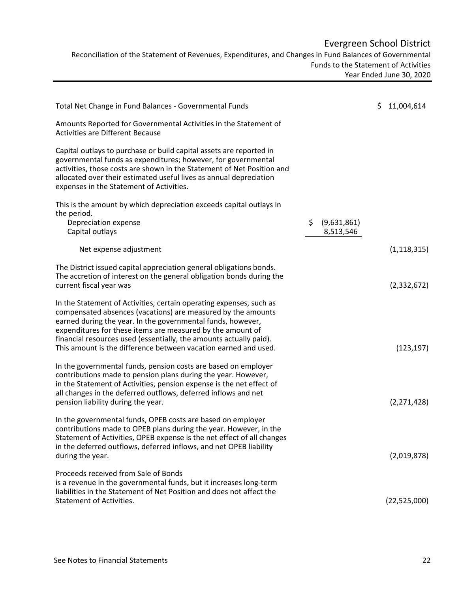Evergreen School District Reconciliation of the Statement of Revenues, Expenditures, and Changes in Fund Balances of Governmental Funds to the Statement of Activities Year Ended June 30, 2020

| Total Net Change in Fund Balances - Governmental Funds                                                                                                                                                                                                                                                                                                                                                    |                                | \$<br>11,004,614 |
|-----------------------------------------------------------------------------------------------------------------------------------------------------------------------------------------------------------------------------------------------------------------------------------------------------------------------------------------------------------------------------------------------------------|--------------------------------|------------------|
| Amounts Reported for Governmental Activities in the Statement of<br><b>Activities are Different Because</b>                                                                                                                                                                                                                                                                                               |                                |                  |
| Capital outlays to purchase or build capital assets are reported in<br>governmental funds as expenditures; however, for governmental<br>activities, those costs are shown in the Statement of Net Position and<br>allocated over their estimated useful lives as annual depreciation<br>expenses in the Statement of Activities.                                                                          |                                |                  |
| This is the amount by which depreciation exceeds capital outlays in<br>the period.                                                                                                                                                                                                                                                                                                                        |                                |                  |
| Depreciation expense<br>Capital outlays                                                                                                                                                                                                                                                                                                                                                                   | \$<br>(9,631,861)<br>8,513,546 |                  |
| Net expense adjustment                                                                                                                                                                                                                                                                                                                                                                                    |                                | (1, 118, 315)    |
| The District issued capital appreciation general obligations bonds.<br>The accretion of interest on the general obligation bonds during the<br>current fiscal year was                                                                                                                                                                                                                                    |                                | (2,332,672)      |
| In the Statement of Activities, certain operating expenses, such as<br>compensated absences (vacations) are measured by the amounts<br>earned during the year. In the governmental funds, however,<br>expenditures for these items are measured by the amount of<br>financial resources used (essentially, the amounts actually paid).<br>This amount is the difference between vacation earned and used. |                                | (123, 197)       |
| In the governmental funds, pension costs are based on employer<br>contributions made to pension plans during the year. However,<br>in the Statement of Activities, pension expense is the net effect of<br>all changes in the deferred outflows, deferred inflows and net<br>pension liability during the year.                                                                                           |                                | (2,271,428)      |
| In the governmental funds, OPEB costs are based on employer<br>contributions made to OPEB plans during the year. However, in the<br>Statement of Activities, OPEB expense is the net effect of all changes<br>in the deferred outflows, deferred inflows, and net OPEB liability<br>during the year.                                                                                                      |                                | (2,019,878)      |
| Proceeds received from Sale of Bonds<br>is a revenue in the governmental funds, but it increases long-term<br>liabilities in the Statement of Net Position and does not affect the<br><b>Statement of Activities.</b>                                                                                                                                                                                     |                                | (22,525,000)     |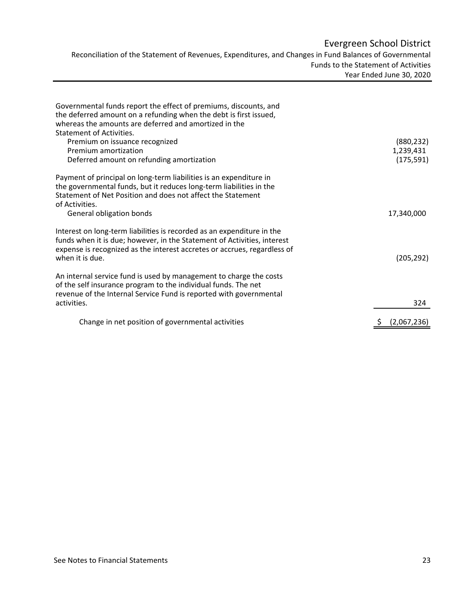Reconciliation of the Statement of Revenues, Expenditures, and Changes in Fund Balances of Governmental Funds to the Statement of Activities Year Ended June 30, 2020

| Governmental funds report the effect of premiums, discounts, and                                                                   |                         |
|------------------------------------------------------------------------------------------------------------------------------------|-------------------------|
| the deferred amount on a refunding when the debt is first issued,                                                                  |                         |
| whereas the amounts are deferred and amortized in the                                                                              |                         |
| <b>Statement of Activities.</b>                                                                                                    |                         |
| Premium on issuance recognized<br>Premium amortization                                                                             | (880, 232)<br>1,239,431 |
| Deferred amount on refunding amortization                                                                                          | (175, 591)              |
|                                                                                                                                    |                         |
| Payment of principal on long-term liabilities is an expenditure in                                                                 |                         |
| the governmental funds, but it reduces long-term liabilities in the<br>Statement of Net Position and does not affect the Statement |                         |
| of Activities.                                                                                                                     |                         |
| General obligation bonds                                                                                                           | 17,340,000              |
| Interest on long-term liabilities is recorded as an expenditure in the                                                             |                         |
| funds when it is due; however, in the Statement of Activities, interest                                                            |                         |
| expense is recognized as the interest accretes or accrues, regardless of                                                           |                         |
| when it is due.                                                                                                                    | (205, 292)              |
| An internal service fund is used by management to charge the costs                                                                 |                         |
| of the self insurance program to the individual funds. The net                                                                     |                         |
| revenue of the Internal Service Fund is reported with governmental                                                                 |                         |
| activities.                                                                                                                        | 324                     |
| Change in net position of governmental activities                                                                                  | (2,067,236)             |
|                                                                                                                                    |                         |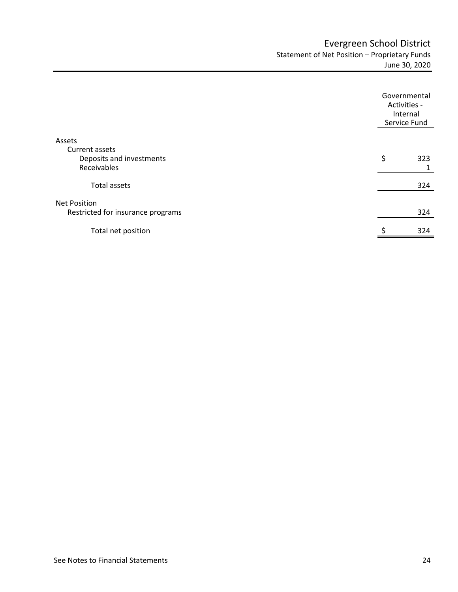## Evergreen School District Statement of Net Position – Proprietary Funds June 30, 2020

|                                   | Governmental<br>Activities -<br>Internal<br>Service Fund |
|-----------------------------------|----------------------------------------------------------|
| Assets                            |                                                          |
| Current assets                    |                                                          |
| Deposits and investments          | \$<br>323                                                |
| Receivables                       |                                                          |
| <b>Total assets</b>               | 324                                                      |
| <b>Net Position</b>               |                                                          |
| Restricted for insurance programs | 324                                                      |
| Total net position                | \$<br>324                                                |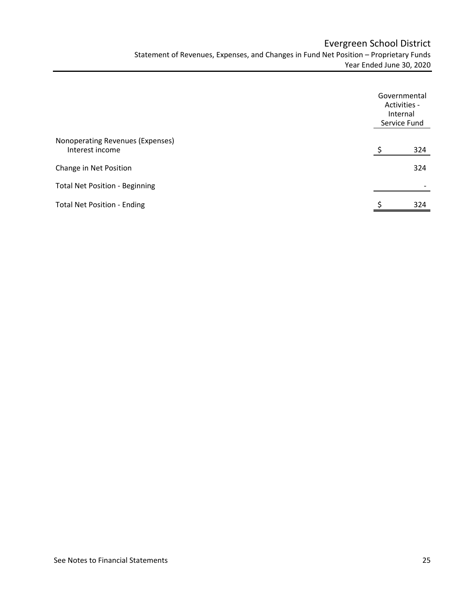|                                                     | Governmental<br>Activities -<br>Internal<br>Service Fund |
|-----------------------------------------------------|----------------------------------------------------------|
| Nonoperating Revenues (Expenses)<br>Interest income | 324                                                      |
| Change in Net Position                              | 324                                                      |
| <b>Total Net Position - Beginning</b>               |                                                          |
| <b>Total Net Position - Ending</b>                  | 324                                                      |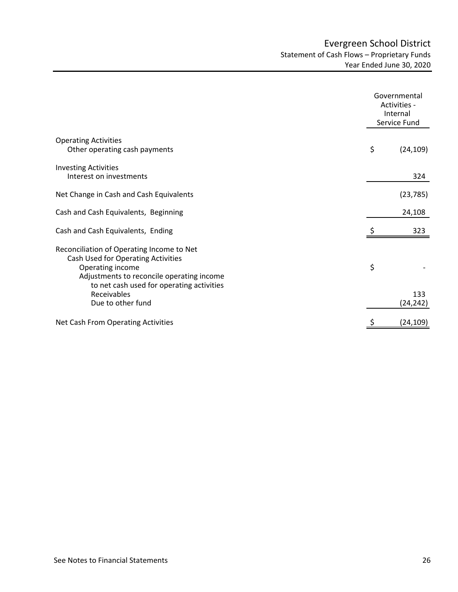|                                                                                                                                                                                               |    | Governmental<br>Activities -<br>Internal<br>Service Fund |  |
|-----------------------------------------------------------------------------------------------------------------------------------------------------------------------------------------------|----|----------------------------------------------------------|--|
| <b>Operating Activities</b><br>Other operating cash payments                                                                                                                                  | \$ | (24, 109)                                                |  |
| <b>Investing Activities</b><br>Interest on investments                                                                                                                                        |    | 324                                                      |  |
| Net Change in Cash and Cash Equivalents                                                                                                                                                       |    | (23, 785)                                                |  |
| Cash and Cash Equivalents, Beginning                                                                                                                                                          |    | 24,108                                                   |  |
| Cash and Cash Equivalents, Ending                                                                                                                                                             |    | 323                                                      |  |
| Reconciliation of Operating Income to Net<br>Cash Used for Operating Activities<br>Operating income<br>Adjustments to reconcile operating income<br>to net cash used for operating activities | \$ |                                                          |  |
| Receivables<br>Due to other fund                                                                                                                                                              |    | 133<br>(24, 242)                                         |  |
| Net Cash From Operating Activities                                                                                                                                                            |    | (24,109)                                                 |  |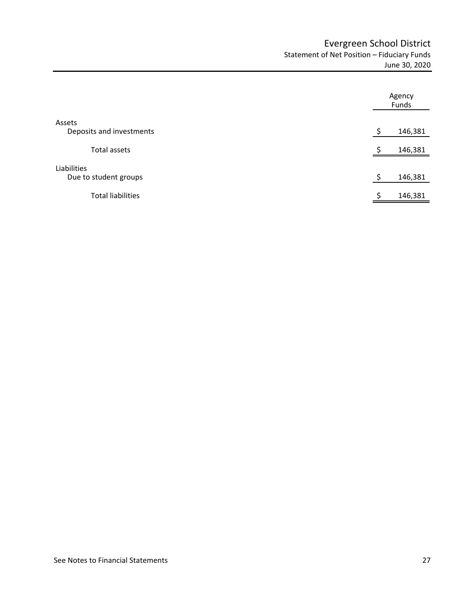## Evergreen School District Statement of Net Position – Fiduciary Funds June 30, 2020

|                                      |   | Agency<br>Funds |
|--------------------------------------|---|-----------------|
| Assets<br>Deposits and investments   | ς | 146,381         |
| Total assets                         | ς | 146,381         |
| Liabilities<br>Due to student groups | ς | 146,381         |
| <b>Total liabilities</b>             |   | 146,381         |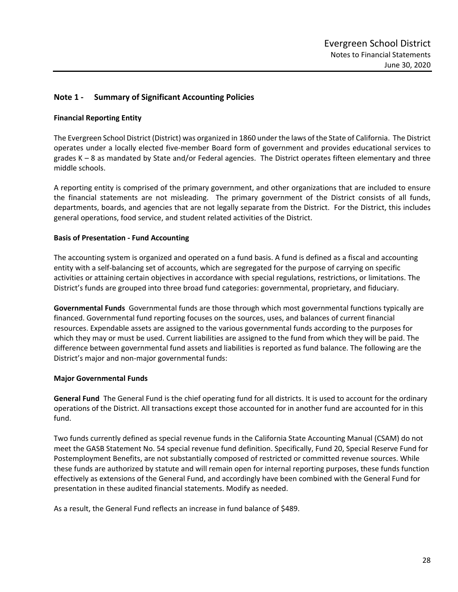## **Note 1 ‐ Summary of Significant Accounting Policies**

#### **Financial Reporting Entity**

The Evergreen School District (District) was organized in 1860 under the laws of the State of California. The District operates under a locally elected five‐member Board form of government and provides educational services to grades K – 8 as mandated by State and/or Federal agencies. The District operates fifteen elementary and three middle schools.

A reporting entity is comprised of the primary government, and other organizations that are included to ensure the financial statements are not misleading. The primary government of the District consists of all funds, departments, boards, and agencies that are not legally separate from the District. For the District, this includes general operations, food service, and student related activities of the District.

#### **Basis of Presentation ‐ Fund Accounting**

The accounting system is organized and operated on a fund basis. A fund is defined as a fiscal and accounting entity with a self-balancing set of accounts, which are segregated for the purpose of carrying on specific activities or attaining certain objectives in accordance with special regulations, restrictions, or limitations. The District's funds are grouped into three broad fund categories: governmental, proprietary, and fiduciary.

**Governmental Funds** Governmental funds are those through which most governmental functions typically are financed. Governmental fund reporting focuses on the sources, uses, and balances of current financial resources. Expendable assets are assigned to the various governmental funds according to the purposes for which they may or must be used. Current liabilities are assigned to the fund from which they will be paid. The difference between governmental fund assets and liabilities is reported as fund balance. The following are the District's major and non‐major governmental funds:

## **Major Governmental Funds**

**General Fund** The General Fund is the chief operating fund for all districts. It is used to account for the ordinary operations of the District. All transactions except those accounted for in another fund are accounted for in this fund.

Two funds currently defined as special revenue funds in the California State Accounting Manual (CSAM) do not meet the GASB Statement No. 54 special revenue fund definition. Specifically, Fund 20, Special Reserve Fund for Postemployment Benefits, are not substantially composed of restricted or committed revenue sources. While these funds are authorized by statute and will remain open for internal reporting purposes, these funds function effectively as extensions of the General Fund, and accordingly have been combined with the General Fund for presentation in these audited financial statements. Modify as needed.

As a result, the General Fund reflects an increase in fund balance of \$489.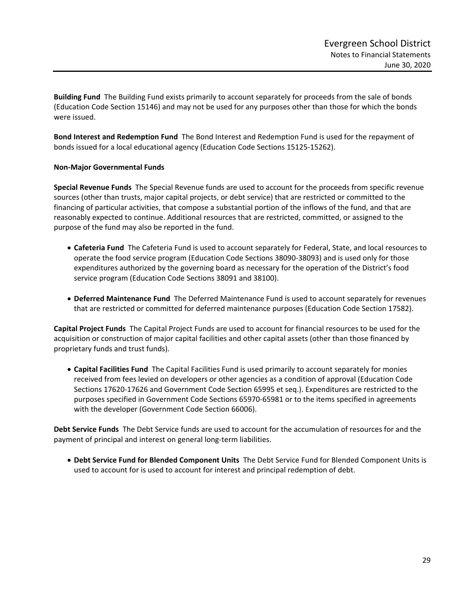**Building Fund** The Building Fund exists primarily to account separately for proceeds from the sale of bonds (Education Code Section 15146) and may not be used for any purposes other than those for which the bonds were issued.

**Bond Interest and Redemption Fund** The Bond Interest and Redemption Fund is used for the repayment of bonds issued for a local educational agency (Education Code Sections 15125‐15262).

## **Non‐Major Governmental Funds**

**Special Revenue Funds** The Special Revenue funds are used to account for the proceeds from specific revenue sources (other than trusts, major capital projects, or debt service) that are restricted or committed to the financing of particular activities, that compose a substantial portion of the inflows of the fund, and that are reasonably expected to continue. Additional resources that are restricted, committed, or assigned to the purpose of the fund may also be reported in the fund.

- **Cafeteria Fund** The Cafeteria Fund is used to account separately for Federal, State, and local resources to operate the food service program (Education Code Sections 38090‐38093) and is used only for those expenditures authorized by the governing board as necessary for the operation of the District's food service program (Education Code Sections 38091 and 38100).
- **Deferred Maintenance Fund** The Deferred Maintenance Fund is used to account separately for revenues that are restricted or committed for deferred maintenance purposes (Education Code Section 17582).

**Capital Project Funds** The Capital Project Funds are used to account for financial resources to be used for the acquisition or construction of major capital facilities and other capital assets (other than those financed by proprietary funds and trust funds).

 **Capital Facilities Fund** The Capital Facilities Fund is used primarily to account separately for monies received from fees levied on developers or other agencies as a condition of approval (Education Code Sections 17620‐17626 and Government Code Section 65995 et seq.). Expenditures are restricted to the purposes specified in Government Code Sections 65970‐65981 or to the items specified in agreements with the developer (Government Code Section 66006).

**Debt Service Funds** The Debt Service funds are used to account for the accumulation of resources for and the payment of principal and interest on general long-term liabilities.

 **Debt Service Fund for Blended Component Units** The Debt Service Fund for Blended Component Units is used to account for is used to account for interest and principal redemption of debt.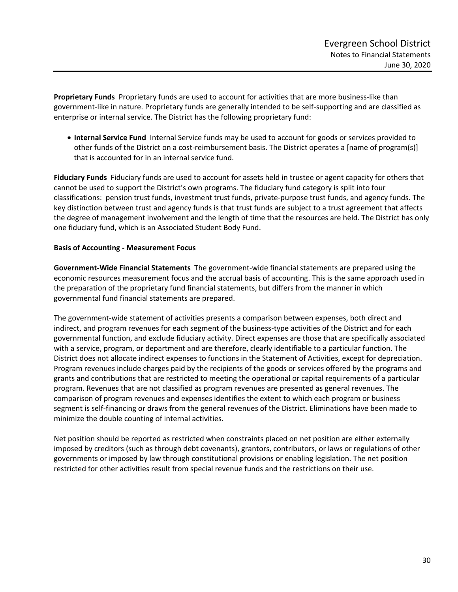**Proprietary Funds** Proprietary funds are used to account for activities that are more business‐like than government‐like in nature. Proprietary funds are generally intended to be self‐supporting and are classified as enterprise or internal service. The District has the following proprietary fund:

 **Internal Service Fund** Internal Service funds may be used to account for goods or services provided to other funds of the District on a cost-reimbursement basis. The District operates a [name of program(s)] that is accounted for in an internal service fund.

**Fiduciary Funds** Fiduciary funds are used to account for assets held in trustee or agent capacity for others that cannot be used to support the District's own programs. The fiduciary fund category is split into four classifications: pension trust funds, investment trust funds, private‐purpose trust funds, and agency funds. The key distinction between trust and agency funds is that trust funds are subject to a trust agreement that affects the degree of management involvement and the length of time that the resources are held. The District has only one fiduciary fund, which is an Associated Student Body Fund.

## **Basis of Accounting ‐ Measurement Focus**

**Government‐Wide Financial Statements** The government‐wide financial statements are prepared using the economic resources measurement focus and the accrual basis of accounting. This is the same approach used in the preparation of the proprietary fund financial statements, but differs from the manner in which governmental fund financial statements are prepared.

The government-wide statement of activities presents a comparison between expenses, both direct and indirect, and program revenues for each segment of the business-type activities of the District and for each governmental function, and exclude fiduciary activity. Direct expenses are those that are specifically associated with a service, program, or department and are therefore, clearly identifiable to a particular function. The District does not allocate indirect expenses to functions in the Statement of Activities, except for depreciation. Program revenues include charges paid by the recipients of the goods or services offered by the programs and grants and contributions that are restricted to meeting the operational or capital requirements of a particular program. Revenues that are not classified as program revenues are presented as general revenues. The comparison of program revenues and expenses identifies the extent to which each program or business segment is self-financing or draws from the general revenues of the District. Eliminations have been made to minimize the double counting of internal activities.

Net position should be reported as restricted when constraints placed on net position are either externally imposed by creditors (such as through debt covenants), grantors, contributors, or laws or regulations of other governments or imposed by law through constitutional provisions or enabling legislation. The net position restricted for other activities result from special revenue funds and the restrictions on their use.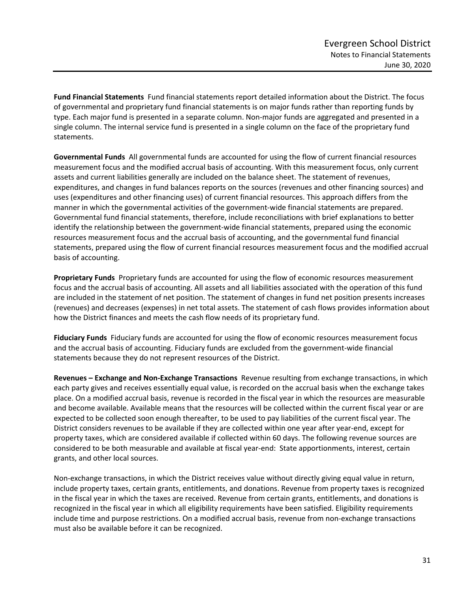**Fund Financial Statements** Fund financial statements report detailed information about the District. The focus of governmental and proprietary fund financial statements is on major funds rather than reporting funds by type. Each major fund is presented in a separate column. Non‐major funds are aggregated and presented in a single column. The internal service fund is presented in a single column on the face of the proprietary fund statements.

**Governmental Funds** All governmental funds are accounted for using the flow of current financial resources measurement focus and the modified accrual basis of accounting. With this measurement focus, only current assets and current liabilities generally are included on the balance sheet. The statement of revenues, expenditures, and changes in fund balances reports on the sources (revenues and other financing sources) and uses (expenditures and other financing uses) of current financial resources. This approach differs from the manner in which the governmental activities of the government-wide financial statements are prepared. Governmental fund financial statements, therefore, include reconciliations with brief explanations to better identify the relationship between the government‐wide financial statements, prepared using the economic resources measurement focus and the accrual basis of accounting, and the governmental fund financial statements, prepared using the flow of current financial resources measurement focus and the modified accrual basis of accounting.

**Proprietary Funds** Proprietary funds are accounted for using the flow of economic resources measurement focus and the accrual basis of accounting. All assets and all liabilities associated with the operation of this fund are included in the statement of net position. The statement of changes in fund net position presents increases (revenues) and decreases (expenses) in net total assets. The statement of cash flows provides information about how the District finances and meets the cash flow needs of its proprietary fund.

**Fiduciary Funds** Fiduciary funds are accounted for using the flow of economic resources measurement focus and the accrual basis of accounting. Fiduciary funds are excluded from the government‐wide financial statements because they do not represent resources of the District.

**Revenues – Exchange and Non‐Exchange Transactions** Revenue resulting from exchange transactions, in which each party gives and receives essentially equal value, is recorded on the accrual basis when the exchange takes place. On a modified accrual basis, revenue is recorded in the fiscal year in which the resources are measurable and become available. Available means that the resources will be collected within the current fiscal year or are expected to be collected soon enough thereafter, to be used to pay liabilities of the current fiscal year. The District considers revenues to be available if they are collected within one year after year-end, except for property taxes, which are considered available if collected within 60 days. The following revenue sources are considered to be both measurable and available at fiscal year‐end: State apportionments, interest, certain grants, and other local sources.

Non‐exchange transactions, in which the District receives value without directly giving equal value in return, include property taxes, certain grants, entitlements, and donations. Revenue from property taxes is recognized in the fiscal year in which the taxes are received. Revenue from certain grants, entitlements, and donations is recognized in the fiscal year in which all eligibility requirements have been satisfied. Eligibility requirements include time and purpose restrictions. On a modified accrual basis, revenue from non‐exchange transactions must also be available before it can be recognized.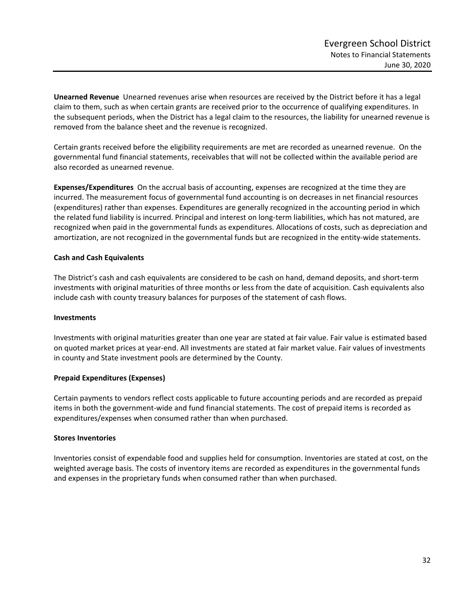**Unearned Revenue** Unearned revenues arise when resources are received by the District before it has a legal claim to them, such as when certain grants are received prior to the occurrence of qualifying expenditures. In the subsequent periods, when the District has a legal claim to the resources, the liability for unearned revenue is removed from the balance sheet and the revenue is recognized.

Certain grants received before the eligibility requirements are met are recorded as unearned revenue. On the governmental fund financial statements, receivables that will not be collected within the available period are also recorded as unearned revenue.

**Expenses/Expenditures** On the accrual basis of accounting, expenses are recognized at the time they are incurred. The measurement focus of governmental fund accounting is on decreases in net financial resources (expenditures) rather than expenses. Expenditures are generally recognized in the accounting period in which the related fund liability is incurred. Principal and interest on long-term liabilities, which has not matured, are recognized when paid in the governmental funds as expenditures. Allocations of costs, such as depreciation and amortization, are not recognized in the governmental funds but are recognized in the entity-wide statements.

## **Cash and Cash Equivalents**

The District's cash and cash equivalents are considered to be cash on hand, demand deposits, and short‐term investments with original maturities of three months or less from the date of acquisition. Cash equivalents also include cash with county treasury balances for purposes of the statement of cash flows.

## **Investments**

Investments with original maturities greater than one year are stated at fair value. Fair value is estimated based on quoted market prices at year‐end. All investments are stated at fair market value. Fair values of investments in county and State investment pools are determined by the County.

## **Prepaid Expenditures (Expenses)**

Certain payments to vendors reflect costs applicable to future accounting periods and are recorded as prepaid items in both the government‐wide and fund financial statements. The cost of prepaid items is recorded as expenditures/expenses when consumed rather than when purchased.

## **Stores Inventories**

Inventories consist of expendable food and supplies held for consumption. Inventories are stated at cost, on the weighted average basis. The costs of inventory items are recorded as expenditures in the governmental funds and expenses in the proprietary funds when consumed rather than when purchased.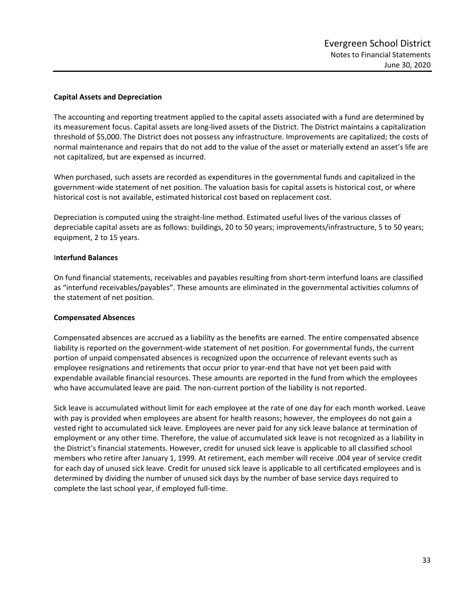## **Capital Assets and Depreciation**

The accounting and reporting treatment applied to the capital assets associated with a fund are determined by its measurement focus. Capital assets are long-lived assets of the District. The District maintains a capitalization threshold of \$5,000. The District does not possess any infrastructure. Improvements are capitalized; the costs of normal maintenance and repairs that do not add to the value of the asset or materially extend an asset's life are not capitalized, but are expensed as incurred.

When purchased, such assets are recorded as expenditures in the governmental funds and capitalized in the government‐wide statement of net position. The valuation basis for capital assets is historical cost, or where historical cost is not available, estimated historical cost based on replacement cost.

Depreciation is computed using the straight‐line method. Estimated useful lives of the various classes of depreciable capital assets are as follows: buildings, 20 to 50 years; improvements/infrastructure, 5 to 50 years; equipment, 2 to 15 years.

## I**nterfund Balances**

On fund financial statements, receivables and payables resulting from short‐term interfund loans are classified as "interfund receivables/payables". These amounts are eliminated in the governmental activities columns of the statement of net position.

## **Compensated Absences**

Compensated absences are accrued as a liability as the benefits are earned. The entire compensated absence liability is reported on the government‐wide statement of net position. For governmental funds, the current portion of unpaid compensated absences is recognized upon the occurrence of relevant events such as employee resignations and retirements that occur prior to year-end that have not yet been paid with expendable available financial resources. These amounts are reported in the fund from which the employees who have accumulated leave are paid. The non-current portion of the liability is not reported.

Sick leave is accumulated without limit for each employee at the rate of one day for each month worked. Leave with pay is provided when employees are absent for health reasons; however, the employees do not gain a vested right to accumulated sick leave. Employees are never paid for any sick leave balance at termination of employment or any other time. Therefore, the value of accumulated sick leave is not recognized as a liability in the District's financial statements. However, credit for unused sick leave is applicable to all classified school members who retire after January 1, 1999. At retirement, each member will receive .004 year of service credit for each day of unused sick leave. Credit for unused sick leave is applicable to all certificated employees and is determined by dividing the number of unused sick days by the number of base service days required to complete the last school year, if employed full‐time.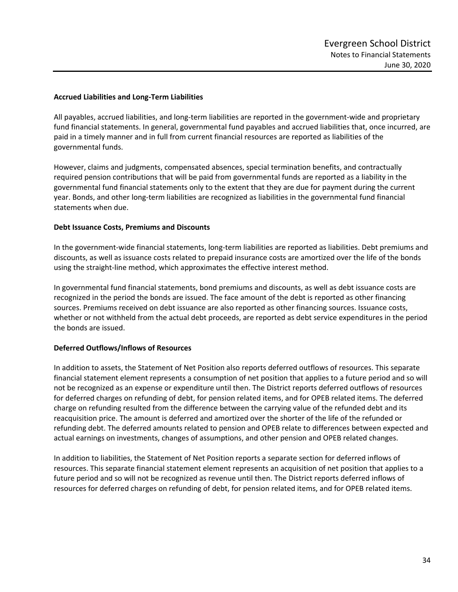### **Accrued Liabilities and Long‐Term Liabilities**

All payables, accrued liabilities, and long‐term liabilities are reported in the government‐wide and proprietary fund financial statements. In general, governmental fund payables and accrued liabilities that, once incurred, are paid in a timely manner and in full from current financial resources are reported as liabilities of the governmental funds.

However, claims and judgments, compensated absences, special termination benefits, and contractually required pension contributions that will be paid from governmental funds are reported as a liability in the governmental fund financial statements only to the extent that they are due for payment during the current year. Bonds, and other long‐term liabilities are recognized as liabilities in the governmental fund financial statements when due.

### **Debt Issuance Costs, Premiums and Discounts**

In the government‐wide financial statements, long‐term liabilities are reported as liabilities. Debt premiums and discounts, as well as issuance costs related to prepaid insurance costs are amortized over the life of the bonds using the straight‐line method, which approximates the effective interest method.

In governmental fund financial statements, bond premiums and discounts, as well as debt issuance costs are recognized in the period the bonds are issued. The face amount of the debt is reported as other financing sources. Premiums received on debt issuance are also reported as other financing sources. Issuance costs, whether or not withheld from the actual debt proceeds, are reported as debt service expenditures in the period the bonds are issued.

## **Deferred Outflows/Inflows of Resources**

In addition to assets, the Statement of Net Position also reports deferred outflows of resources. This separate financial statement element represents a consumption of net position that applies to a future period and so will not be recognized as an expense or expenditure until then. The District reports deferred outflows of resources for deferred charges on refunding of debt, for pension related items, and for OPEB related items. The deferred charge on refunding resulted from the difference between the carrying value of the refunded debt and its reacquisition price. The amount is deferred and amortized over the shorter of the life of the refunded or refunding debt. The deferred amounts related to pension and OPEB relate to differences between expected and actual earnings on investments, changes of assumptions, and other pension and OPEB related changes.

In addition to liabilities, the Statement of Net Position reports a separate section for deferred inflows of resources. This separate financial statement element represents an acquisition of net position that applies to a future period and so will not be recognized as revenue until then. The District reports deferred inflows of resources for deferred charges on refunding of debt, for pension related items, and for OPEB related items.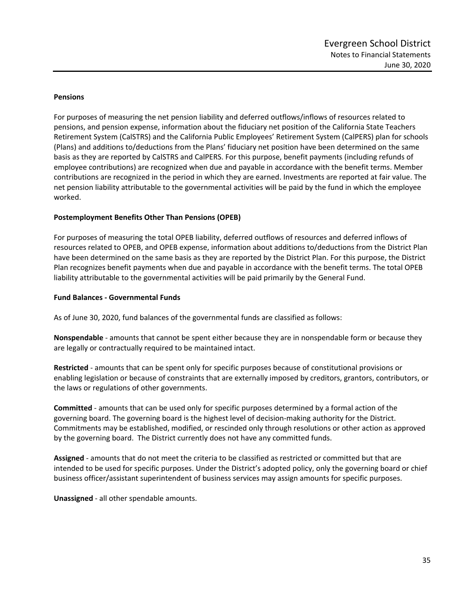### **Pensions**

For purposes of measuring the net pension liability and deferred outflows/inflows of resources related to pensions, and pension expense, information about the fiduciary net position of the California State Teachers Retirement System (CalSTRS) and the California Public Employees' Retirement System (CalPERS) plan for schools (Plans) and additions to/deductions from the Plans' fiduciary net position have been determined on the same basis as they are reported by CalSTRS and CalPERS. For this purpose, benefit payments (including refunds of employee contributions) are recognized when due and payable in accordance with the benefit terms. Member contributions are recognized in the period in which they are earned. Investments are reported at fair value. The net pension liability attributable to the governmental activities will be paid by the fund in which the employee worked.

## **Postemployment Benefits Other Than Pensions (OPEB)**

For purposes of measuring the total OPEB liability, deferred outflows of resources and deferred inflows of resources related to OPEB, and OPEB expense, information about additions to/deductions from the District Plan have been determined on the same basis as they are reported by the District Plan. For this purpose, the District Plan recognizes benefit payments when due and payable in accordance with the benefit terms. The total OPEB liability attributable to the governmental activities will be paid primarily by the General Fund.

### **Fund Balances ‐ Governmental Funds**

As of June 30, 2020, fund balances of the governmental funds are classified as follows:

**Nonspendable** ‐ amounts that cannot be spent either because they are in nonspendable form or because they are legally or contractually required to be maintained intact.

**Restricted** ‐ amounts that can be spent only for specific purposes because of constitutional provisions or enabling legislation or because of constraints that are externally imposed by creditors, grantors, contributors, or the laws or regulations of other governments.

**Committed** ‐ amounts that can be used only for specific purposes determined by a formal action of the governing board. The governing board is the highest level of decision‐making authority for the District. Commitments may be established, modified, or rescinded only through resolutions or other action as approved by the governing board. The District currently does not have any committed funds.

**Assigned** ‐ amounts that do not meet the criteria to be classified as restricted or committed but that are intended to be used for specific purposes. Under the District's adopted policy, only the governing board or chief business officer/assistant superintendent of business services may assign amounts for specific purposes.

**Unassigned** ‐ all other spendable amounts.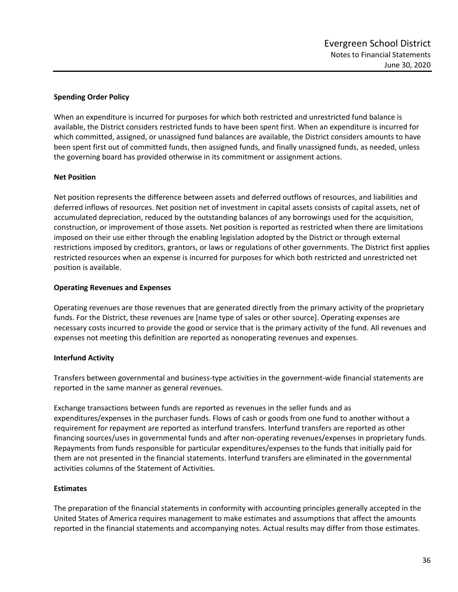## **Spending Order Policy**

When an expenditure is incurred for purposes for which both restricted and unrestricted fund balance is available, the District considers restricted funds to have been spent first. When an expenditure is incurred for which committed, assigned, or unassigned fund balances are available, the District considers amounts to have been spent first out of committed funds, then assigned funds, and finally unassigned funds, as needed, unless the governing board has provided otherwise in its commitment or assignment actions.

### **Net Position**

Net position represents the difference between assets and deferred outflows of resources, and liabilities and deferred inflows of resources. Net position net of investment in capital assets consists of capital assets, net of accumulated depreciation, reduced by the outstanding balances of any borrowings used for the acquisition, construction, or improvement of those assets. Net position is reported as restricted when there are limitations imposed on their use either through the enabling legislation adopted by the District or through external restrictions imposed by creditors, grantors, or laws or regulations of other governments. The District first applies restricted resources when an expense is incurred for purposes for which both restricted and unrestricted net position is available.

### **Operating Revenues and Expenses**

Operating revenues are those revenues that are generated directly from the primary activity of the proprietary funds. For the District, these revenues are [name type of sales or other source]. Operating expenses are necessary costs incurred to provide the good or service that is the primary activity of the fund. All revenues and expenses not meeting this definition are reported as nonoperating revenues and expenses.

## **Interfund Activity**

Transfers between governmental and business‐type activities in the government‐wide financial statements are reported in the same manner as general revenues.

Exchange transactions between funds are reported as revenues in the seller funds and as expenditures/expenses in the purchaser funds. Flows of cash or goods from one fund to another without a requirement for repayment are reported as interfund transfers. Interfund transfers are reported as other financing sources/uses in governmental funds and after non-operating revenues/expenses in proprietary funds. Repayments from funds responsible for particular expenditures/expenses to the funds that initially paid for them are not presented in the financial statements. Interfund transfers are eliminated in the governmental activities columns of the Statement of Activities.

## **Estimates**

The preparation of the financial statements in conformity with accounting principles generally accepted in the United States of America requires management to make estimates and assumptions that affect the amounts reported in the financial statements and accompanying notes. Actual results may differ from those estimates.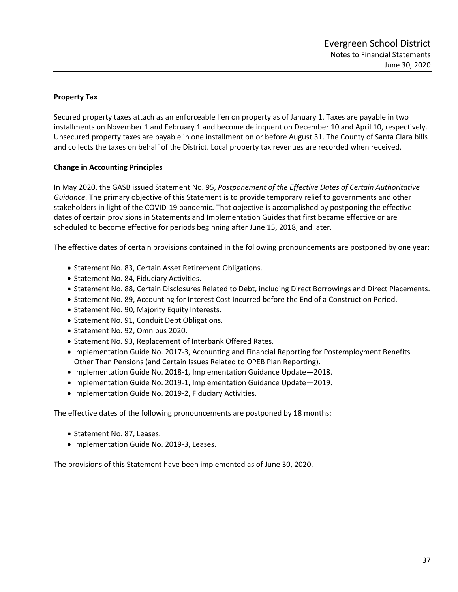## **Property Tax**

Secured property taxes attach as an enforceable lien on property as of January 1. Taxes are payable in two installments on November 1 and February 1 and become delinquent on December 10 and April 10, respectively. Unsecured property taxes are payable in one installment on or before August 31. The County of Santa Clara bills and collects the taxes on behalf of the District. Local property tax revenues are recorded when received.

## **Change in Accounting Principles**

In May 2020, the GASB issued Statement No. 95, *Postponement of the Effective Dates of Certain Authoritative Guidance*. The primary objective of this Statement is to provide temporary relief to governments and other stakeholders in light of the COVID‐19 pandemic. That objective is accomplished by postponing the effective dates of certain provisions in Statements and Implementation Guides that first became effective or are scheduled to become effective for periods beginning after June 15, 2018, and later.

The effective dates of certain provisions contained in the following pronouncements are postponed by one year:

- Statement No. 83, Certain Asset Retirement Obligations.
- Statement No. 84, Fiduciary Activities.
- Statement No. 88, Certain Disclosures Related to Debt, including Direct Borrowings and Direct Placements.
- Statement No. 89, Accounting for Interest Cost Incurred before the End of a Construction Period.
- Statement No. 90, Majority Equity Interests.
- Statement No. 91, Conduit Debt Obligations.
- Statement No. 92, Omnibus 2020.
- Statement No. 93, Replacement of Interbank Offered Rates.
- Implementation Guide No. 2017-3, Accounting and Financial Reporting for Postemployment Benefits Other Than Pensions (and Certain Issues Related to OPEB Plan Reporting).
- Implementation Guide No. 2018-1, Implementation Guidance Update–2018.
- Implementation Guide No. 2019-1, Implementation Guidance Update–2019.
- Implementation Guide No. 2019-2, Fiduciary Activities.

The effective dates of the following pronouncements are postponed by 18 months:

- Statement No. 87, Leases.
- Implementation Guide No. 2019-3, Leases.

The provisions of this Statement have been implemented as of June 30, 2020.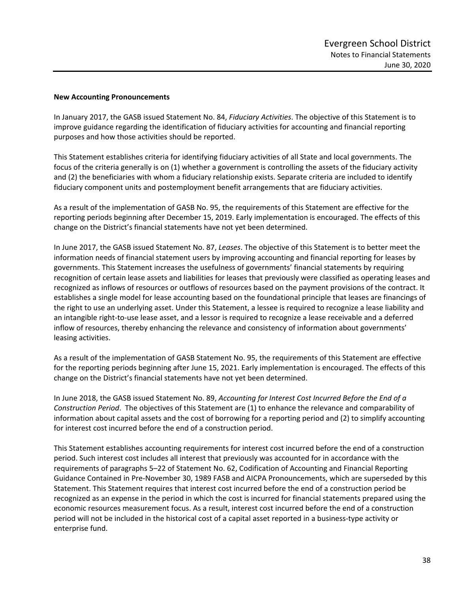#### **New Accounting Pronouncements**

In January 2017, the GASB issued Statement No. 84, *Fiduciary Activities*. The objective of this Statement is to improve guidance regarding the identification of fiduciary activities for accounting and financial reporting purposes and how those activities should be reported.

This Statement establishes criteria for identifying fiduciary activities of all State and local governments. The focus of the criteria generally is on (1) whether a government is controlling the assets of the fiduciary activity and (2) the beneficiaries with whom a fiduciary relationship exists. Separate criteria are included to identify fiduciary component units and postemployment benefit arrangements that are fiduciary activities.

As a result of the implementation of GASB No. 95, the requirements of this Statement are effective for the reporting periods beginning after December 15, 2019. Early implementation is encouraged. The effects of this change on the District's financial statements have not yet been determined.

In June 2017, the GASB issued Statement No. 87, *Leases*. The objective of this Statement is to better meet the information needs of financial statement users by improving accounting and financial reporting for leases by governments. This Statement increases the usefulness of governments' financial statements by requiring recognition of certain lease assets and liabilities for leases that previously were classified as operating leases and recognized as inflows of resources or outflows of resources based on the payment provisions of the contract. It establishes a single model for lease accounting based on the foundational principle that leases are financings of the right to use an underlying asset. Under this Statement, a lessee is required to recognize a lease liability and an intangible right‐to‐use lease asset, and a lessor is required to recognize a lease receivable and a deferred inflow of resources, thereby enhancing the relevance and consistency of information about governments' leasing activities.

As a result of the implementation of GASB Statement No. 95, the requirements of this Statement are effective for the reporting periods beginning after June 15, 2021. Early implementation is encouraged. The effects of this change on the District's financial statements have not yet been determined.

In June 2018, the GASB issued Statement No. 89, *Accounting for Interest Cost Incurred Before the End of a Construction Period*. The objectives of this Statement are (1) to enhance the relevance and comparability of information about capital assets and the cost of borrowing for a reporting period and (2) to simplify accounting for interest cost incurred before the end of a construction period.

This Statement establishes accounting requirements for interest cost incurred before the end of a construction period. Such interest cost includes all interest that previously was accounted for in accordance with the requirements of paragraphs 5–22 of Statement No. 62, Codification of Accounting and Financial Reporting Guidance Contained in Pre‐November 30, 1989 FASB and AICPA Pronouncements, which are superseded by this Statement. This Statement requires that interest cost incurred before the end of a construction period be recognized as an expense in the period in which the cost is incurred for financial statements prepared using the economic resources measurement focus. As a result, interest cost incurred before the end of a construction period will not be included in the historical cost of a capital asset reported in a business‐type activity or enterprise fund.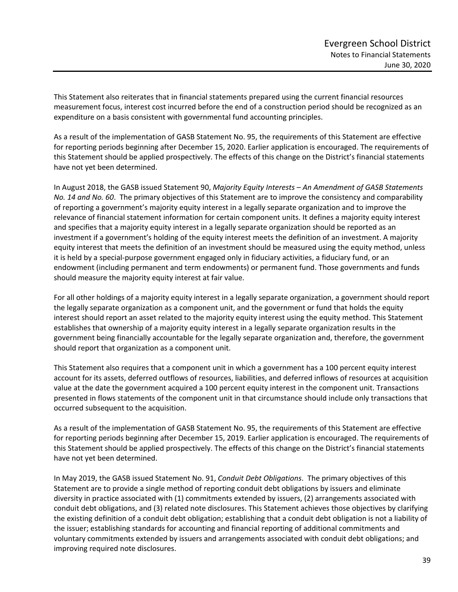This Statement also reiterates that in financial statements prepared using the current financial resources measurement focus, interest cost incurred before the end of a construction period should be recognized as an expenditure on a basis consistent with governmental fund accounting principles.

As a result of the implementation of GASB Statement No. 95, the requirements of this Statement are effective for reporting periods beginning after December 15, 2020. Earlier application is encouraged. The requirements of this Statement should be applied prospectively. The effects of this change on the District's financial statements have not yet been determined.

In August 2018, the GASB issued Statement 90, *Majority Equity Interests – An Amendment of GASB Statements No. 14 and No. 60*. The primary objectives of this Statement are to improve the consistency and comparability of reporting a government's majority equity interest in a legally separate organization and to improve the relevance of financial statement information for certain component units. It defines a majority equity interest and specifies that a majority equity interest in a legally separate organization should be reported as an investment if a government's holding of the equity interest meets the definition of an investment. A majority equity interest that meets the definition of an investment should be measured using the equity method, unless it is held by a special‐purpose government engaged only in fiduciary activities, a fiduciary fund, or an endowment (including permanent and term endowments) or permanent fund. Those governments and funds should measure the majority equity interest at fair value.

For all other holdings of a majority equity interest in a legally separate organization, a government should report the legally separate organization as a component unit, and the government or fund that holds the equity interest should report an asset related to the majority equity interest using the equity method. This Statement establishes that ownership of a majority equity interest in a legally separate organization results in the government being financially accountable for the legally separate organization and, therefore, the government should report that organization as a component unit.

This Statement also requires that a component unit in which a government has a 100 percent equity interest account for its assets, deferred outflows of resources, liabilities, and deferred inflows of resources at acquisition value at the date the government acquired a 100 percent equity interest in the component unit. Transactions presented in flows statements of the component unit in that circumstance should include only transactions that occurred subsequent to the acquisition.

As a result of the implementation of GASB Statement No. 95, the requirements of this Statement are effective for reporting periods beginning after December 15, 2019. Earlier application is encouraged. The requirements of this Statement should be applied prospectively. The effects of this change on the District's financial statements have not yet been determined.

In May 2019, the GASB issued Statement No. 91, *Conduit Debt Obligations*. The primary objectives of this Statement are to provide a single method of reporting conduit debt obligations by issuers and eliminate diversity in practice associated with (1) commitments extended by issuers, (2) arrangements associated with conduit debt obligations, and (3) related note disclosures. This Statement achieves those objectives by clarifying the existing definition of a conduit debt obligation; establishing that a conduit debt obligation is not a liability of the issuer; establishing standards for accounting and financial reporting of additional commitments and voluntary commitments extended by issuers and arrangements associated with conduit debt obligations; and improving required note disclosures.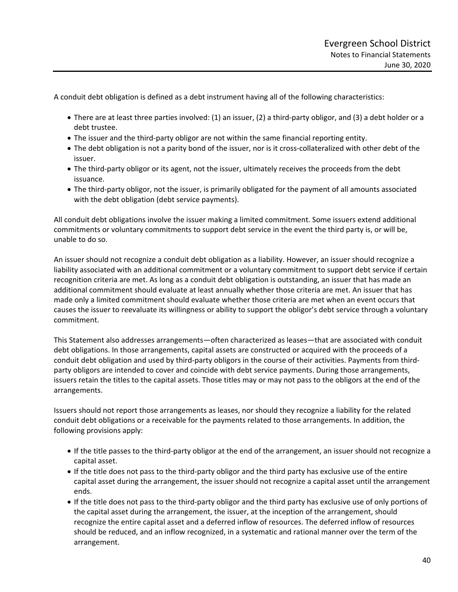A conduit debt obligation is defined as a debt instrument having all of the following characteristics:

- There are at least three parties involved: (1) an issuer, (2) a third‐party obligor, and (3) a debt holder or a debt trustee.
- The issuer and the third-party obligor are not within the same financial reporting entity.
- The debt obligation is not a parity bond of the issuer, nor is it cross‐collateralized with other debt of the issuer.
- The third-party obligor or its agent, not the issuer, ultimately receives the proceeds from the debt issuance.
- The third-party obligor, not the issuer, is primarily obligated for the payment of all amounts associated with the debt obligation (debt service payments).

All conduit debt obligations involve the issuer making a limited commitment. Some issuers extend additional commitments or voluntary commitments to support debt service in the event the third party is, or will be, unable to do so.

An issuer should not recognize a conduit debt obligation as a liability. However, an issuer should recognize a liability associated with an additional commitment or a voluntary commitment to support debt service if certain recognition criteria are met. As long as a conduit debt obligation is outstanding, an issuer that has made an additional commitment should evaluate at least annually whether those criteria are met. An issuer that has made only a limited commitment should evaluate whether those criteria are met when an event occurs that causes the issuer to reevaluate its willingness or ability to support the obligor's debt service through a voluntary commitment.

This Statement also addresses arrangements—often characterized as leases—that are associated with conduit debt obligations. In those arrangements, capital assets are constructed or acquired with the proceeds of a conduit debt obligation and used by third‐party obligors in the course of their activities. Payments from third‐ party obligors are intended to cover and coincide with debt service payments. During those arrangements, issuers retain the titles to the capital assets. Those titles may or may not pass to the obligors at the end of the arrangements.

Issuers should not report those arrangements as leases, nor should they recognize a liability for the related conduit debt obligations or a receivable for the payments related to those arrangements. In addition, the following provisions apply:

- If the title passes to the third-party obligor at the end of the arrangement, an issuer should not recognize a capital asset.
- If the title does not pass to the third-party obligor and the third party has exclusive use of the entire capital asset during the arrangement, the issuer should not recognize a capital asset until the arrangement ends.
- If the title does not pass to the third-party obligor and the third party has exclusive use of only portions of the capital asset during the arrangement, the issuer, at the inception of the arrangement, should recognize the entire capital asset and a deferred inflow of resources. The deferred inflow of resources should be reduced, and an inflow recognized, in a systematic and rational manner over the term of the arrangement.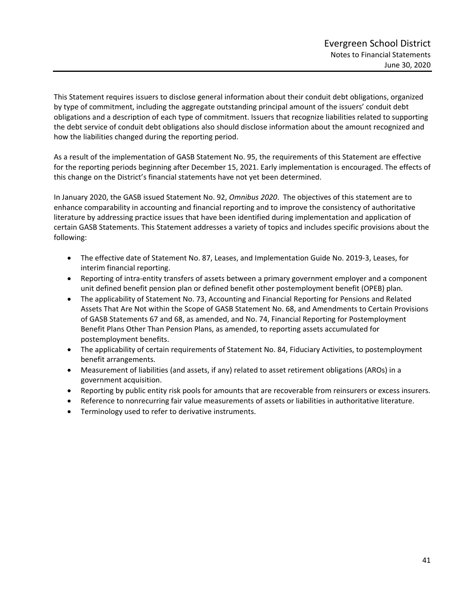This Statement requires issuers to disclose general information about their conduit debt obligations, organized by type of commitment, including the aggregate outstanding principal amount of the issuers' conduit debt obligations and a description of each type of commitment. Issuers that recognize liabilities related to supporting the debt service of conduit debt obligations also should disclose information about the amount recognized and how the liabilities changed during the reporting period.

As a result of the implementation of GASB Statement No. 95, the requirements of this Statement are effective for the reporting periods beginning after December 15, 2021. Early implementation is encouraged. The effects of this change on the District's financial statements have not yet been determined.

In January 2020, the GASB issued Statement No. 92, *Omnibus 2020*. The objectives of this statement are to enhance comparability in accounting and financial reporting and to improve the consistency of authoritative literature by addressing practice issues that have been identified during implementation and application of certain GASB Statements. This Statement addresses a variety of topics and includes specific provisions about the following:

- The effective date of Statement No. 87, Leases, and Implementation Guide No. 2019‐3, Leases, for interim financial reporting.
- Reporting of intra-entity transfers of assets between a primary government employer and a component unit defined benefit pension plan or defined benefit other postemployment benefit (OPEB) plan.
- The applicability of Statement No. 73, Accounting and Financial Reporting for Pensions and Related Assets That Are Not within the Scope of GASB Statement No. 68, and Amendments to Certain Provisions of GASB Statements 67 and 68, as amended, and No. 74, Financial Reporting for Postemployment Benefit Plans Other Than Pension Plans, as amended, to reporting assets accumulated for postemployment benefits.
- The applicability of certain requirements of Statement No. 84, Fiduciary Activities, to postemployment benefit arrangements.
- Measurement of liabilities (and assets, if any) related to asset retirement obligations (AROs) in a government acquisition.
- Reporting by public entity risk pools for amounts that are recoverable from reinsurers or excess insurers.
- Reference to nonrecurring fair value measurements of assets or liabilities in authoritative literature.
- **•** Terminology used to refer to derivative instruments.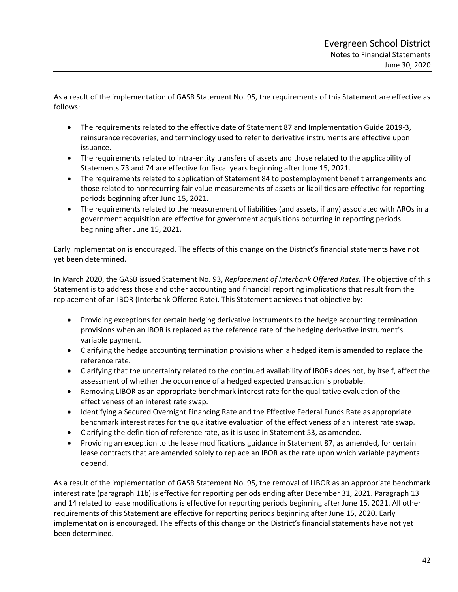As a result of the implementation of GASB Statement No. 95, the requirements of this Statement are effective as follows:

- The requirements related to the effective date of Statement 87 and Implementation Guide 2019‐3, reinsurance recoveries, and terminology used to refer to derivative instruments are effective upon issuance.
- The requirements related to intra‐entity transfers of assets and those related to the applicability of Statements 73 and 74 are effective for fiscal years beginning after June 15, 2021.
- The requirements related to application of Statement 84 to postemployment benefit arrangements and those related to nonrecurring fair value measurements of assets or liabilities are effective for reporting periods beginning after June 15, 2021.
- The requirements related to the measurement of liabilities (and assets, if any) associated with AROs in a government acquisition are effective for government acquisitions occurring in reporting periods beginning after June 15, 2021.

Early implementation is encouraged. The effects of this change on the District's financial statements have not yet been determined.

In March 2020, the GASB issued Statement No. 93, *Replacement of Interbank Offered Rates*. The objective of this Statement is to address those and other accounting and financial reporting implications that result from the replacement of an IBOR (Interbank Offered Rate). This Statement achieves that objective by:

- Providing exceptions for certain hedging derivative instruments to the hedge accounting termination provisions when an IBOR is replaced as the reference rate of the hedging derivative instrument's variable payment.
- Clarifying the hedge accounting termination provisions when a hedged item is amended to replace the reference rate.
- Clarifying that the uncertainty related to the continued availability of IBORs does not, by itself, affect the assessment of whether the occurrence of a hedged expected transaction is probable.
- Removing LIBOR as an appropriate benchmark interest rate for the qualitative evaluation of the effectiveness of an interest rate swap.
- Identifying a Secured Overnight Financing Rate and the Effective Federal Funds Rate as appropriate benchmark interest rates for the qualitative evaluation of the effectiveness of an interest rate swap.
- Clarifying the definition of reference rate, as it is used in Statement 53, as amended.
- Providing an exception to the lease modifications guidance in Statement 87, as amended, for certain lease contracts that are amended solely to replace an IBOR as the rate upon which variable payments depend.

As a result of the implementation of GASB Statement No. 95, the removal of LIBOR as an appropriate benchmark interest rate (paragraph 11b) is effective for reporting periods ending after December 31, 2021. Paragraph 13 and 14 related to lease modifications is effective for reporting periods beginning after June 15, 2021. All other requirements of this Statement are effective for reporting periods beginning after June 15, 2020. Early implementation is encouraged. The effects of this change on the District's financial statements have not yet been determined.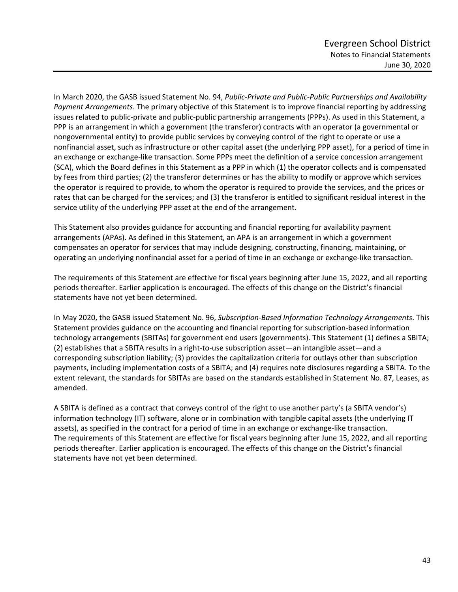In March 2020, the GASB issued Statement No. 94, *Public‐Private and Public‐Public Partnerships and Availability Payment Arrangements*. The primary objective of this Statement is to improve financial reporting by addressing issues related to public‐private and public‐public partnership arrangements (PPPs). As used in this Statement, a PPP is an arrangement in which a government (the transferor) contracts with an operator (a governmental or nongovernmental entity) to provide public services by conveying control of the right to operate or use a nonfinancial asset, such as infrastructure or other capital asset (the underlying PPP asset), for a period of time in an exchange or exchange‐like transaction. Some PPPs meet the definition of a service concession arrangement (SCA), which the Board defines in this Statement as a PPP in which (1) the operator collects and is compensated by fees from third parties; (2) the transferor determines or has the ability to modify or approve which services the operator is required to provide, to whom the operator is required to provide the services, and the prices or rates that can be charged for the services; and (3) the transferor is entitled to significant residual interest in the service utility of the underlying PPP asset at the end of the arrangement.

This Statement also provides guidance for accounting and financial reporting for availability payment arrangements (APAs). As defined in this Statement, an APA is an arrangement in which a government compensates an operator for services that may include designing, constructing, financing, maintaining, or operating an underlying nonfinancial asset for a period of time in an exchange or exchange‐like transaction.

The requirements of this Statement are effective for fiscal years beginning after June 15, 2022, and all reporting periods thereafter. Earlier application is encouraged. The effects of this change on the District's financial statements have not yet been determined.

In May 2020, the GASB issued Statement No. 96, *Subscription‐Based Information Technology Arrangements*. This Statement provides guidance on the accounting and financial reporting for subscription‐based information technology arrangements (SBITAs) for government end users (governments). This Statement (1) defines a SBITA; (2) establishes that a SBITA results in a right‐to‐use subscription asset—an intangible asset—and a corresponding subscription liability; (3) provides the capitalization criteria for outlays other than subscription payments, including implementation costs of a SBITA; and (4) requires note disclosures regarding a SBITA. To the extent relevant, the standards for SBITAs are based on the standards established in Statement No. 87, Leases, as amended.

A SBITA is defined as a contract that conveys control of the right to use another party's (a SBITA vendor's) information technology (IT) software, alone or in combination with tangible capital assets (the underlying IT assets), as specified in the contract for a period of time in an exchange or exchange‐like transaction. The requirements of this Statement are effective for fiscal years beginning after June 15, 2022, and all reporting periods thereafter. Earlier application is encouraged. The effects of this change on the District's financial statements have not yet been determined.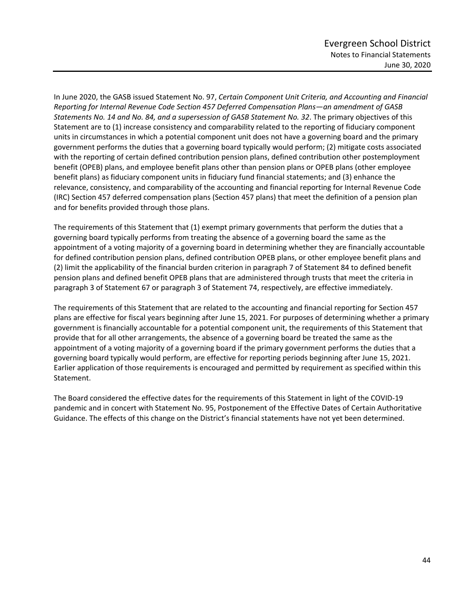In June 2020, the GASB issued Statement No. 97, *Certain Component Unit Criteria, and Accounting and Financial Reporting for Internal Revenue Code Section 457 Deferred Compensation Plans—an amendment of GASB Statements No. 14 and No. 84, and a supersession of GASB Statement No. 32*. The primary objectives of this Statement are to (1) increase consistency and comparability related to the reporting of fiduciary component units in circumstances in which a potential component unit does not have a governing board and the primary government performs the duties that a governing board typically would perform; (2) mitigate costs associated with the reporting of certain defined contribution pension plans, defined contribution other postemployment benefit (OPEB) plans, and employee benefit plans other than pension plans or OPEB plans (other employee benefit plans) as fiduciary component units in fiduciary fund financial statements; and (3) enhance the relevance, consistency, and comparability of the accounting and financial reporting for Internal Revenue Code (IRC) Section 457 deferred compensation plans (Section 457 plans) that meet the definition of a pension plan and for benefits provided through those plans.

The requirements of this Statement that (1) exempt primary governments that perform the duties that a governing board typically performs from treating the absence of a governing board the same as the appointment of a voting majority of a governing board in determining whether they are financially accountable for defined contribution pension plans, defined contribution OPEB plans, or other employee benefit plans and (2) limit the applicability of the financial burden criterion in paragraph 7 of Statement 84 to defined benefit pension plans and defined benefit OPEB plans that are administered through trusts that meet the criteria in paragraph 3 of Statement 67 or paragraph 3 of Statement 74, respectively, are effective immediately.

The requirements of this Statement that are related to the accounting and financial reporting for Section 457 plans are effective for fiscal years beginning after June 15, 2021. For purposes of determining whether a primary government is financially accountable for a potential component unit, the requirements of this Statement that provide that for all other arrangements, the absence of a governing board be treated the same as the appointment of a voting majority of a governing board if the primary government performs the duties that a governing board typically would perform, are effective for reporting periods beginning after June 15, 2021. Earlier application of those requirements is encouraged and permitted by requirement as specified within this Statement.

The Board considered the effective dates for the requirements of this Statement in light of the COVID‐19 pandemic and in concert with Statement No. 95, Postponement of the Effective Dates of Certain Authoritative Guidance. The effects of this change on the District's financial statements have not yet been determined.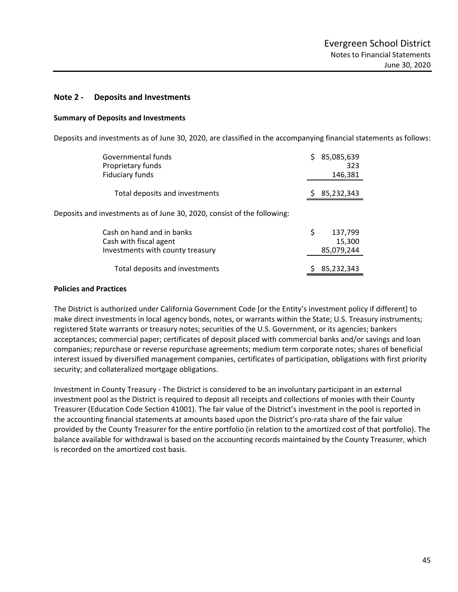### **Note 2 ‐ Deposits and Investments**

#### **Summary of Deposits and Investments**

Deposits and investments as of June 30, 2020, are classified in the accompanying financial statements as follows:

| Governmental funds                                                                      |   | 85,085,639                      |
|-----------------------------------------------------------------------------------------|---|---------------------------------|
| Proprietary funds                                                                       |   | 323                             |
| Fiduciary funds                                                                         |   | 146,381                         |
| Total deposits and investments                                                          |   | 85,232,343                      |
| Deposits and investments as of June 30, 2020, consist of the following:                 |   |                                 |
| Cash on hand and in banks<br>Cash with fiscal agent<br>Investments with county treasury | S | 137,799<br>15,300<br>85,079,244 |
|                                                                                         |   |                                 |

Total deposits and investments  $\angle$  85,232,343

#### **Policies and Practices**

The District is authorized under California Government Code [or the Entity's investment policy if different] to make direct investments in local agency bonds, notes, or warrants within the State; U.S. Treasury instruments; registered State warrants or treasury notes; securities of the U.S. Government, or its agencies; bankers acceptances; commercial paper; certificates of deposit placed with commercial banks and/or savings and loan companies; repurchase or reverse repurchase agreements; medium term corporate notes; shares of beneficial interest issued by diversified management companies, certificates of participation, obligations with first priority security; and collateralized mortgage obligations.

Investment in County Treasury ‐ The District is considered to be an involuntary participant in an external investment pool as the District is required to deposit all receipts and collections of monies with their County Treasurer (Education Code Section 41001). The fair value of the District's investment in the pool is reported in the accounting financial statements at amounts based upon the District's pro-rata share of the fair value provided by the County Treasurer for the entire portfolio (in relation to the amortized cost of that portfolio). The balance available for withdrawal is based on the accounting records maintained by the County Treasurer, which is recorded on the amortized cost basis.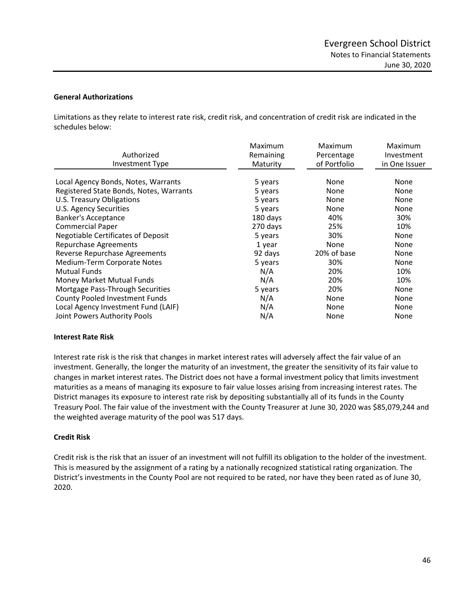### **General Authorizations**

Limitations as they relate to interest rate risk, credit risk, and concentration of credit risk are indicated in the schedules below:

| Authorized<br>Investment Type           | Maximum<br>Remaining<br>Maturity | Maximum<br>Percentage<br>of Portfolio | Maximum<br>Investment<br>in One Issuer |
|-----------------------------------------|----------------------------------|---------------------------------------|----------------------------------------|
| Local Agency Bonds, Notes, Warrants     | 5 years                          | None                                  | None                                   |
| Registered State Bonds, Notes, Warrants | 5 years                          | None                                  | None                                   |
| U.S. Treasury Obligations               | 5 years                          | None                                  | None                                   |
| <b>U.S. Agency Securities</b>           | 5 years                          | None                                  | None                                   |
| Banker's Acceptance                     | 180 days                         | 40%                                   | 30%                                    |
| <b>Commercial Paper</b>                 | 270 days                         | 25%                                   | 10%                                    |
| Negotiable Certificates of Deposit      | 5 years                          | 30%                                   | None                                   |
| <b>Repurchase Agreements</b>            | 1 year                           | None                                  | None                                   |
| Reverse Repurchase Agreements           | 92 days                          | 20% of base                           | None                                   |
| Medium-Term Corporate Notes             | 5 years                          | 30%                                   | <b>None</b>                            |
| <b>Mutual Funds</b>                     | N/A                              | 20%                                   | 10%                                    |
| Money Market Mutual Funds               | N/A                              | 20%                                   | 10%                                    |
| Mortgage Pass-Through Securities        | 5 years                          | 20%                                   | None                                   |
| <b>County Pooled Investment Funds</b>   | N/A                              | None                                  | None                                   |
| Local Agency Investment Fund (LAIF)     | N/A                              | <b>None</b>                           | <b>None</b>                            |
| Joint Powers Authority Pools            | N/A                              | <b>None</b>                           | <b>None</b>                            |

### **Interest Rate Risk**

Interest rate risk is the risk that changes in market interest rates will adversely affect the fair value of an investment. Generally, the longer the maturity of an investment, the greater the sensitivity of its fair value to changes in market interest rates. The District does not have a formal investment policy that limits investment maturities as a means of managing its exposure to fair value losses arising from increasing interest rates. The District manages its exposure to interest rate risk by depositing substantially all of its funds in the County Treasury Pool. The fair value of the investment with the County Treasurer at June 30, 2020 was \$85,079,244 and the weighted average maturity of the pool was 517 days.

## **Credit Risk**

Credit risk is the risk that an issuer of an investment will not fulfill its obligation to the holder of the investment. This is measured by the assignment of a rating by a nationally recognized statistical rating organization. The District's investments in the County Pool are not required to be rated, nor have they been rated as of June 30, 2020.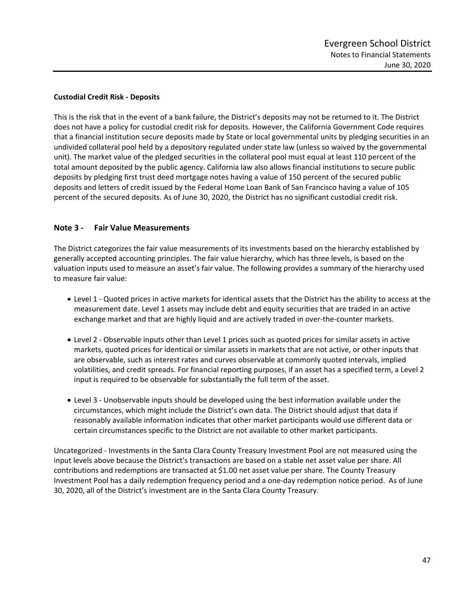## **Custodial Credit Risk ‐ Deposits**

This is the risk that in the event of a bank failure, the District's deposits may not be returned to it. The District does not have a policy for custodial credit risk for deposits. However, the California Government Code requires that a financial institution secure deposits made by State or local governmental units by pledging securities in an undivided collateral pool held by a depository regulated under state law (unless so waived by the governmental unit). The market value of the pledged securities in the collateral pool must equal at least 110 percent of the total amount deposited by the public agency. California law also allows financial institutions to secure public deposits by pledging first trust deed mortgage notes having a value of 150 percent of the secured public deposits and letters of credit issued by the Federal Home Loan Bank of San Francisco having a value of 105 percent of the secured deposits. As of June 30, 2020, the District has no significant custodial credit risk.

## **Note 3 ‐ Fair Value Measurements**

The District categorizes the fair value measurements of its investments based on the hierarchy established by generally accepted accounting principles. The fair value hierarchy, which has three levels, is based on the valuation inputs used to measure an asset's fair value. The following provides a summary of the hierarchy used to measure fair value:

- Level 1 ‐ Quoted prices in active markets for identical assets that the District has the ability to access at the measurement date. Level 1 assets may include debt and equity securities that are traded in an active exchange market and that are highly liquid and are actively traded in over-the-counter markets.
- Level 2 ‐ Observable inputs other than Level 1 prices such as quoted prices for similar assets in active markets, quoted prices for identical or similar assets in markets that are not active, or other inputs that are observable, such as interest rates and curves observable at commonly quoted intervals, implied volatilities, and credit spreads. For financial reporting purposes, if an asset has a specified term, a Level 2 input is required to be observable for substantially the full term of the asset.
- Level 3 Unobservable inputs should be developed using the best information available under the circumstances, which might include the District's own data. The District should adjust that data if reasonably available information indicates that other market participants would use different data or certain circumstances specific to the District are not available to other market participants.

Uncategorized ‐ Investments in the Santa Clara County Treasury Investment Pool are not measured using the input levels above because the District's transactions are based on a stable net asset value per share. All contributions and redemptions are transacted at \$1.00 net asset value per share. The County Treasury Investment Pool has a daily redemption frequency period and a one‐day redemption notice period. As of June 30, 2020, all of the District's investment are in the Santa Clara County Treasury.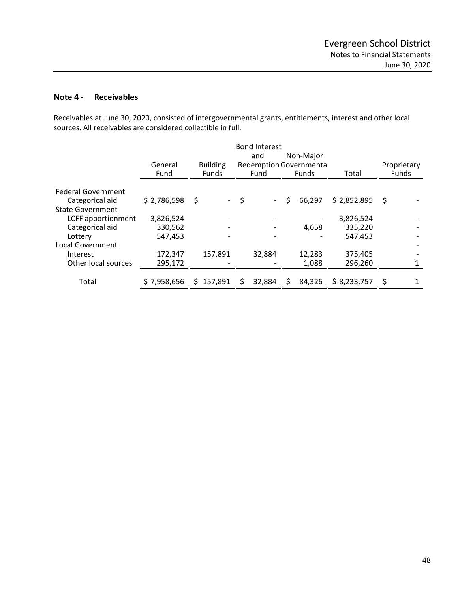## **Note 4 ‐ Receivables**

Receivables at June 30, 2020, consisted of intergovernmental grants, entitlements, interest and other local sources. All receivables are considered collectible in full.

|                           |             |                 |      | <b>Bond Interest</b> |    |                                |             |    |              |
|---------------------------|-------------|-----------------|------|----------------------|----|--------------------------------|-------------|----|--------------|
|                           |             |                 |      | and                  |    | Non-Major                      |             |    |              |
|                           | General     | <b>Building</b> |      |                      |    | <b>Redemption Governmental</b> |             |    | Proprietary  |
|                           | Fund        | <b>Funds</b>    |      | Fund                 |    | <b>Funds</b>                   | Total       |    | <b>Funds</b> |
| <b>Federal Government</b> |             |                 |      |                      |    |                                |             |    |              |
| Categorical aid           | \$2,786,598 | - \$            | - \$ | $\sim$ $-$           | Ŝ. | 66,297                         | \$2,852,895 | -S |              |
| <b>State Government</b>   |             |                 |      |                      |    |                                |             |    |              |
| LCFF apportionment        | 3,826,524   |                 |      |                      |    |                                | 3,826,524   |    |              |
| Categorical aid           | 330,562     |                 |      |                      |    | 4,658                          | 335,220     |    |              |
| Lottery                   | 547,453     |                 |      |                      |    |                                | 547.453     |    |              |
| Local Government          |             |                 |      |                      |    |                                |             |    |              |
| Interest                  | 172,347     | 157,891         |      | 32,884               |    | 12,283                         | 375,405     |    |              |
| Other local sources       | 295,172     |                 |      |                      |    | 1,088                          | 296,260     |    |              |
|                           |             |                 |      |                      |    |                                |             |    |              |
| Total                     | \$7,958,656 | \$157,891       | S    | 32,884               | S  | 84,326                         | \$8,233,757 | \$ |              |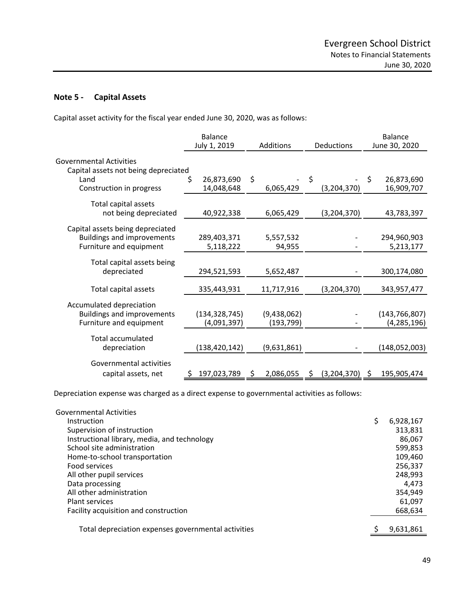# **Note 5 ‐ Capital Assets**

Capital asset activity for the fiscal year ended June 30, 2020, was as follows:

|                                                                                                  | <b>Balance</b><br>July 1, 2019 | Additions                 | Deductions          | <b>Balance</b><br>June 30, 2020  |
|--------------------------------------------------------------------------------------------------|--------------------------------|---------------------------|---------------------|----------------------------------|
| <b>Governmental Activities</b><br>Capital assets not being depreciated                           |                                |                           |                     |                                  |
| Land                                                                                             | \$<br>26,873,690               | \$                        | \$                  | 26,873,690<br>\$                 |
| Construction in progress                                                                         | 14,048,648                     | 6,065,429                 | (3, 204, 370)       | 16,909,707                       |
| Total capital assets<br>not being depreciated                                                    | 40,922,338                     | 6,065,429                 | (3, 204, 370)       | 43,783,397                       |
| Capital assets being depreciated<br><b>Buildings and improvements</b><br>Furniture and equipment | 289,403,371<br>5,118,222       | 5,557,532<br>94,955       |                     | 294,960,903<br>5,213,177         |
| Total capital assets being<br>depreciated                                                        | 294,521,593                    | 5,652,487                 |                     | 300,174,080                      |
| Total capital assets                                                                             | 335,443,931                    | 11,717,916                | (3, 204, 370)       | 343,957,477                      |
| Accumulated depreciation<br><b>Buildings and improvements</b><br>Furniture and equipment         | (134, 328, 745)<br>(4,091,397) | (9,438,062)<br>(193, 799) |                     | (143, 766, 807)<br>(4, 285, 196) |
| <b>Total accumulated</b><br>depreciation                                                         | (138, 420, 142)                | (9,631,861)               |                     | (148,052,003)                    |
| Governmental activities<br>capital assets, net                                                   | 197,023,789                    | 2,086,055<br>S            | (3, 204, 370)<br>\$ | 195,905,474<br>S                 |

Depreciation expense was charged as a direct expense to governmental activities as follows:

| <b>Governmental Activities</b>                      |                 |
|-----------------------------------------------------|-----------------|
| Instruction                                         | \$<br>6,928,167 |
| Supervision of instruction                          | 313,831         |
| Instructional library, media, and technology        | 86.067          |
| School site administration                          | 599,853         |
| Home-to-school transportation                       | 109,460         |
| Food services                                       | 256,337         |
| All other pupil services                            | 248,993         |
| Data processing                                     | 4.473           |
| All other administration                            | 354,949         |
| <b>Plant services</b>                               | 61,097          |
| Facility acquisition and construction               | 668,634         |
|                                                     |                 |
| Total depreciation expenses governmental activities | 9,631,861       |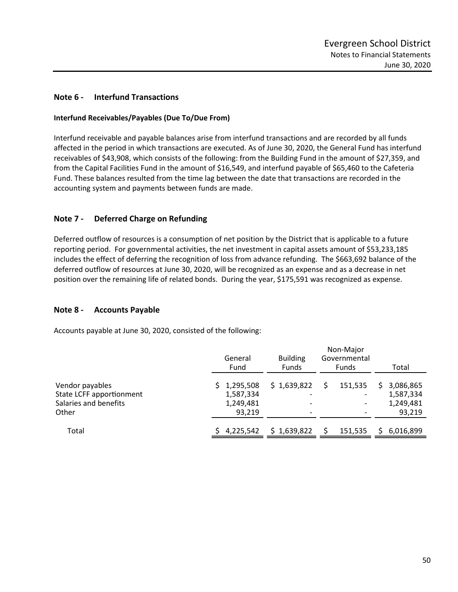## **Note 6 ‐ Interfund Transactions**

## **Interfund Receivables/Payables (Due To/Due From)**

Interfund receivable and payable balances arise from interfund transactions and are recorded by all funds affected in the period in which transactions are executed. As of June 30, 2020, the General Fund has interfund receivables of \$43,908, which consists of the following: from the Building Fund in the amount of \$27,359, and from the Capital Facilities Fund in the amount of \$16,549, and interfund payable of \$65,460 to the Cafeteria Fund. These balances resulted from the time lag between the date that transactions are recorded in the accounting system and payments between funds are made.

## **Note 7 ‐ Deferred Charge on Refunding**

Deferred outflow of resources is a consumption of net position by the District that is applicable to a future reporting period. For governmental activities, the net investment in capital assets amount of \$53,233,185 includes the effect of deferring the recognition of loss from advance refunding. The \$663,692 balance of the deferred outflow of resources at June 30, 2020, will be recognized as an expense and as a decrease in net position over the remaining life of related bonds. During the year, \$175,591 was recognized as expense.

## **Note 8 ‐ Accounts Payable**

Accounts payable at June 30, 2020, consisted of the following:

|                                                   | General<br>Fund        | <b>Building</b><br><b>Funds</b> | Non-Major<br>Governmental<br><b>Funds</b>            | Total                  |
|---------------------------------------------------|------------------------|---------------------------------|------------------------------------------------------|------------------------|
| Vendor payables                                   | 1,295,508              | \$1,639,822                     | 151,535                                              | 3,086,865              |
| State LCFF apportionment<br>Salaries and benefits | 1,587,334<br>1,249,481 | $\overline{\phantom{0}}$        | $\overline{\phantom{a}}$<br>$\overline{\phantom{a}}$ | 1,587,334<br>1,249,481 |
| Other                                             | 93,219                 | $\overline{\phantom{0}}$        | $\overline{\phantom{a}}$                             | 93,219                 |
| Total                                             | 4,225,542              | \$1,639,822                     | 151,535                                              | 6,016,899              |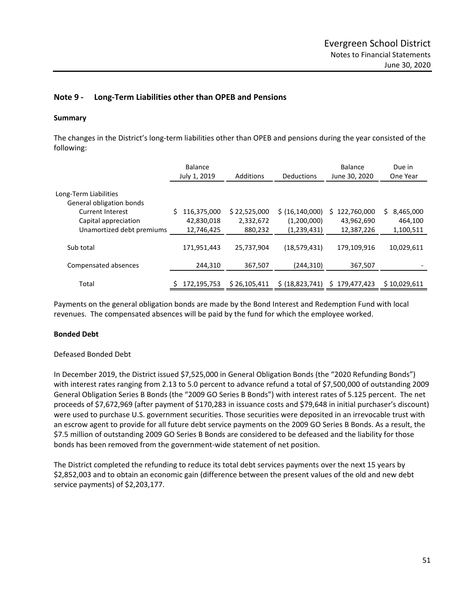## **Note 9 ‐ Long‐Term Liabilities other than OPEB and Pensions**

#### **Summary**

The changes in the District's long‐term liabilities other than OPEB and pensions during the year consisted of the following:

|                                                   | <b>Balance</b><br>July 1, 2019 | Additions                 | <b>Deductions</b>                | Balance<br>June 30, 2020       | Due in<br>One Year         |
|---------------------------------------------------|--------------------------------|---------------------------|----------------------------------|--------------------------------|----------------------------|
| Long-Term Liabilities<br>General obligation bonds |                                |                           |                                  |                                |                            |
| <b>Current Interest</b><br>Capital appreciation   | 116,375,000<br>42,830,018      | \$22,525,000<br>2,332,672 | \$ (16, 140, 000)<br>(1,200,000) | 122,760,000<br>Ś<br>43,962,690 | Ś.<br>8,465,000<br>464,100 |
| Unamortized debt premiums                         | 12,746,425                     | 880,232                   | (1,239,431)                      | 12,387,226                     | 1,100,511                  |
| Sub total                                         | 171,951,443                    | 25,737,904                | (18, 579, 431)                   | 179,109,916                    | 10,029,611                 |
| Compensated absences                              | 244,310                        | 367,507                   | (244, 310)                       | 367,507                        |                            |
| Total                                             | 172,195,753                    | \$26,105,411              | \$ (18,823,741)                  | \$179,477,423                  | \$10.029.611               |

Payments on the general obligation bonds are made by the Bond Interest and Redemption Fund with local revenues. The compensated absences will be paid by the fund for which the employee worked.

#### **Bonded Debt**

### Defeased Bonded Debt

In December 2019, the District issued \$7,525,000 in General Obligation Bonds (the "2020 Refunding Bonds") with interest rates ranging from 2.13 to 5.0 percent to advance refund a total of \$7,500,000 of outstanding 2009 General Obligation Series B Bonds (the "2009 GO Series B Bonds") with interest rates of 5.125 percent. The net proceeds of \$7,672,969 (after payment of \$170,283 in issuance costs and \$79,648 in initial purchaser's discount) were used to purchase U.S. government securities. Those securities were deposited in an irrevocable trust with an escrow agent to provide for all future debt service payments on the 2009 GO Series B Bonds. As a result, the \$7.5 million of outstanding 2009 GO Series B Bonds are considered to be defeased and the liability for those bonds has been removed from the government‐wide statement of net position.

The District completed the refunding to reduce its total debt services payments over the next 15 years by \$2,852,003 and to obtain an economic gain (difference between the present values of the old and new debt service payments) of \$2,203,177.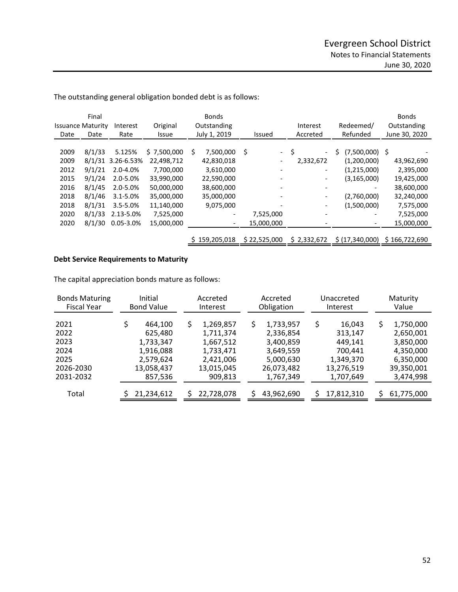Final Bonds Bonds Issuance Maturity Interest Original Outstanding **Interest Redeemed** / Outstanding Date Date Rate Issue July 1, 2019 Issued Accreted Refunded June 30, 2020 2009 8/1/33 5.125% 7,500,000 \$ 7,500,000 \$ ‐ \$ ‐ \$ (7,500,000) \$ ‐ \$ 2009 8/1/31 3.26‐6.53% 22,498,712 42,830,018 ‐ 2,332,672 (1,200,000) 43,962,690 2012 9/1/21 2.0‐4.0% 7,700,000 3,610,000 ‐ ‐ (1,215,000) 2,395,000 2015 9/1/24 2.0‐5.0% 33,990,000 22,590,000 ‐ ‐ (3,165,000) 19,425,000 2016 8/1/45 2.0‐5.0% 50,000,000 38,600,000 ‐ ‐ ‐ 38,600,000 2018 8/1/46 3.1‐5.0% 35,000,000 35,000,000 ‐ ‐ (2,760,000) 32,240,000 2018 8/1/31 3.5‐5.0% 11,140,000 9,075,000 ‐ ‐ (1,500,000) 7,575,000 2020 8/1/33 2.13‐5.0% 7,525,000 ‐ 7,525,000 ‐ ‐ 7,525,000 2020 8/1/30 0.05‐3.0% 15,000,000 ‐ 15,000,000 ‐ ‐ 15,000,000  $$ 159,205,018 $ 22,525,000 $ 2,332,672 $ (17,340,000) $ 166,722,690$ 

The outstanding general obligation bonded debt is as follows:

#### **Debt Service Requirements to Maturity**

The capital appreciation bonds mature as follows:

| <b>Bonds Maturing</b><br><b>Fiscal Year</b> | Initial<br><b>Bond Value</b> | Accreted<br>Interest | Accreted<br>Obligation |    | Unaccreted<br>Interest |    | Maturity<br>Value |
|---------------------------------------------|------------------------------|----------------------|------------------------|----|------------------------|----|-------------------|
| 2021                                        | 464,100                      | 1,269,857<br>\$      | 1,733,957              | \$ | 16,043                 | \$ | 1,750,000         |
| 2022                                        | 625,480                      | 1,711,374            | 2,336,854              |    | 313,147                |    | 2,650,001         |
| 2023                                        | 1,733,347                    | 1,667,512            | 3,400,859              |    | 449,141                |    | 3,850,000         |
| 2024                                        | 1,916,088                    | 1,733,471            | 3,649,559              |    | 700,441                |    | 4,350,000         |
| 2025                                        | 2,579,624                    | 2,421,006            | 5,000,630              |    | 1,349,370              |    | 6,350,000         |
| 2026-2030                                   | 13,058,437                   | 13,015,045           | 26,073,482             |    | 13,276,519             |    | 39,350,001        |
| 2031-2032                                   | 857,536                      | 909,813              | 1,767,349              |    | 1,707,649              |    | 3,474,998         |
| Total                                       | 21,234,612                   | 22,728,078           | 43,962,690             | S. | 17,812,310             |    | 61,775,000        |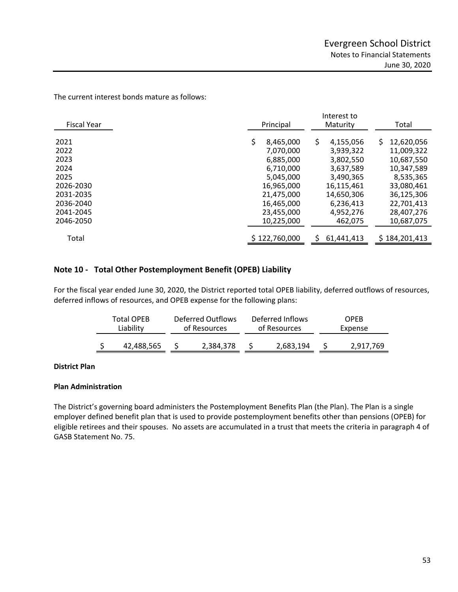The current interest bonds mature as follows:

| Fiscal Year | Principal     | Interest to<br>Maturity | Total           |
|-------------|---------------|-------------------------|-----------------|
|             |               |                         |                 |
| 2021        | 8,465,000     | Ś.<br>4,155,056         | S<br>12,620,056 |
| 2022        | 7.070.000     | 3,939,322               | 11,009,322      |
| 2023        | 6,885,000     | 3,802,550               | 10,687,550      |
| 2024        | 6,710,000     | 3,637,589               | 10,347,589      |
| 2025        | 5,045,000     | 3,490,365               | 8,535,365       |
| 2026-2030   | 16,965,000    | 16,115,461              | 33,080,461      |
| 2031-2035   | 21,475,000    | 14,650,306              | 36,125,306      |
| 2036-2040   | 16,465,000    | 6,236,413               | 22,701,413      |
| 2041-2045   | 23,455,000    | 4,952,276               | 28,407,276      |
| 2046-2050   | 10,225,000    | 462,075                 | 10,687,075      |
|             |               |                         |                 |
| Total       | \$122,760,000 | 61,441,413              | \$184,201,413   |

## **Note 10 ‐ Total Other Postemployment Benefit (OPEB) Liability**

For the fiscal year ended June 30, 2020, the District reported total OPEB liability, deferred outflows of resources, deferred inflows of resources, and OPEB expense for the following plans:

| <b>Total OPEB</b><br>Liability | Deferred Outflows<br>of Resources |           | Deferred Inflows<br>of Resources |           |  |           | <b>OPEB</b><br>Expense |  |
|--------------------------------|-----------------------------------|-----------|----------------------------------|-----------|--|-----------|------------------------|--|
| 42,488,565                     |                                   | 2,384,378 |                                  | 2,683,194 |  | 2,917,769 |                        |  |

## **District Plan**

### **Plan Administration**

The District's governing board administers the Postemployment Benefits Plan (the Plan). The Plan is a single employer defined benefit plan that is used to provide postemployment benefits other than pensions (OPEB) for eligible retirees and their spouses. No assets are accumulated in a trust that meets the criteria in paragraph 4 of GASB Statement No. 75.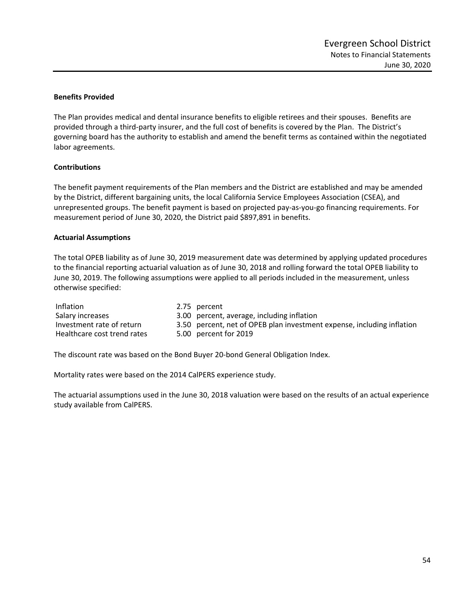### **Benefits Provided**

The Plan provides medical and dental insurance benefits to eligible retirees and their spouses. Benefits are provided through a third‐party insurer, and the full cost of benefits is covered by the Plan. The District's governing board has the authority to establish and amend the benefit terms as contained within the negotiated labor agreements.

#### **Contributions**

The benefit payment requirements of the Plan members and the District are established and may be amended by the District, different bargaining units, the local California Service Employees Association (CSEA), and unrepresented groups. The benefit payment is based on projected pay‐as‐you‐go financing requirements. For measurement period of June 30, 2020, the District paid \$897,891 in benefits.

#### **Actuarial Assumptions**

The total OPEB liability as of June 30, 2019 measurement date was determined by applying updated procedures to the financial reporting actuarial valuation as of June 30, 2018 and rolling forward the total OPEB liability to June 30, 2019. The following assumptions were applied to all periods included in the measurement, unless otherwise specified:

| Inflation                   | 2.75 percent                                                           |
|-----------------------------|------------------------------------------------------------------------|
| Salary increases            | 3.00 percent, average, including inflation                             |
| Investment rate of return   | 3.50 percent, net of OPEB plan investment expense, including inflation |
| Healthcare cost trend rates | 5.00 percent for 2019                                                  |

The discount rate was based on the Bond Buyer 20‐bond General Obligation Index.

Mortality rates were based on the 2014 CalPERS experience study.

The actuarial assumptions used in the June 30, 2018 valuation were based on the results of an actual experience study available from CalPERS.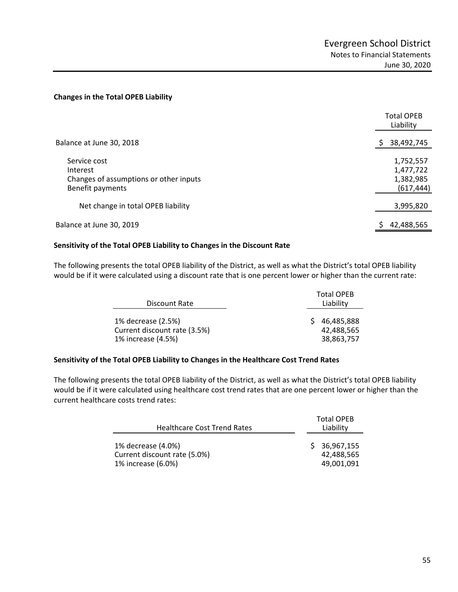#### **Changes in the Total OPEB Liability**

|                                                                                        | <b>Total OPEB</b><br>Liability                    |
|----------------------------------------------------------------------------------------|---------------------------------------------------|
| Balance at June 30, 2018                                                               | 38,492,745                                        |
| Service cost<br>Interest<br>Changes of assumptions or other inputs<br>Benefit payments | 1,752,557<br>1,477,722<br>1,382,985<br>(617, 444) |
| Net change in total OPEB liability                                                     | 3,995,820                                         |
| Balance at June 30, 2019                                                               | 42,488,565                                        |

#### **Sensitivity of the Total OPEB Liability to Changes in the Discount Rate**

The following presents the total OPEB liability of the District, as well as what the District's total OPEB liability would be if it were calculated using a discount rate that is one percent lower or higher than the current rate:

| Discount Rate                                                            | <b>Total OPEB</b><br>Liability |                                        |
|--------------------------------------------------------------------------|--------------------------------|----------------------------------------|
| 1% decrease (2.5%)<br>Current discount rate (3.5%)<br>1% increase (4.5%) |                                | 46,485,888<br>42,488,565<br>38,863,757 |

### **Sensitivity of the Total OPEB Liability to Changes in the Healthcare Cost Trend Rates**

The following presents the total OPEB liability of the District, as well as what the District's total OPEB liability would be if it were calculated using healthcare cost trend rates that are one percent lower or higher than the current healthcare costs trend rates:

| <b>Healthcare Cost Trend Rates</b>                                       |  | <b>Total OPEB</b><br>Liability           |
|--------------------------------------------------------------------------|--|------------------------------------------|
| 1% decrease (4.0%)<br>Current discount rate (5.0%)<br>1% increase (6.0%) |  | \$36,967,155<br>42,488,565<br>49.001.091 |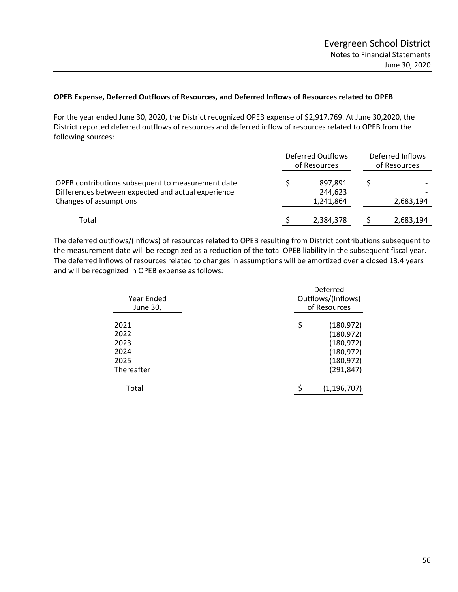#### **OPEB Expense, Deferred Outflows of Resources, and Deferred Inflows of Resources related to OPEB**

For the year ended June 30, 2020, the District recognized OPEB expense of \$2,917,769. At June 30,2020, the District reported deferred outflows of resources and deferred inflow of resources related to OPEB from the following sources:

|                                                                                                                                   | Deferred Outflows<br>of Resources | Deferred Inflows<br>of Resources |           |
|-----------------------------------------------------------------------------------------------------------------------------------|-----------------------------------|----------------------------------|-----------|
| OPEB contributions subsequent to measurement date<br>Differences between expected and actual experience<br>Changes of assumptions | 897.891<br>244,623<br>1,241,864   |                                  | 2,683,194 |
| Total                                                                                                                             | 2,384,378                         |                                  | 2,683,194 |

The deferred outflows/(inflows) of resources related to OPEB resulting from District contributions subsequent to the measurement date will be recognized as a reduction of the total OPEB liability in the subsequent fiscal year. The deferred inflows of resources related to changes in assumptions will be amortized over a closed 13.4 years and will be recognized in OPEB expense as follows:

| \$<br>2021<br>2022<br>2023<br>2024<br>2025<br>Thereafter<br>(1, 196, 707)<br>Total | Year Ended<br>June 30, | Deferred<br>Outflows/(Inflows)<br>of Resources |                                                                                 |  |
|------------------------------------------------------------------------------------|------------------------|------------------------------------------------|---------------------------------------------------------------------------------|--|
|                                                                                    |                        |                                                | (180, 972)<br>(180, 972)<br>(180, 972)<br>(180, 972)<br>(180, 972)<br>(291,847) |  |
|                                                                                    |                        |                                                |                                                                                 |  |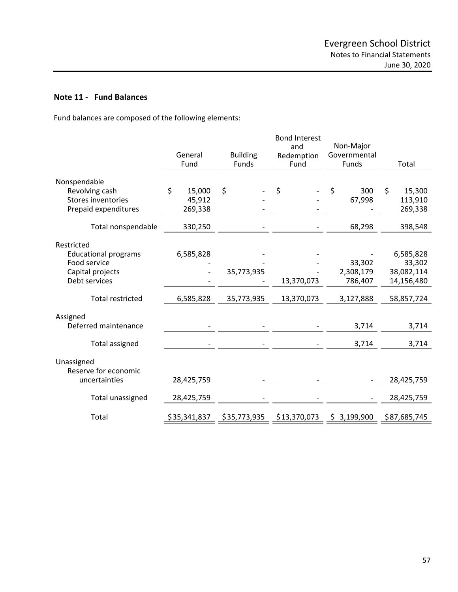## **Note 11 ‐ Fund Balances**

Fund balances are composed of the following elements:

|                                    | General<br>Fund | <b>Building</b><br>Funds | <b>Bond Interest</b><br>and<br>Redemption<br>Fund | Non-Major<br>Governmental<br>Funds | Total        |
|------------------------------------|-----------------|--------------------------|---------------------------------------------------|------------------------------------|--------------|
| Nonspendable                       |                 |                          |                                                   |                                    |              |
| Revolving cash                     | \$<br>15,000    | \$                       | \$                                                | \$<br>300                          | \$<br>15,300 |
| Stores inventories                 | 45,912          |                          |                                                   | 67,998                             | 113,910      |
| Prepaid expenditures               | 269,338         |                          |                                                   |                                    | 269,338      |
| Total nonspendable                 | 330,250         |                          |                                                   | 68,298                             | 398,548      |
| Restricted                         |                 |                          |                                                   |                                    |              |
| <b>Educational programs</b>        | 6,585,828       |                          |                                                   |                                    | 6,585,828    |
| Food service                       |                 |                          |                                                   | 33,302                             | 33,302       |
| Capital projects                   |                 | 35,773,935               |                                                   | 2,308,179                          | 38,082,114   |
| Debt services                      |                 |                          | 13,370,073                                        | 786,407                            | 14,156,480   |
| <b>Total restricted</b>            | 6,585,828       | 35,773,935               | 13,370,073                                        | 3,127,888                          | 58,857,724   |
| Assigned                           |                 |                          |                                                   |                                    |              |
| Deferred maintenance               |                 |                          |                                                   | 3,714                              | 3,714        |
| <b>Total assigned</b>              |                 |                          |                                                   | 3,714                              | 3,714        |
| Unassigned<br>Reserve for economic |                 |                          |                                                   |                                    |              |
| uncertainties                      | 28,425,759      |                          |                                                   |                                    | 28,425,759   |
| Total unassigned                   | 28,425,759      |                          |                                                   |                                    | 28,425,759   |
| Total                              | \$35,341,837    | \$35,773,935             | \$13,370,073                                      | \$3,199,900                        | \$87,685,745 |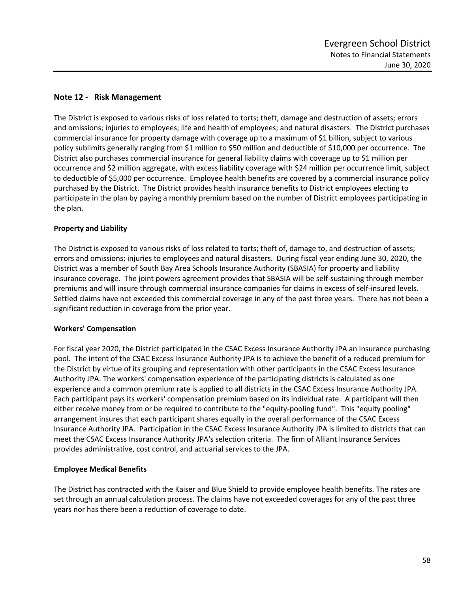## **Note 12 ‐ Risk Management**

The District is exposed to various risks of loss related to torts; theft, damage and destruction of assets; errors and omissions; injuries to employees; life and health of employees; and natural disasters. The District purchases commercial insurance for property damage with coverage up to a maximum of \$1 billion, subject to various policy sublimits generally ranging from \$1 million to \$50 million and deductible of \$10,000 per occurrence. The District also purchases commercial insurance for general liability claims with coverage up to \$1 million per occurrence and \$2 million aggregate, with excess liability coverage with \$24 million per occurrence limit, subject to deductible of \$5,000 per occurrence. Employee health benefits are covered by a commercial insurance policy purchased by the District. The District provides health insurance benefits to District employees electing to participate in the plan by paying a monthly premium based on the number of District employees participating in the plan.

## **Property and Liability**

The District is exposed to various risks of loss related to torts; theft of, damage to, and destruction of assets; errors and omissions; injuries to employees and natural disasters. During fiscal year ending June 30, 2020, the District was a member of South Bay Area Schools Insurance Authority (SBASIA) for property and liability insurance coverage. The joint powers agreement provides that SBASIA will be self‐sustaining through member premiums and will insure through commercial insurance companies for claims in excess of self‐insured levels. Settled claims have not exceeded this commercial coverage in any of the past three years. There has not been a significant reduction in coverage from the prior year.

## **Workers' Compensation**

For fiscal year 2020, the District participated in the CSAC Excess Insurance Authority JPA an insurance purchasing pool. The intent of the CSAC Excess Insurance Authority JPA is to achieve the benefit of a reduced premium for the District by virtue of its grouping and representation with other participants in the CSAC Excess Insurance Authority JPA. The workers' compensation experience of the participating districts is calculated as one experience and a common premium rate is applied to all districts in the CSAC Excess Insurance Authority JPA. Each participant pays its workers' compensation premium based on its individual rate. A participant will then either receive money from or be required to contribute to the "equity-pooling fund". This "equity pooling" arrangement insures that each participant shares equally in the overall performance of the CSAC Excess Insurance Authority JPA. Participation in the CSAC Excess Insurance Authority JPA is limited to districts that can meet the CSAC Excess Insurance Authority JPA's selection criteria. The firm of Alliant Insurance Services provides administrative, cost control, and actuarial services to the JPA.

## **Employee Medical Benefits**

The District has contracted with the Kaiser and Blue Shield to provide employee health benefits. The rates are set through an annual calculation process. The claims have not exceeded coverages for any of the past three years nor has there been a reduction of coverage to date.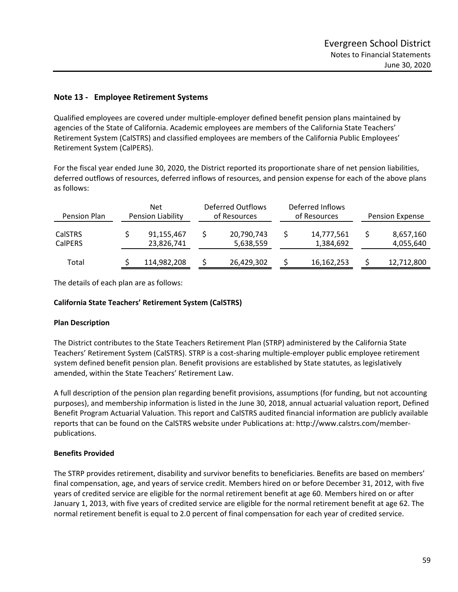## **Note 13 ‐ Employee Retirement Systems**

Qualified employees are covered under multiple‐employer defined benefit pension plans maintained by agencies of the State of California. Academic employees are members of the California State Teachers' Retirement System (CalSTRS) and classified employees are members of the California Public Employees' Retirement System (CalPERS).

For the fiscal year ended June 30, 2020, the District reported its proportionate share of net pension liabilities, deferred outflows of resources, deferred inflows of resources, and pension expense for each of the above plans as follows:

| Pension Plan                     | Net<br>Pension Liability | Deferred Outflows<br>of Resources | Deferred Inflows<br>of Resources | <b>Pension Expense</b> |
|----------------------------------|--------------------------|-----------------------------------|----------------------------------|------------------------|
| <b>CalSTRS</b><br><b>CalPERS</b> | 91,155,467<br>23,826,741 | 20,790,743<br>5,638,559           | 14,777,561<br>1,384,692          | 8,657,160<br>4,055,640 |
| Total                            | 114,982,208              | 26,429,302                        | 16,162,253                       | 12,712,800             |

The details of each plan are as follows:

## **California State Teachers' Retirement System (CalSTRS)**

### **Plan Description**

The District contributes to the State Teachers Retirement Plan (STRP) administered by the California State Teachers' Retirement System (CalSTRS). STRP is a cost-sharing multiple-employer public employee retirement system defined benefit pension plan. Benefit provisions are established by State statutes, as legislatively amended, within the State Teachers' Retirement Law.

A full description of the pension plan regarding benefit provisions, assumptions (for funding, but not accounting purposes), and membership information is listed in the June 30, 2018, annual actuarial valuation report, Defined Benefit Program Actuarial Valuation. This report and CalSTRS audited financial information are publicly available reports that can be found on the CalSTRS website under Publications at: http://www.calstrs.com/member‐ publications.

## **Benefits Provided**

The STRP provides retirement, disability and survivor benefits to beneficiaries. Benefits are based on members' final compensation, age, and years of service credit. Members hired on or before December 31, 2012, with five years of credited service are eligible for the normal retirement benefit at age 60. Members hired on or after January 1, 2013, with five years of credited service are eligible for the normal retirement benefit at age 62. The normal retirement benefit is equal to 2.0 percent of final compensation for each year of credited service.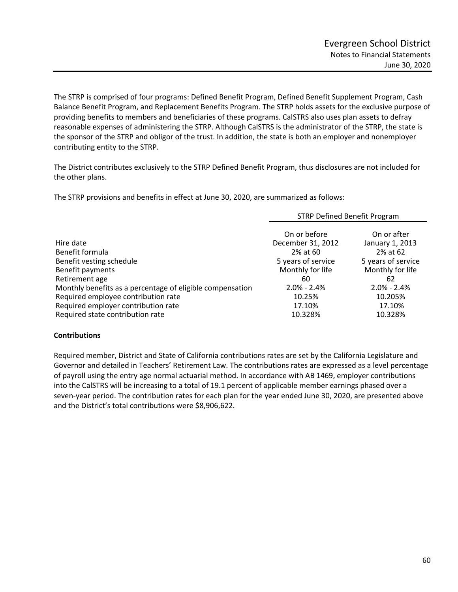STRP Defined Benefit Program

The STRP is comprised of four programs: Defined Benefit Program, Defined Benefit Supplement Program, Cash Balance Benefit Program, and Replacement Benefits Program. The STRP holds assets for the exclusive purpose of providing benefits to members and beneficiaries of these programs. CalSTRS also uses plan assets to defray reasonable expenses of administering the STRP. Although CalSTRS is the administrator of the STRP, the state is the sponsor of the STRP and obligor of the trust. In addition, the state is both an employer and nonemployer contributing entity to the STRP.

The District contributes exclusively to the STRP Defined Benefit Program, thus disclosures are not included for the other plans.

The STRP provisions and benefits in effect at June 30, 2020, are summarized as follows:

|                                                           | On or before       | On or after        |
|-----------------------------------------------------------|--------------------|--------------------|
| Hire date                                                 | December 31, 2012  | January 1, 2013    |
| Benefit formula                                           | 2% at 60           | 2% at 62           |
| Benefit vesting schedule                                  | 5 years of service | 5 years of service |
| Benefit payments                                          | Monthly for life   | Monthly for life   |
| Retirement age                                            | 60                 | 62                 |
| Monthly benefits as a percentage of eligible compensation | $2.0\% - 2.4\%$    | $2.0\% - 2.4\%$    |
| Required employee contribution rate                       | 10.25%             | 10.205%            |
| Required employer contribution rate                       | 17.10%             | 17.10%             |
| Required state contribution rate                          | 10.328%            | 10.328%            |

### **Contributions**

Required member, District and State of California contributions rates are set by the California Legislature and Governor and detailed in Teachers' Retirement Law. The contributions rates are expressed as a level percentage of payroll using the entry age normal actuarial method. In accordance with AB 1469, employer contributions into the CalSTRS will be increasing to a total of 19.1 percent of applicable member earnings phased over a seven-year period. The contribution rates for each plan for the year ended June 30, 2020, are presented above and the District's total contributions were \$8,906,622.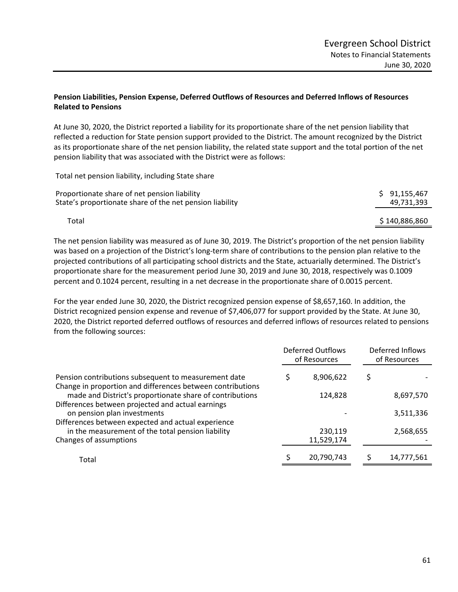## **Pension Liabilities, Pension Expense, Deferred Outflows of Resources and Deferred Inflows of Resources Related to Pensions**

At June 30, 2020, the District reported a liability for its proportionate share of the net pension liability that reflected a reduction for State pension support provided to the District. The amount recognized by the District as its proportionate share of the net pension liability, the related state support and the total portion of the net pension liability that was associated with the District were as follows:

Total net pension liability, including State share

| Proportionate share of net pension liability             | \$91,155,467  |
|----------------------------------------------------------|---------------|
| State's proportionate share of the net pension liability | 49,731,393    |
| Total                                                    | \$140,886,860 |

The net pension liability was measured as of June 30, 2019. The District's proportion of the net pension liability was based on a projection of the District's long-term share of contributions to the pension plan relative to the projected contributions of all participating school districts and the State, actuarially determined. The District's proportionate share for the measurement period June 30, 2019 and June 30, 2018, respectively was 0.1009 percent and 0.1024 percent, resulting in a net decrease in the proportionate share of 0.0015 percent.

For the year ended June 30, 2020, the District recognized pension expense of \$8,657,160. In addition, the District recognized pension expense and revenue of \$7,406,077 for support provided by the State. At June 30, 2020, the District reported deferred outflows of resources and deferred inflows of resources related to pensions from the following sources:

|                                                                                                                                   | Deferred Outflows<br>of Resources |                       | Deferred Inflows<br>of Resources |            |
|-----------------------------------------------------------------------------------------------------------------------------------|-----------------------------------|-----------------------|----------------------------------|------------|
| Pension contributions subsequent to measurement date                                                                              | S                                 | 8,906,622             | S                                |            |
| Change in proportion and differences between contributions<br>made and District's proportionate share of contributions            |                                   | 124,828               |                                  | 8,697,570  |
| Differences between projected and actual earnings<br>on pension plan investments                                                  |                                   |                       |                                  | 3,511,336  |
| Differences between expected and actual experience<br>in the measurement of the total pension liability<br>Changes of assumptions |                                   | 230,119<br>11,529,174 |                                  | 2,568,655  |
|                                                                                                                                   |                                   |                       |                                  |            |
| Total                                                                                                                             | S                                 | 20,790,743            |                                  | 14,777,561 |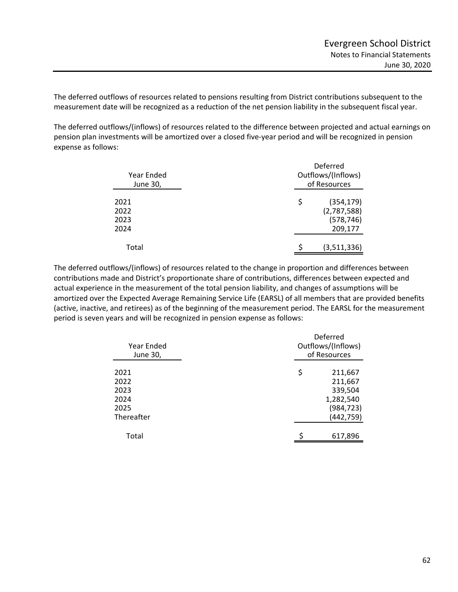The deferred outflows of resources related to pensions resulting from District contributions subsequent to the measurement date will be recognized as a reduction of the net pension liability in the subsequent fiscal year.

The deferred outflows/(inflows) of resources related to the difference between projected and actual earnings on pension plan investments will be amortized over a closed five‐year period and will be recognized in pension expense as follows:

| Year Ended<br>June 30,       | Deferred<br>Outflows/(Inflows)<br>of Resources           |
|------------------------------|----------------------------------------------------------|
| 2021<br>2022<br>2023<br>2024 | \$<br>(354, 179)<br>(2,787,588)<br>(578, 746)<br>209,177 |
| Total                        | (3,511,336)                                              |

The deferred outflows/(inflows) of resources related to the change in proportion and differences between contributions made and District's proportionate share of contributions, differences between expected and actual experience in the measurement of the total pension liability, and changes of assumptions will be amortized over the Expected Average Remaining Service Life (EARSL) of all members that are provided benefits (active, inactive, and retirees) as of the beginning of the measurement period. The EARSL for the measurement period is seven years and will be recognized in pension expense as follows:

| Year Ended<br>June 30,                             | Deferred<br>Outflows/(Inflows)<br>of Resources |                                                                        |  |
|----------------------------------------------------|------------------------------------------------|------------------------------------------------------------------------|--|
| 2021<br>2022<br>2023<br>2024<br>2025<br>Thereafter | \$                                             | 211,667<br>211,667<br>339,504<br>1,282,540<br>(984, 723)<br>(442, 759) |  |
| Total                                              |                                                | 617,896                                                                |  |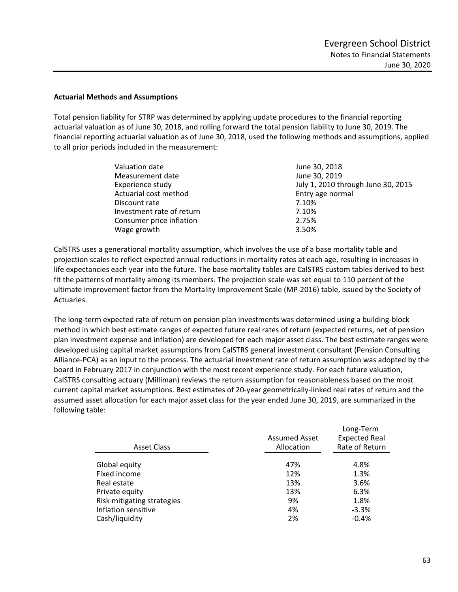#### **Actuarial Methods and Assumptions**

Total pension liability for STRP was determined by applying update procedures to the financial reporting actuarial valuation as of June 30, 2018, and rolling forward the total pension liability to June 30, 2019. The financial reporting actuarial valuation as of June 30, 2018, used the following methods and assumptions, applied to all prior periods included in the measurement:

| Valuation date            | June 30, 2018                      |
|---------------------------|------------------------------------|
| Measurement date          | June 30, 2019                      |
| Experience study          | July 1, 2010 through June 30, 2015 |
| Actuarial cost method     | Entry age normal                   |
| Discount rate             | 7.10%                              |
| Investment rate of return | 7.10%                              |
| Consumer price inflation  | 2.75%                              |
| Wage growth               | 3.50%                              |

CalSTRS uses a generational mortality assumption, which involves the use of a base mortality table and projection scales to reflect expected annual reductions in mortality rates at each age, resulting in increases in life expectancies each year into the future. The base mortality tables are CalSTRS custom tables derived to best fit the patterns of mortality among its members. The projection scale was set equal to 110 percent of the ultimate improvement factor from the Mortality Improvement Scale (MP‐2016) table, issued by the Society of Actuaries.

The long‐term expected rate of return on pension plan investments was determined using a building‐block method in which best estimate ranges of expected future real rates of return (expected returns, net of pension plan investment expense and inflation) are developed for each major asset class. The best estimate ranges were developed using capital market assumptions from CalSTRS general investment consultant (Pension Consulting Alliance‐PCA) as an input to the process. The actuarial investment rate of return assumption was adopted by the board in February 2017 in conjunction with the most recent experience study. For each future valuation, CalSTRS consulting actuary (Milliman) reviews the return assumption for reasonableness based on the most current capital market assumptions. Best estimates of 20‐year geometrically‐linked real rates of return and the assumed asset allocation for each major asset class for the year ended June 30, 2019, are summarized in the following table:

| Long-Term<br><b>Expected Real</b><br><b>Assumed Asset</b><br>Rate of Return<br>Allocation |         |  |
|-------------------------------------------------------------------------------------------|---------|--|
| 47%                                                                                       | 4.8%    |  |
| 12%                                                                                       | 1.3%    |  |
| 13%                                                                                       | 3.6%    |  |
| 13%                                                                                       | 6.3%    |  |
| 9%                                                                                        | 1.8%    |  |
| 4%                                                                                        | $-3.3%$ |  |
| 2%                                                                                        | $-0.4%$ |  |
|                                                                                           |         |  |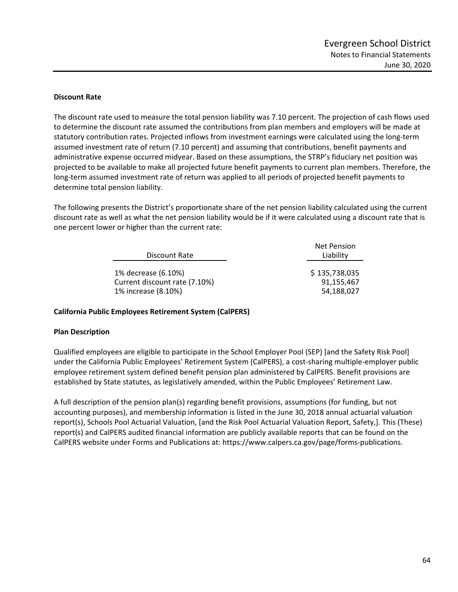## **Discount Rate**

The discount rate used to measure the total pension liability was 7.10 percent. The projection of cash flows used to determine the discount rate assumed the contributions from plan members and employers will be made at statutory contribution rates. Projected inflows from investment earnings were calculated using the long‐term assumed investment rate of return (7.10 percent) and assuming that contributions, benefit payments and administrative expense occurred midyear. Based on these assumptions, the STRP's fiduciary net position was projected to be available to make all projected future benefit payments to current plan members. Therefore, the long‐term assumed investment rate of return was applied to all periods of projected benefit payments to determine total pension liability.

The following presents the District's proportionate share of the net pension liability calculated using the current discount rate as well as what the net pension liability would be if it were calculated using a discount rate that is one percent lower or higher than the current rate:

| Discount Rate                 | <b>Net Pension</b><br>Liability |
|-------------------------------|---------------------------------|
| 1% decrease (6.10%)           | \$135,738,035                   |
| Current discount rate (7.10%) | 91,155,467                      |
| 1% increase (8.10%)           | 54,188,027                      |

### **California Public Employees Retirement System (CalPERS)**

### **Plan Description**

Qualified employees are eligible to participate in the School Employer Pool (SEP) [and the Safety Risk Pool] under the California Public Employees' Retirement System (CalPERS), a cost-sharing multiple-employer public employee retirement system defined benefit pension plan administered by CalPERS. Benefit provisions are established by State statutes, as legislatively amended, within the Public Employees' Retirement Law.

A full description of the pension plan(s) regarding benefit provisions, assumptions (for funding, but not accounting purposes), and membership information is listed in the June 30, 2018 annual actuarial valuation report(s), Schools Pool Actuarial Valuation, [and the Risk Pool Actuarial Valuation Report, Safety,]. This (These) report(s) and CalPERS audited financial information are publicly available reports that can be found on the CalPERS website under Forms and Publications at: https://www.calpers.ca.gov/page/forms‐publications.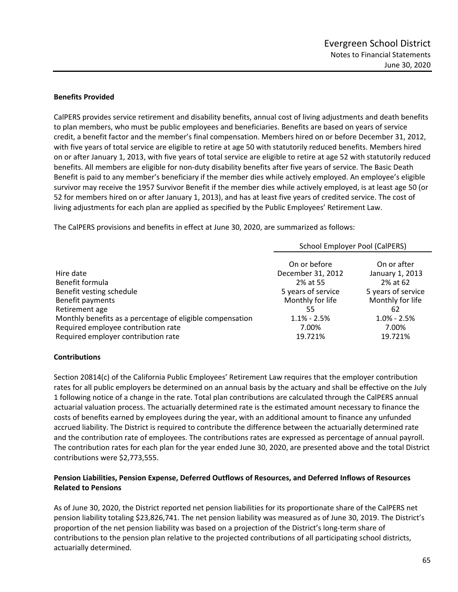### **Benefits Provided**

CalPERS provides service retirement and disability benefits, annual cost of living adjustments and death benefits to plan members, who must be public employees and beneficiaries. Benefits are based on years of service credit, a benefit factor and the member's final compensation. Members hired on or before December 31, 2012, with five years of total service are eligible to retire at age 50 with statutorily reduced benefits. Members hired on or after January 1, 2013, with five years of total service are eligible to retire at age 52 with statutorily reduced benefits. All members are eligible for non‐duty disability benefits after five years of service. The Basic Death Benefit is paid to any member's beneficiary if the member dies while actively employed. An employee's eligible survivor may receive the 1957 Survivor Benefit if the member dies while actively employed, is at least age 50 (or 52 for members hired on or after January 1, 2013), and has at least five years of credited service. The cost of living adjustments for each plan are applied as specified by the Public Employees' Retirement Law.

The CalPERS provisions and benefits in effect at June 30, 2020, are summarized as follows:

|                                                           | <b>School Employer Pool (CalPERS)</b> |                    |
|-----------------------------------------------------------|---------------------------------------|--------------------|
|                                                           | On or before                          | On or after        |
| Hire date                                                 | December 31, 2012                     | January 1, 2013    |
| Benefit formula                                           | 2% at 55                              | 2% at 62           |
| Benefit vesting schedule                                  | 5 years of service                    | 5 years of service |
| Benefit payments                                          | Monthly for life                      | Monthly for life   |
| Retirement age                                            | 55                                    | 62                 |
| Monthly benefits as a percentage of eligible compensation | $1.1\% - 2.5\%$                       | $1.0\% - 2.5\%$    |
| Required employee contribution rate                       | 7.00%                                 | 7.00%              |
| Required employer contribution rate                       | 19.721%                               | 19.721%            |

### **Contributions**

Section 20814(c) of the California Public Employees' Retirement Law requires that the employer contribution rates for all public employers be determined on an annual basis by the actuary and shall be effective on the July 1 following notice of a change in the rate. Total plan contributions are calculated through the CalPERS annual actuarial valuation process. The actuarially determined rate is the estimated amount necessary to finance the costs of benefits earned by employees during the year, with an additional amount to finance any unfunded accrued liability. The District is required to contribute the difference between the actuarially determined rate and the contribution rate of employees. The contributions rates are expressed as percentage of annual payroll. The contribution rates for each plan for the year ended June 30, 2020, are presented above and the total District contributions were \$2,773,555.

## **Pension Liabilities, Pension Expense, Deferred Outflows of Resources, and Deferred Inflows of Resources Related to Pensions**

As of June 30, 2020, the District reported net pension liabilities for its proportionate share of the CalPERS net pension liability totaling \$23,826,741. The net pension liability was measured as of June 30, 2019. The District's proportion of the net pension liability was based on a projection of the District's long‐term share of contributions to the pension plan relative to the projected contributions of all participating school districts, actuarially determined.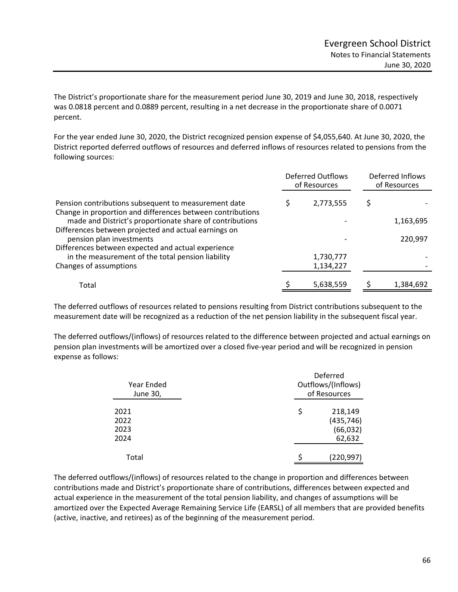The District's proportionate share for the measurement period June 30, 2019 and June 30, 2018, respectively was 0.0818 percent and 0.0889 percent, resulting in a net decrease in the proportionate share of 0.0071 percent.

For the year ended June 30, 2020, the District recognized pension expense of \$4,055,640. At June 30, 2020, the District reported deferred outflows of resources and deferred inflows of resources related to pensions from the following sources:

|                                                                                                                    | Deferred Outflows<br>of Resources |                        | Deferred Inflows<br>of Resources |           |
|--------------------------------------------------------------------------------------------------------------------|-----------------------------------|------------------------|----------------------------------|-----------|
| Pension contributions subsequent to measurement date<br>Change in proportion and differences between contributions |                                   | 2,773,555              |                                  |           |
| made and District's proportionate share of contributions                                                           |                                   |                        |                                  | 1,163,695 |
| Differences between projected and actual earnings on<br>pension plan investments                                   |                                   |                        |                                  | 220,997   |
| Differences between expected and actual experience                                                                 |                                   |                        |                                  |           |
| in the measurement of the total pension liability<br>Changes of assumptions                                        |                                   | 1,730,777<br>1,134,227 |                                  |           |
|                                                                                                                    |                                   |                        |                                  |           |
| Total                                                                                                              |                                   | 5,638,559              |                                  | 1,384,692 |

The deferred outflows of resources related to pensions resulting from District contributions subsequent to the measurement date will be recognized as a reduction of the net pension liability in the subsequent fiscal year.

The deferred outflows/(inflows) of resources related to the difference between projected and actual earnings on pension plan investments will be amortized over a closed five‐year period and will be recognized in pension expense as follows:

| Year Ended<br>June 30,       | Deferred<br>Outflows/(Inflows)<br>of Resources     |
|------------------------------|----------------------------------------------------|
| 2021<br>2022<br>2023<br>2024 | \$<br>218,149<br>(435, 746)<br>(66, 032)<br>62,632 |
| Total                        | (220,997)                                          |

The deferred outflows/(inflows) of resources related to the change in proportion and differences between contributions made and District's proportionate share of contributions, differences between expected and actual experience in the measurement of the total pension liability, and changes of assumptions will be amortized over the Expected Average Remaining Service Life (EARSL) of all members that are provided benefits (active, inactive, and retirees) as of the beginning of the measurement period.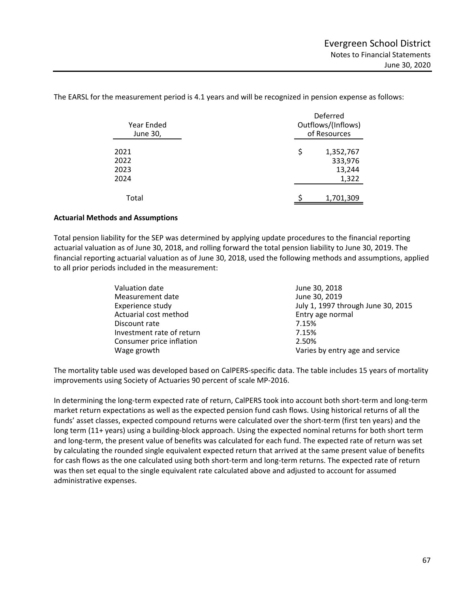| Year Ended<br>June 30,       | Deferred<br>Outflows/(Inflows)<br>of Resources |  |  |
|------------------------------|------------------------------------------------|--|--|
| 2021<br>2022<br>2023<br>2024 | \$<br>1,352,767<br>333,976<br>13,244<br>1,322  |  |  |
| Total                        | 1,701,309                                      |  |  |

The EARSL for the measurement period is 4.1 years and will be recognized in pension expense as follows:

#### **Actuarial Methods and Assumptions**

Total pension liability for the SEP was determined by applying update procedures to the financial reporting actuarial valuation as of June 30, 2018, and rolling forward the total pension liability to June 30, 2019. The financial reporting actuarial valuation as of June 30, 2018, used the following methods and assumptions, applied to all prior periods included in the measurement:

| Valuation date            | June 30, 2018                      |
|---------------------------|------------------------------------|
| Measurement date          | June 30, 2019                      |
| Experience study          | July 1, 1997 through June 30, 2015 |
| Actuarial cost method     | Entry age normal                   |
| Discount rate             | 7.15%                              |
| Investment rate of return | 7.15%                              |
| Consumer price inflation  | 2.50%                              |
| Wage growth               | Varies by entry age and service    |

The mortality table used was developed based on CalPERS‐specific data. The table includes 15 years of mortality improvements using Society of Actuaries 90 percent of scale MP‐2016.

In determining the long‐term expected rate of return, CalPERS took into account both short‐term and long‐term market return expectations as well as the expected pension fund cash flows. Using historical returns of all the funds' asset classes, expected compound returns were calculated over the short-term (first ten years) and the long term (11+ years) using a building‐block approach. Using the expected nominal returns for both short term and long‐term, the present value of benefits was calculated for each fund. The expected rate of return was set by calculating the rounded single equivalent expected return that arrived at the same present value of benefits for cash flows as the one calculated using both short-term and long-term returns. The expected rate of return was then set equal to the single equivalent rate calculated above and adjusted to account for assumed administrative expenses.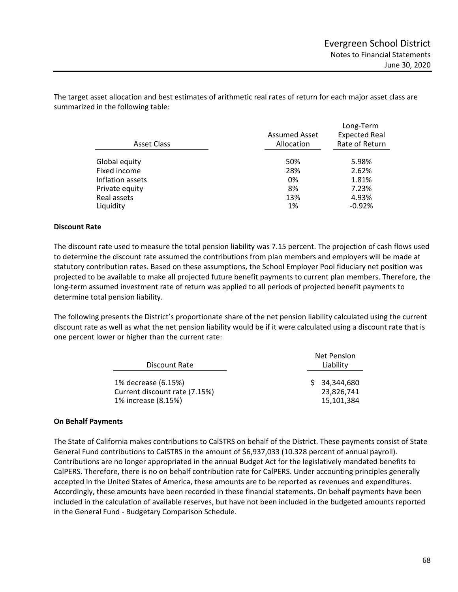Long‐Term

The target asset allocation and best estimates of arithmetic real rates of return for each major asset class are summarized in the following table:

| <b>Asset Class</b> | <b>Assumed Asset</b><br>Allocation | <b>Expected Real</b><br>Rate of Return |  |
|--------------------|------------------------------------|----------------------------------------|--|
| Global equity      | 50%                                | 5.98%                                  |  |
| Fixed income       | 28%                                | 2.62%                                  |  |
| Inflation assets   | 0%                                 | 1.81%                                  |  |
| Private equity     | 8%                                 | 7.23%                                  |  |
| Real assets        | 13%                                | 4.93%                                  |  |
| Liquidity          | 1%                                 | $-0.92%$                               |  |

### **Discount Rate**

The discount rate used to measure the total pension liability was 7.15 percent. The projection of cash flows used to determine the discount rate assumed the contributions from plan members and employers will be made at statutory contribution rates. Based on these assumptions, the School Employer Pool fiduciary net position was projected to be available to make all projected future benefit payments to current plan members. Therefore, the long‐term assumed investment rate of return was applied to all periods of projected benefit payments to determine total pension liability.

The following presents the District's proportionate share of the net pension liability calculated using the current discount rate as well as what the net pension liability would be if it were calculated using a discount rate that is one percent lower or higher than the current rate:

| Discount Rate                                                               | <b>Net Pension</b><br>Liability           |  |
|-----------------------------------------------------------------------------|-------------------------------------------|--|
| 1% decrease (6.15%)<br>Current discount rate (7.15%)<br>1% increase (8.15%) | \$ 34.344.680<br>23,826,741<br>15,101,384 |  |

### **On Behalf Payments**

The State of California makes contributions to CalSTRS on behalf of the District. These payments consist of State General Fund contributions to CalSTRS in the amount of \$6,937,033 (10.328 percent of annual payroll). Contributions are no longer appropriated in the annual Budget Act for the legislatively mandated benefits to CalPERS. Therefore, there is no on behalf contribution rate for CalPERS. Under accounting principles generally accepted in the United States of America, these amounts are to be reported as revenues and expenditures. Accordingly, these amounts have been recorded in these financial statements. On behalf payments have been included in the calculation of available reserves, but have not been included in the budgeted amounts reported in the General Fund ‐ Budgetary Comparison Schedule.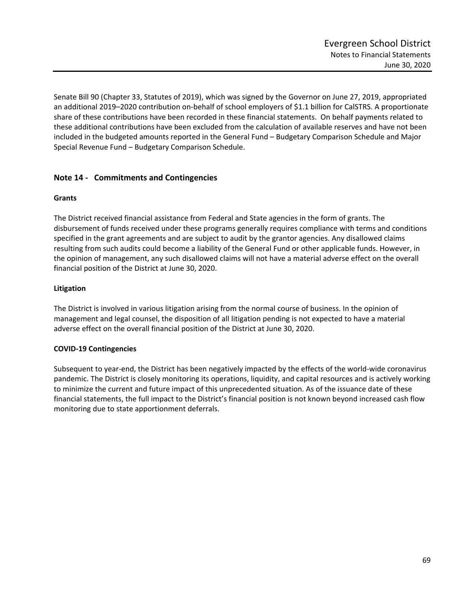Senate Bill 90 (Chapter 33, Statutes of 2019), which was signed by the Governor on June 27, 2019, appropriated an additional 2019–2020 contribution on‐behalf of school employers of \$1.1 billion for CalSTRS. A proportionate share of these contributions have been recorded in these financial statements. On behalf payments related to these additional contributions have been excluded from the calculation of available reserves and have not been included in the budgeted amounts reported in the General Fund – Budgetary Comparison Schedule and Major Special Revenue Fund – Budgetary Comparison Schedule.

## **Note 14 ‐ Commitments and Contingencies**

## **Grants**

The District received financial assistance from Federal and State agencies in the form of grants. The disbursement of funds received under these programs generally requires compliance with terms and conditions specified in the grant agreements and are subject to audit by the grantor agencies. Any disallowed claims resulting from such audits could become a liability of the General Fund or other applicable funds. However, in the opinion of management, any such disallowed claims will not have a material adverse effect on the overall financial position of the District at June 30, 2020.

## **Litigation**

The District is involved in various litigation arising from the normal course of business. In the opinion of management and legal counsel, the disposition of all litigation pending is not expected to have a material adverse effect on the overall financial position of the District at June 30, 2020.

### **COVID‐19 Contingencies**

Subsequent to year-end, the District has been negatively impacted by the effects of the world-wide coronavirus pandemic. The District is closely monitoring its operations, liquidity, and capital resources and is actively working to minimize the current and future impact of this unprecedented situation. As of the issuance date of these financial statements, the full impact to the District's financial position is not known beyond increased cash flow monitoring due to state apportionment deferrals.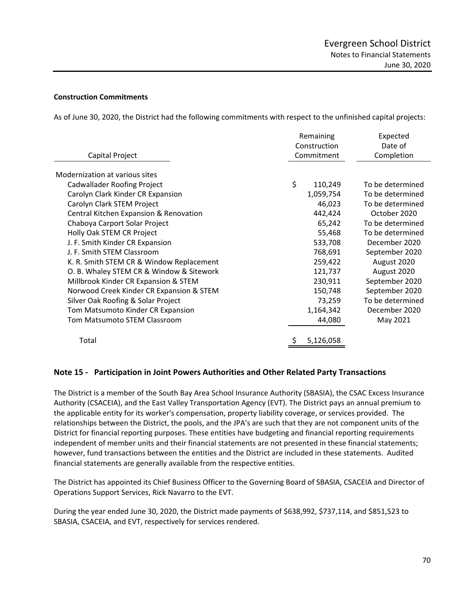## **Construction Commitments**

As of June 30, 2020, the District had the following commitments with respect to the unfinished capital projects:

|                                          | Remaining     | Expected         |
|------------------------------------------|---------------|------------------|
|                                          | Construction  | Date of          |
| Capital Project                          | Commitment    | Completion       |
| Modernization at various sites           |               |                  |
| <b>Cadwallader Roofing Project</b>       | \$<br>110,249 | To be determined |
| Carolyn Clark Kinder CR Expansion        | 1,059,754     | To be determined |
| Carolyn Clark STEM Project               | 46,023        | To be determined |
| Central Kitchen Expansion & Renovation   | 442,424       | October 2020     |
| Chaboya Carport Solar Project            | 65,242        | To be determined |
| Holly Oak STEM CR Project                | 55,468        | To be determined |
| J. F. Smith Kinder CR Expansion          | 533,708       | December 2020    |
| J. F. Smith STEM Classroom               | 768,691       | September 2020   |
| K. R. Smith STEM CR & Window Replacement | 259,422       | August 2020      |
| O. B. Whaley STEM CR & Window & Sitework | 121,737       | August 2020      |
| Millbrook Kinder CR Expansion & STEM     | 230,911       | September 2020   |
| Norwood Creek Kinder CR Expansion & STEM | 150,748       | September 2020   |
| Silver Oak Roofing & Solar Project       | 73,259        | To be determined |
| Tom Matsumoto Kinder CR Expansion        | 1,164,342     | December 2020    |
| Tom Matsumoto STEM Classroom             | 44,080        | May 2021         |
|                                          |               |                  |
| Total                                    | 5,126,058     |                  |

## **Note 15 ‐ Participation in Joint Powers Authorities and Other Related Party Transactions**

The District is a member of the South Bay Area School Insurance Authority (SBASIA), the CSAC Excess Insurance Authority (CSACEIA), and the East Valley Transportation Agency (EVT). The District pays an annual premium to the applicable entity for its worker's compensation, property liability coverage, or services provided. The relationships between the District, the pools, and the JPA's are such that they are not component units of the District for financial reporting purposes. These entities have budgeting and financial reporting requirements independent of member units and their financial statements are not presented in these financial statements; however, fund transactions between the entities and the District are included in these statements. Audited financial statements are generally available from the respective entities.

The District has appointed its Chief Business Officer to the Governing Board of SBASIA, CSACEIA and Director of Operations Support Services, Rick Navarro to the EVT.

During the year ended June 30, 2020, the District made payments of \$638,992, \$737,114, and \$851,523 to SBASIA, CSACEIA, and EVT, respectively for services rendered.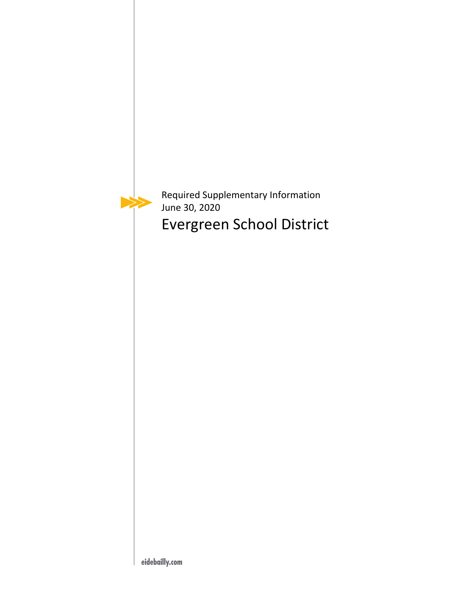

Required Supplementary Information June 30, 2020

# Evergreen School District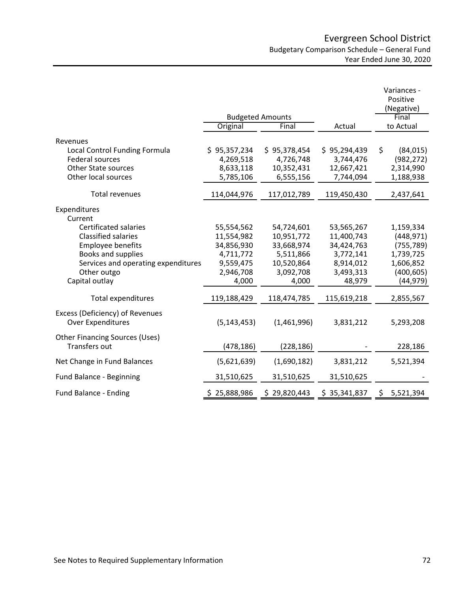|                                                               | Original      | <b>Budgeted Amounts</b><br>Final | Actual       | Variances -<br>Positive<br>(Negative)<br>Final<br>to Actual |
|---------------------------------------------------------------|---------------|----------------------------------|--------------|-------------------------------------------------------------|
| Revenues                                                      |               |                                  |              |                                                             |
| <b>Local Control Funding Formula</b>                          | \$95,357,234  | \$95,378,454                     | \$95,294,439 | \$<br>(84, 015)                                             |
| Federal sources                                               | 4,269,518     | 4,726,748                        | 3,744,476    | (982, 272)                                                  |
| <b>Other State sources</b>                                    | 8,633,118     | 10,352,431                       | 12,667,421   | 2,314,990                                                   |
| Other local sources                                           | 5,785,106     | 6,555,156                        | 7,744,094    | 1,188,938                                                   |
| <b>Total revenues</b>                                         | 114,044,976   | 117,012,789                      | 119,450,430  | 2,437,641                                                   |
| Expenditures<br>Current                                       |               |                                  |              |                                                             |
| Certificated salaries                                         | 55,554,562    | 54,724,601                       | 53,565,267   | 1,159,334                                                   |
| <b>Classified salaries</b>                                    | 11,554,982    | 10,951,772                       | 11,400,743   | (448, 971)                                                  |
| <b>Employee benefits</b>                                      | 34,856,930    | 33,668,974                       | 34,424,763   | (755, 789)                                                  |
| Books and supplies                                            | 4,711,772     | 5,511,866                        | 3,772,141    | 1,739,725                                                   |
| Services and operating expenditures                           | 9,559,475     | 10,520,864                       | 8,914,012    | 1,606,852                                                   |
| Other outgo                                                   | 2,946,708     | 3,092,708                        | 3,493,313    | (400, 605)                                                  |
| Capital outlay                                                | 4,000         | 4,000                            | 48,979       | (44, 979)                                                   |
| <b>Total expenditures</b>                                     | 119,188,429   | 118,474,785                      | 115,619,218  | 2,855,567                                                   |
| Excess (Deficiency) of Revenues<br>Over Expenditures          | (5, 143, 453) | (1,461,996)                      | 3,831,212    | 5,293,208                                                   |
| <b>Other Financing Sources (Uses)</b><br><b>Transfers out</b> | (478, 186)    | (228, 186)                       |              | 228,186                                                     |
| Net Change in Fund Balances                                   | (5,621,639)   | (1,690,182)                      | 3,831,212    | 5,521,394                                                   |
| Fund Balance - Beginning                                      | 31,510,625    | 31,510,625                       | 31,510,625   |                                                             |
| Fund Balance - Ending                                         | \$25,888,986  | \$29,820,443                     | \$35,341,837 | 5,521,394<br>Ş.                                             |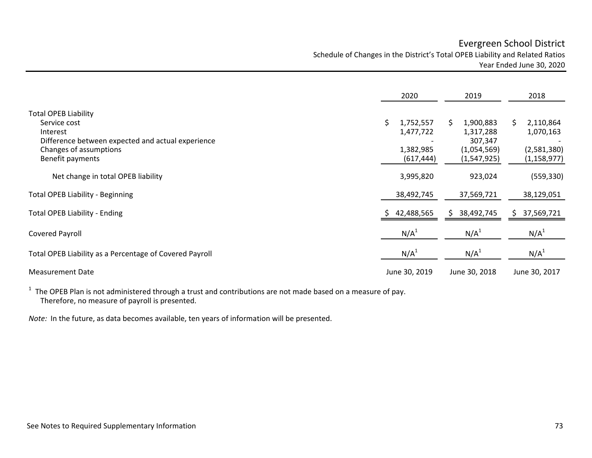## Evergreen School District Schedule of Changes in the District's Total OPEB Liability and Related Ratios Year Ended June 30, 2020

|                                                                                                                                                            | 2020                                                    | 2019                                                                  | 2018                                                         |
|------------------------------------------------------------------------------------------------------------------------------------------------------------|---------------------------------------------------------|-----------------------------------------------------------------------|--------------------------------------------------------------|
| <b>Total OPEB Liability</b><br>Service cost<br>Interest<br>Difference between expected and actual experience<br>Changes of assumptions<br>Benefit payments | \$<br>1,752,557<br>1,477,722<br>1,382,985<br>(617, 444) | 1,900,883<br>S.<br>1,317,288<br>307,347<br>(1,054,569)<br>(1,547,925) | 2,110,864<br>S.<br>1,070,163<br>(2,581,380)<br>(1, 158, 977) |
| Net change in total OPEB liability                                                                                                                         | 3,995,820                                               | 923,024                                                               | (559, 330)                                                   |
| <b>Total OPEB Liability - Beginning</b>                                                                                                                    | 38,492,745                                              | 37,569,721                                                            | 38,129,051                                                   |
| <b>Total OPEB Liability - Ending</b>                                                                                                                       | 42,488,565                                              | 38,492,745                                                            | 37,569,721                                                   |
| Covered Payroll                                                                                                                                            | N/A <sup>1</sup>                                        | N/A <sup>1</sup>                                                      | N/A <sup>1</sup>                                             |
| Total OPEB Liability as a Percentage of Covered Payroll                                                                                                    | N/A <sup>1</sup>                                        | N/A <sup>1</sup>                                                      | N/A <sup>1</sup>                                             |
| <b>Measurement Date</b>                                                                                                                                    | June 30, 2019                                           | June 30, 2018                                                         | June 30, 2017                                                |

 $1$  The OPEB Plan is not administered through a trust and contributions are not made based on a measure of pay. Therefore, no measure of payroll is presented.

*Note:* In the future, as data becomes available, ten years of information will be presented.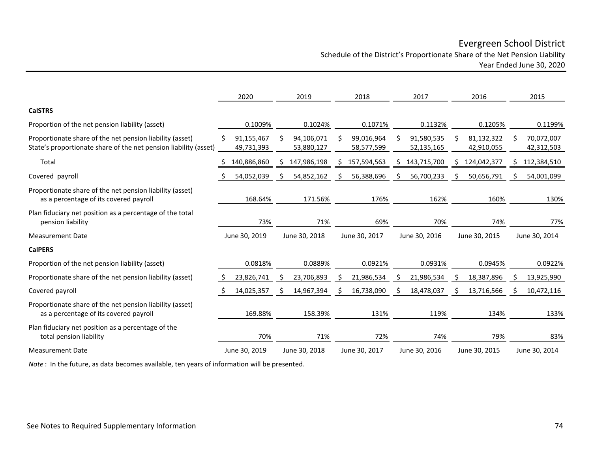## Evergreen School District Schedule of the District's Proportionate Share of the Net Pension Liability

Year Ended June 30, 2020

|                                                                                                                              | 2020 |                          | 2019          |                          | 2018          |                          | 2017          |                          | 2016          |                          | 2015          |                          |
|------------------------------------------------------------------------------------------------------------------------------|------|--------------------------|---------------|--------------------------|---------------|--------------------------|---------------|--------------------------|---------------|--------------------------|---------------|--------------------------|
| <b>CalSTRS</b>                                                                                                               |      |                          |               |                          |               |                          |               |                          |               |                          |               |                          |
| Proportion of the net pension liability (asset)                                                                              |      | 0.1009%                  |               | 0.1024%                  |               | 0.1071%                  |               | 0.1132%                  |               | 0.1205%                  |               | 0.1199%                  |
| Proportionate share of the net pension liability (asset)<br>State's proportionate share of the net pension liability (asset) |      | 91,155,467<br>49,731,393 |               | 94,106,071<br>53,880,127 |               | 99,016,964<br>58,577,599 | S             | 91,580,535<br>52,135,165 |               | 81,132,322<br>42,910,055 |               | 70,072,007<br>42,312,503 |
| Total                                                                                                                        |      | 140,886,860              |               | 147,986,198              | S             | 157,594,563              | S             | 143,715,700              | S             | 124,042,377              | S             | 112,384,510              |
| Covered payroll                                                                                                              |      | 54,052,039               |               | 54,852,162               |               | 56,388,696               | S             | 56,700,233               | S             | 50,656,791               |               | 54,001,099               |
| Proportionate share of the net pension liability (asset)<br>as a percentage of its covered payroll                           |      | 168.64%                  |               | 171.56%                  |               | 176%                     |               | 162%                     |               | 160%                     |               | 130%                     |
| Plan fiduciary net position as a percentage of the total<br>pension liability                                                |      | 73%                      |               | 71%                      |               | 69%                      |               | 70%                      |               | 74%                      |               | 77%                      |
| <b>Measurement Date</b>                                                                                                      |      | June 30, 2019            | June 30, 2018 |                          | June 30, 2017 |                          | June 30, 2016 |                          | June 30, 2015 |                          | June 30, 2014 |                          |
| <b>CalPERS</b>                                                                                                               |      |                          |               |                          |               |                          |               |                          |               |                          |               |                          |
| Proportion of the net pension liability (asset)                                                                              |      | 0.0818%                  |               | 0.0889%                  |               | 0.0921%                  |               | 0.0931%                  |               | 0.0945%                  |               | 0.0922%                  |
| Proportionate share of the net pension liability (asset)                                                                     |      | 23,826,741               |               | 23,706,893               |               | 21,986,534               |               | 21,986,534               | S             | 18,387,896               |               | 13,925,990               |
| Covered payroll                                                                                                              |      | 14,025,357               |               | 14,967,394               | S             | 16,738,090               | S             | 18,478,037               | Ŝ             | 13,716,566               | 5             | 10,472,116               |
| Proportionate share of the net pension liability (asset)<br>as a percentage of its covered payroll                           |      | 169.88%                  |               | 158.39%                  |               | 131%                     |               | 119%                     |               | 134%                     |               | 133%                     |
| Plan fiduciary net position as a percentage of the<br>total pension liability                                                |      | 70%                      |               | 71%                      |               | 72%                      |               | 74%                      |               | 79%                      |               | 83%                      |
| <b>Measurement Date</b>                                                                                                      |      | June 30, 2019            |               | June 30, 2018            |               | June 30, 2017            |               | June 30, 2016            |               | June 30, 2015            |               | June 30, 2014            |

*Note* : In the future, as data becomes available, ten years of information will be presented.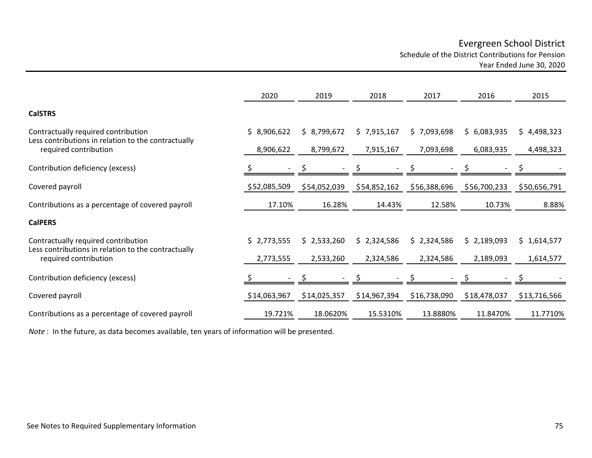## Evergreen School District

Schedule of the District Contributions for Pension

Year Ended June 30, 2020

|                                                                              | 2020         | 2019<br>2018 |              | 2017         | 2016         | 2015         |
|------------------------------------------------------------------------------|--------------|--------------|--------------|--------------|--------------|--------------|
| <b>CalSTRS</b>                                                               |              |              |              |              |              |              |
| Contractually required contribution                                          | \$8,906,622  | \$8,799,672  | \$7,915,167  | \$7,093,698  | \$6,083,935  | \$4,498,323  |
| Less contributions in relation to the contractually<br>required contribution | 8,906,622    | 8,799,672    | 7,915,167    | 7,093,698    | 6,083,935    | 4,498,323    |
| Contribution deficiency (excess)                                             |              |              |              |              |              |              |
| Covered payroll                                                              | \$52,085,509 | \$54,052,039 | \$54,852,162 | \$56,388,696 | \$56,700,233 | \$50,656,791 |
| Contributions as a percentage of covered payroll                             | 17.10%       | 16.28%       | 14.43%       | 12.58%       | 10.73%       | 8.88%        |
| <b>CalPERS</b>                                                               |              |              |              |              |              |              |
| Contractually required contribution                                          | \$2,773,555  | \$2,533,260  | \$2,324,586  | \$2,324,586  | \$2,189,093  | \$1,614,577  |
| Less contributions in relation to the contractually<br>required contribution | 2,773,555    | 2,533,260    | 2,324,586    | 2,324,586    | 2,189,093    | 1,614,577    |
| Contribution deficiency (excess)                                             |              |              |              |              |              |              |
| Covered payroll                                                              | \$14,063,967 | \$14,025,357 | \$14,967,394 | \$16,738,090 | \$18,478,037 | \$13,716,566 |
| Contributions as a percentage of covered payroll                             | 19.721%      | 18.0620%     | 15.5310%     | 13.8880%     | 11.8470%     | 11.7710%     |

*Note* : In the future, as data becomes available, ten years of information will be presented.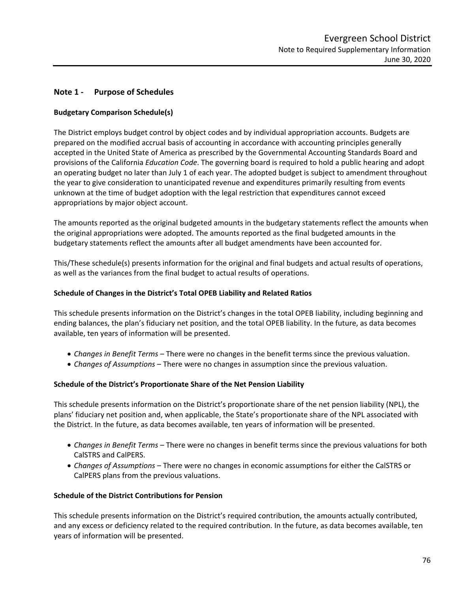## **Note 1 ‐ Purpose of Schedules**

## **Budgetary Comparison Schedule(s)**

The District employs budget control by object codes and by individual appropriation accounts. Budgets are prepared on the modified accrual basis of accounting in accordance with accounting principles generally accepted in the United State of America as prescribed by the Governmental Accounting Standards Board and provisions of the California *Education Code*. The governing board is required to hold a public hearing and adopt an operating budget no later than July 1 of each year. The adopted budget is subject to amendment throughout the year to give consideration to unanticipated revenue and expenditures primarily resulting from events unknown at the time of budget adoption with the legal restriction that expenditures cannot exceed appropriations by major object account.

The amounts reported as the original budgeted amounts in the budgetary statements reflect the amounts when the original appropriations were adopted. The amounts reported as the final budgeted amounts in the budgetary statements reflect the amounts after all budget amendments have been accounted for.

This/These schedule(s) presents information for the original and final budgets and actual results of operations, as well as the variances from the final budget to actual results of operations.

## **Schedule of Changes in the District's Total OPEB Liability and Related Ratios**

This schedule presents information on the District's changes in the total OPEB liability, including beginning and ending balances, the plan's fiduciary net position, and the total OPEB liability. In the future, as data becomes available, ten years of information will be presented.

- *Changes in Benefit Terms* There were no changes in the benefit terms since the previous valuation.
- *Changes of Assumptions* There were no changes in assumption since the previous valuation.

## **Schedule of the District's Proportionate Share of the Net Pension Liability**

This schedule presents information on the District's proportionate share of the net pension liability (NPL), the plans' fiduciary net position and, when applicable, the State's proportionate share of the NPL associated with the District. In the future, as data becomes available, ten years of information will be presented.

- *Changes in Benefit Terms* There were no changes in benefit terms since the previous valuations for both CalSTRS and CalPERS.
- *Changes of Assumptions* There were no changes in economic assumptions for either the CalSTRS or CalPERS plans from the previous valuations.

#### **Schedule of the District Contributions for Pension**

This schedule presents information on the District's required contribution, the amounts actually contributed, and any excess or deficiency related to the required contribution. In the future, as data becomes available, ten years of information will be presented.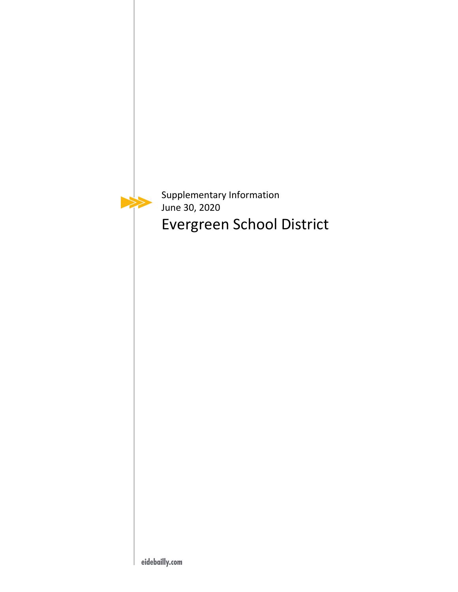$\blacktriangleright$ 

Supplementary Information June 30, 2020 Evergreen School District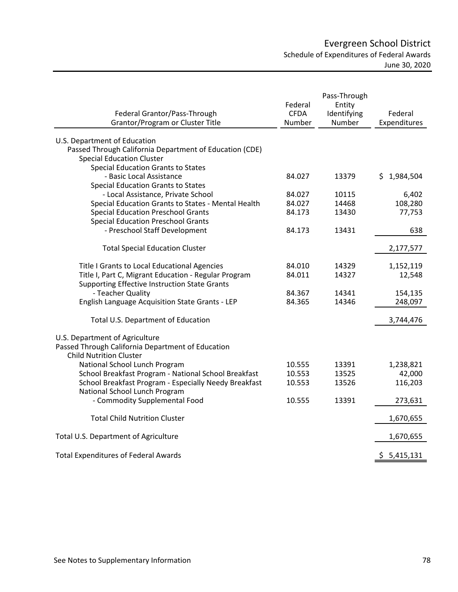| Federal Grantor/Pass-Through<br>Grantor/Program or Cluster Title                                             | Federal<br><b>CFDA</b><br>Number | Pass-Through<br>Entity<br>Identifying<br>Number | Federal<br>Expenditures |
|--------------------------------------------------------------------------------------------------------------|----------------------------------|-------------------------------------------------|-------------------------|
| U.S. Department of Education                                                                                 |                                  |                                                 |                         |
| Passed Through California Department of Education (CDE)                                                      |                                  |                                                 |                         |
| <b>Special Education Cluster</b>                                                                             |                                  |                                                 |                         |
| <b>Special Education Grants to States</b><br>- Basic Local Assistance                                        | 84.027                           | 13379                                           |                         |
| <b>Special Education Grants to States</b>                                                                    |                                  |                                                 | \$1,984,504             |
| - Local Assistance, Private School                                                                           | 84.027                           | 10115                                           | 6,402                   |
| Special Education Grants to States - Mental Health                                                           | 84.027                           | 14468                                           | 108,280                 |
| <b>Special Education Preschool Grants</b>                                                                    | 84.173                           | 13430                                           | 77,753                  |
| <b>Special Education Preschool Grants</b>                                                                    |                                  |                                                 |                         |
| - Preschool Staff Development                                                                                | 84.173                           | 13431                                           | 638                     |
| <b>Total Special Education Cluster</b>                                                                       |                                  |                                                 | 2,177,577               |
|                                                                                                              |                                  |                                                 |                         |
| Title I Grants to Local Educational Agencies                                                                 | 84.010                           | 14329                                           | 1,152,119               |
| Title I, Part C, Migrant Education - Regular Program<br><b>Supporting Effective Instruction State Grants</b> | 84.011                           | 14327                                           | 12,548                  |
| - Teacher Quality                                                                                            | 84.367                           | 14341                                           | 154,135                 |
| English Language Acquisition State Grants - LEP                                                              | 84.365                           | 14346                                           | 248,097                 |
| Total U.S. Department of Education                                                                           |                                  |                                                 | 3,744,476               |
| U.S. Department of Agriculture                                                                               |                                  |                                                 |                         |
| Passed Through California Department of Education                                                            |                                  |                                                 |                         |
| <b>Child Nutrition Cluster</b>                                                                               |                                  |                                                 |                         |
| National School Lunch Program                                                                                | 10.555                           | 13391                                           | 1,238,821               |
| School Breakfast Program - National School Breakfast                                                         | 10.553                           | 13525                                           | 42,000                  |
| School Breakfast Program - Especially Needy Breakfast                                                        | 10.553                           | 13526                                           | 116,203                 |
| National School Lunch Program<br>- Commodity Supplemental Food                                               | 10.555                           | 13391                                           | 273,631                 |
|                                                                                                              |                                  |                                                 |                         |
| <b>Total Child Nutrition Cluster</b>                                                                         |                                  |                                                 | 1,670,655               |
| Total U.S. Department of Agriculture                                                                         |                                  |                                                 | 1,670,655               |
|                                                                                                              |                                  |                                                 |                         |
| <b>Total Expenditures of Federal Awards</b>                                                                  |                                  |                                                 | \$5,415,131             |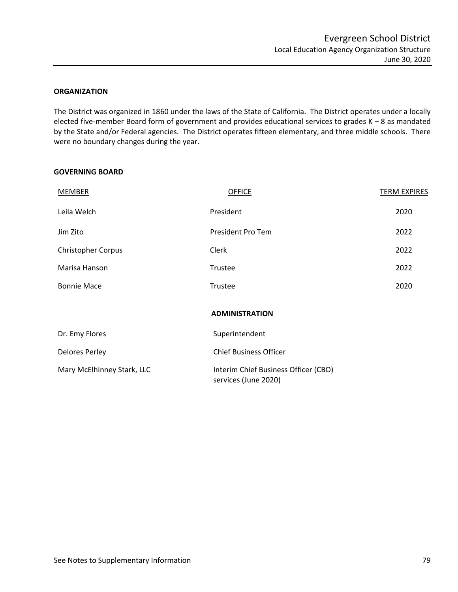## **ORGANIZATION**

The District was organized in 1860 under the laws of the State of California. The District operates under a locally elected five-member Board form of government and provides educational services to grades K - 8 as mandated by the State and/or Federal agencies. The District operates fifteen elementary, and three middle schools. There were no boundary changes during the year.

#### **GOVERNING BOARD**

| <b>MEMBER</b>              | <b>OFFICE</b>                                                | <b>TERM EXPIRES</b> |
|----------------------------|--------------------------------------------------------------|---------------------|
| Leila Welch                | President                                                    | 2020                |
| Jim Zito                   | President Pro Tem                                            | 2022                |
| <b>Christopher Corpus</b>  | Clerk                                                        | 2022                |
| Marisa Hanson              | Trustee                                                      | 2022                |
| <b>Bonnie Mace</b>         | Trustee                                                      | 2020                |
|                            | <b>ADMINISTRATION</b>                                        |                     |
| Dr. Emy Flores             | Superintendent                                               |                     |
| <b>Delores Perley</b>      | <b>Chief Business Officer</b>                                |                     |
| Mary McElhinney Stark, LLC | Interim Chief Business Officer (CBO)<br>services (June 2020) |                     |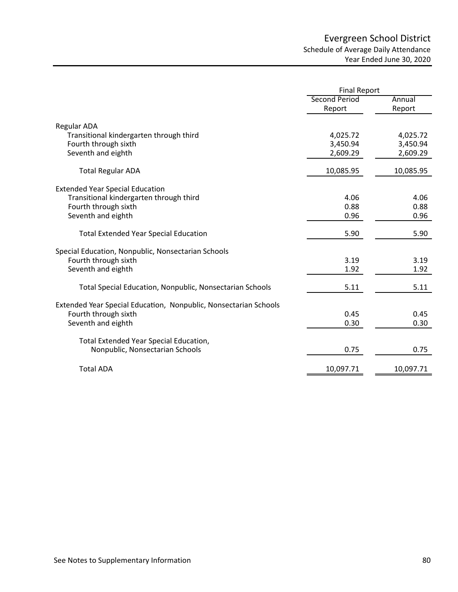|                                                                  | <b>Final Report</b>  |           |
|------------------------------------------------------------------|----------------------|-----------|
|                                                                  | <b>Second Period</b> | Annual    |
|                                                                  | Report               | Report    |
|                                                                  |                      |           |
| Regular ADA                                                      |                      |           |
| Transitional kindergarten through third                          | 4,025.72             | 4,025.72  |
| Fourth through sixth                                             | 3,450.94             | 3,450.94  |
| Seventh and eighth                                               | 2,609.29             | 2,609.29  |
| <b>Total Regular ADA</b>                                         | 10,085.95            | 10,085.95 |
| <b>Extended Year Special Education</b>                           |                      |           |
| Transitional kindergarten through third                          | 4.06                 | 4.06      |
| Fourth through sixth                                             | 0.88                 | 0.88      |
| Seventh and eighth                                               | 0.96                 | 0.96      |
|                                                                  |                      |           |
| <b>Total Extended Year Special Education</b>                     | 5.90                 | 5.90      |
| Special Education, Nonpublic, Nonsectarian Schools               |                      |           |
| Fourth through sixth                                             | 3.19                 | 3.19      |
| Seventh and eighth                                               | 1.92                 | 1.92      |
|                                                                  |                      |           |
| Total Special Education, Nonpublic, Nonsectarian Schools         | 5.11                 | 5.11      |
| Extended Year Special Education, Nonpublic, Nonsectarian Schools |                      |           |
| Fourth through sixth                                             | 0.45                 | 0.45      |
| Seventh and eighth                                               | 0.30                 | 0.30      |
|                                                                  |                      |           |
| Total Extended Year Special Education,                           |                      |           |
| Nonpublic, Nonsectarian Schools                                  | 0.75                 | 0.75      |
| <b>Total ADA</b>                                                 | 10,097.71            | 10,097.71 |
|                                                                  |                      |           |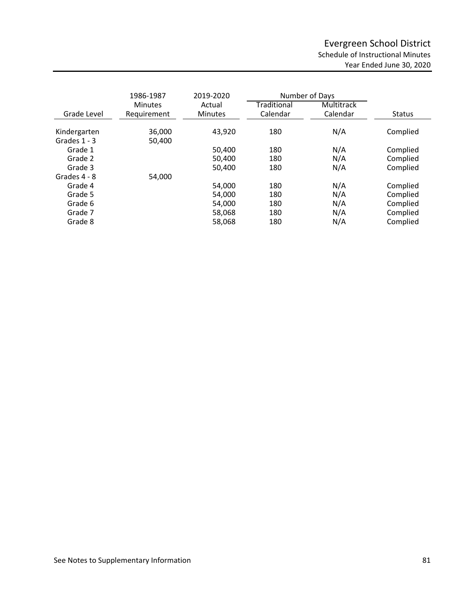|                           | 1986-1987<br>2019-2020 |                | Number of Days |            |               |
|---------------------------|------------------------|----------------|----------------|------------|---------------|
|                           | <b>Minutes</b>         | Actual         | Traditional    | Multitrack |               |
| Grade Level               | Requirement            | <b>Minutes</b> | Calendar       | Calendar   | <b>Status</b> |
| Kindergarten              | 36,000                 | 43,920         | 180            | N/A        | Complied      |
| Grades $1 - 3$<br>Grade 1 | 50.400                 | 50,400         | 180            | N/A        | Complied      |
| Grade 2                   |                        | 50,400         | 180            | N/A        | Complied      |
| Grade 3                   |                        | 50.400         | 180            | N/A        | Complied      |
| Grades 4 - 8              | 54.000                 |                |                |            |               |
| Grade 4                   |                        | 54,000         | 180            | N/A        | Complied      |
| Grade 5                   |                        | 54,000         | 180            | N/A        | Complied      |
| Grade 6                   |                        | 54,000         | 180            | N/A        | Complied      |
| Grade 7                   |                        | 58,068         | 180            | N/A        | Complied      |
| Grade 8                   |                        | 58,068         | 180            | N/A        | Complied      |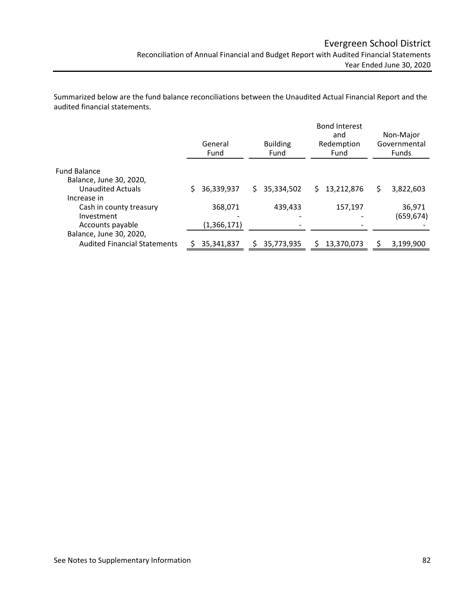Summarized below are the fund balance reconciliations between the Unaudited Actual Financial Report and the audited financial statements.

|                                     |  | General<br>Fund |    | <b>Building</b><br>Fund | <b>Bond Interest</b><br>and<br>Redemption<br>Fund |            |    | Non-Major<br>Governmental<br><b>Funds</b> |
|-------------------------------------|--|-----------------|----|-------------------------|---------------------------------------------------|------------|----|-------------------------------------------|
| <b>Fund Balance</b>                 |  |                 |    |                         |                                                   |            |    |                                           |
| Balance, June 30, 2020,             |  |                 |    |                         |                                                   |            |    |                                           |
| <b>Unaudited Actuals</b>            |  | 36,339,937      | S. | 35,334,502              | S.                                                | 13,212,876 | \$ | 3,822,603                                 |
| Increase in                         |  |                 |    |                         |                                                   |            |    |                                           |
| Cash in county treasury             |  | 368,071         |    | 439,433                 |                                                   | 157,197    |    | 36,971                                    |
| Investment                          |  |                 |    |                         |                                                   |            |    | (659,674)                                 |
| Accounts payable                    |  | (1,366,171)     |    |                         |                                                   |            |    |                                           |
| Balance, June 30, 2020,             |  |                 |    |                         |                                                   |            |    |                                           |
| <b>Audited Financial Statements</b> |  | 35,341,837      |    | 35,773,935              |                                                   | 13,370,073 |    | 3,199,900                                 |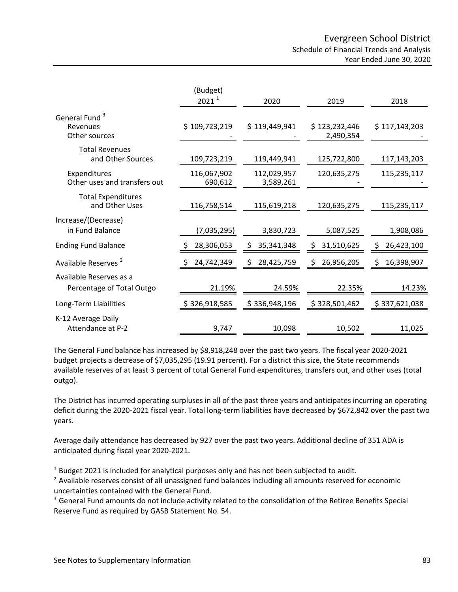|                                                        | (Budget)<br>$2021^1$   | 2020                     | 2019                       | 2018             |
|--------------------------------------------------------|------------------------|--------------------------|----------------------------|------------------|
| General Fund <sup>3</sup><br>Revenues<br>Other sources | \$109,723,219          | \$119,449,941            | \$123,232,446<br>2,490,354 | \$117,143,203    |
| <b>Total Revenues</b><br>and Other Sources             | 109,723,219            | 119,449,941              | 125,722,800                | 117,143,203      |
| Expenditures<br>Other uses and transfers out           | 116,067,902<br>690,612 | 112,029,957<br>3,589,261 | 120,635,275                | 115,235,117      |
| <b>Total Expenditures</b><br>and Other Uses            | 116,758,514            | 115,619,218              | 120,635,275                | 115,235,117      |
| Increase/(Decrease)<br>in Fund Balance                 | (7,035,295)            | 3,830,723                | 5,087,525                  | 1,908,086        |
| <b>Ending Fund Balance</b>                             | 28,306,053<br>S        | \$<br>35,341,348         | 31,510,625<br>\$           | \$<br>26,423,100 |
| Available Reserves <sup>2</sup>                        | 24,742,349             | 28,425,759<br>\$         | 26,956,205<br>\$           | 16,398,907<br>\$ |
| Available Reserves as a<br>Percentage of Total Outgo   | 21.19%                 | 24.59%                   | 22.35%                     | 14.23%           |
| Long-Term Liabilities                                  | \$326,918,585          | \$336,948,196            | \$ 328,501,462             | \$337,621,038    |
| K-12 Average Daily<br>Attendance at P-2                | 9,747                  | 10,098                   | 10,502                     | 11,025           |

The General Fund balance has increased by \$8,918,248 over the past two years. The fiscal year 2020‐2021 budget projects a decrease of \$7,035,295 (19.91 percent). For a district this size, the State recommends available reserves of at least 3 percent of total General Fund expenditures, transfers out, and other uses (total outgo).

The District has incurred operating surpluses in all of the past three years and anticipates incurring an operating deficit during the 2020‐2021 fiscal year. Total long‐term liabilities have decreased by \$672,842 over the past two years.

Average daily attendance has decreased by 927 over the past two years. Additional decline of 351 ADA is anticipated during fiscal year 2020‐2021.

 $1$  Budget 2021 is included for analytical purposes only and has not been subjected to audit.

<sup>2</sup> Available reserves consist of all unassigned fund balances including all amounts reserved for economic uncertainties contained with the General Fund.

<sup>3</sup> General Fund amounts do not include activity related to the consolidation of the Retiree Benefits Special Reserve Fund as required by GASB Statement No. 54.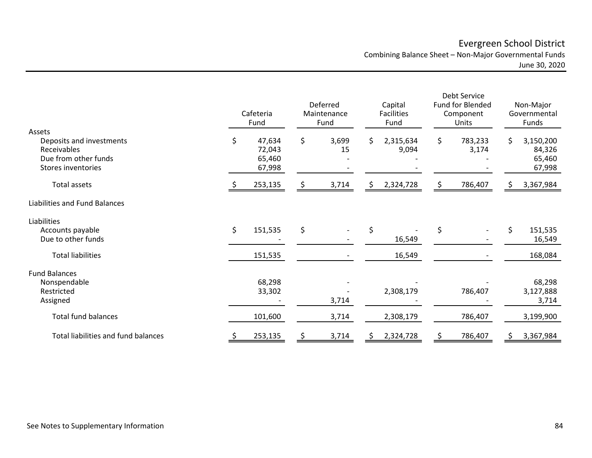## Evergreen School District Combining Balance Sheet – Non‐Major Governmental Funds

June 30, 2020

|                                                                                                 | Cafeteria<br>Fund                          |     | Deferred<br>Maintenance<br>Fund |               | Capital<br><b>Facilities</b><br>Fund |               | Debt Service<br>Fund for Blended<br>Component<br>Units |    | Non-Major<br>Governmental<br>Funds      |
|-------------------------------------------------------------------------------------------------|--------------------------------------------|-----|---------------------------------|---------------|--------------------------------------|---------------|--------------------------------------------------------|----|-----------------------------------------|
| Assets<br>Deposits and investments<br>Receivables<br>Due from other funds<br>Stores inventories | \$<br>47,634<br>72,043<br>65,460<br>67,998 | \$  | 3,699<br>15                     | \$.           | 2,315,634<br>9,094                   | \$            | 783,233<br>3,174                                       | S. | 3,150,200<br>84,326<br>65,460<br>67,998 |
| Total assets                                                                                    | 253,135                                    | \$, | 3,714                           | $\frac{5}{2}$ | 2,324,728                            | $\frac{1}{2}$ | 786,407                                                | \$ | 3,367,984                               |
| Liabilities and Fund Balances                                                                   |                                            |     |                                 |               |                                      |               |                                                        |    |                                         |
| Liabilities<br>Accounts payable<br>Due to other funds                                           | \$<br>151,535                              | \$  |                                 | \$            | 16,549                               | \$            |                                                        | \$ | 151,535<br>16,549                       |
| <b>Total liabilities</b>                                                                        | 151,535                                    |     |                                 |               | 16,549                               |               |                                                        |    | 168,084                                 |
| <b>Fund Balances</b><br>Nonspendable<br>Restricted<br>Assigned                                  | 68,298<br>33,302                           |     | 3,714                           |               | 2,308,179                            |               | 786,407                                                |    | 68,298<br>3,127,888<br>3,714            |
| <b>Total fund balances</b>                                                                      | 101,600                                    |     | 3,714                           |               | 2,308,179                            |               | 786,407                                                |    | 3,199,900                               |
| Total liabilities and fund balances                                                             | 253,135                                    |     | 3,714                           |               | 2,324,728                            |               | 786,407                                                |    | 3,367,984                               |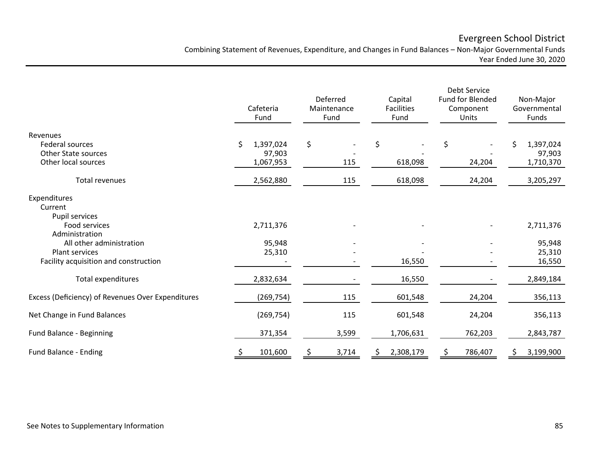## Evergreen School District

Combining Statement of Revenues, Expenditure, and Changes in Fund Balances – Non‐Major Governmental Funds Year Ended June 30, 2020

|                                                   | Cafeteria<br>Fund | Deferred<br>Maintenance<br>Fund | Capital<br><b>Facilities</b><br>Fund | <b>Debt Service</b><br>Fund for Blended<br>Component<br>Units | Non-Major<br>Governmental<br>Funds |
|---------------------------------------------------|-------------------|---------------------------------|--------------------------------------|---------------------------------------------------------------|------------------------------------|
| Revenues                                          |                   |                                 |                                      |                                                               |                                    |
| Federal sources                                   | \$<br>1,397,024   | \$                              | \$                                   | \$                                                            | \$<br>1,397,024                    |
| <b>Other State sources</b>                        | 97,903            |                                 |                                      |                                                               | 97,903                             |
| Other local sources                               | 1,067,953         | 115                             | 618,098                              | 24,204                                                        | 1,710,370                          |
| <b>Total revenues</b>                             | 2,562,880         | 115                             | 618,098                              | 24,204                                                        | 3,205,297                          |
| Expenditures                                      |                   |                                 |                                      |                                                               |                                    |
| Current                                           |                   |                                 |                                      |                                                               |                                    |
| Pupil services                                    |                   |                                 |                                      |                                                               |                                    |
| Food services                                     | 2,711,376         |                                 |                                      |                                                               | 2,711,376                          |
| Administration                                    |                   |                                 |                                      |                                                               |                                    |
| All other administration                          | 95,948            |                                 |                                      |                                                               | 95,948                             |
| Plant services                                    | 25,310            |                                 |                                      |                                                               | 25,310                             |
| Facility acquisition and construction             |                   |                                 | 16,550                               | $\overline{\phantom{a}}$                                      | 16,550                             |
| Total expenditures                                | 2,832,634         |                                 | 16,550                               |                                                               | 2,849,184                          |
| Excess (Deficiency) of Revenues Over Expenditures | (269, 754)        | 115                             | 601,548                              | 24,204                                                        | 356,113                            |
| Net Change in Fund Balances                       | (269, 754)        | 115                             | 601,548                              | 24,204                                                        | 356,113                            |
| Fund Balance - Beginning                          | 371,354           | 3,599                           | 1,706,631                            | 762,203                                                       | 2,843,787                          |
| Fund Balance - Ending                             | 101,600<br>-Ş     | 3,714<br>\$                     | 2,308,179<br>\$.                     | 786,407<br>\$                                                 | 3,199,900<br>S.                    |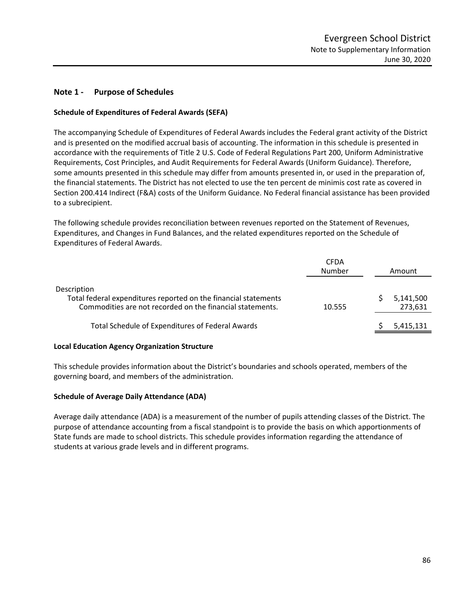## **Note 1 ‐ Purpose of Schedules**

## **Schedule of Expenditures of Federal Awards (SEFA)**

The accompanying Schedule of Expenditures of Federal Awards includes the Federal grant activity of the District and is presented on the modified accrual basis of accounting. The information in this schedule is presented in accordance with the requirements of Title 2 U.S. Code of Federal Regulations Part 200, Uniform Administrative Requirements, Cost Principles, and Audit Requirements for Federal Awards (Uniform Guidance). Therefore, some amounts presented in this schedule may differ from amounts presented in, or used in the preparation of, the financial statements. The District has not elected to use the ten percent de minimis cost rate as covered in Section 200.414 Indirect (F&A) costs of the Uniform Guidance. No Federal financial assistance has been provided to a subrecipient.

The following schedule provides reconciliation between revenues reported on the Statement of Revenues, Expenditures, and Changes in Fund Balances, and the related expenditures reported on the Schedule of Expenditures of Federal Awards.

|                                                                                                                                             | <b>CFDA</b><br>Number | Amount               |
|---------------------------------------------------------------------------------------------------------------------------------------------|-----------------------|----------------------|
| Description<br>Total federal expenditures reported on the financial statements<br>Commodities are not recorded on the financial statements. | 10.555                | 5,141,500<br>273,631 |
| Total Schedule of Expenditures of Federal Awards                                                                                            |                       | 5,415,131            |

## **Local Education Agency Organization Structure**

This schedule provides information about the District's boundaries and schools operated, members of the governing board, and members of the administration.

## **Schedule of Average Daily Attendance (ADA)**

Average daily attendance (ADA) is a measurement of the number of pupils attending classes of the District. The purpose of attendance accounting from a fiscal standpoint is to provide the basis on which apportionments of State funds are made to school districts. This schedule provides information regarding the attendance of students at various grade levels and in different programs.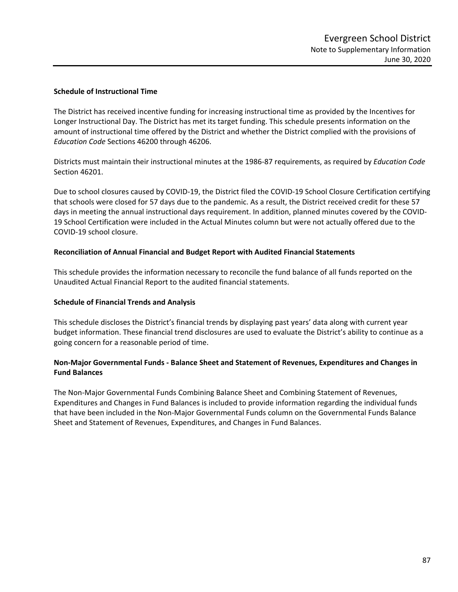## **Schedule of Instructional Time**

The District has received incentive funding for increasing instructional time as provided by the Incentives for Longer Instructional Day. The District has met its target funding. This schedule presents information on the amount of instructional time offered by the District and whether the District complied with the provisions of *Education Code* Sections 46200 through 46206.

Districts must maintain their instructional minutes at the 1986‐87 requirements, as required by *Education Code* Section 46201.

Due to school closures caused by COVID‐19, the District filed the COVID‐19 School Closure Certification certifying that schools were closed for 57 days due to the pandemic. As a result, the District received credit for these 57 days in meeting the annual instructional days requirement. In addition, planned minutes covered by the COVID‐ 19 School Certification were included in the Actual Minutes column but were not actually offered due to the COVID‐19 school closure.

## **Reconciliation of Annual Financial and Budget Report with Audited Financial Statements**

This schedule provides the information necessary to reconcile the fund balance of all funds reported on the Unaudited Actual Financial Report to the audited financial statements.

## **Schedule of Financial Trends and Analysis**

This schedule discloses the District's financial trends by displaying past years' data along with current year budget information. These financial trend disclosures are used to evaluate the District's ability to continue as a going concern for a reasonable period of time.

## **Non‐Major Governmental Funds ‐ Balance Sheet and Statement of Revenues, Expenditures and Changes in Fund Balances**

The Non‐Major Governmental Funds Combining Balance Sheet and Combining Statement of Revenues, Expenditures and Changes in Fund Balances is included to provide information regarding the individual funds that have been included in the Non‐Major Governmental Funds column on the Governmental Funds Balance Sheet and Statement of Revenues, Expenditures, and Changes in Fund Balances.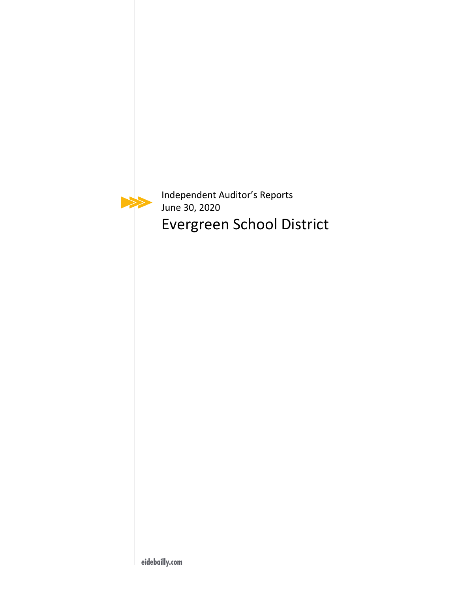

Independent Auditor's Reports June 30, 2020 Evergreen School District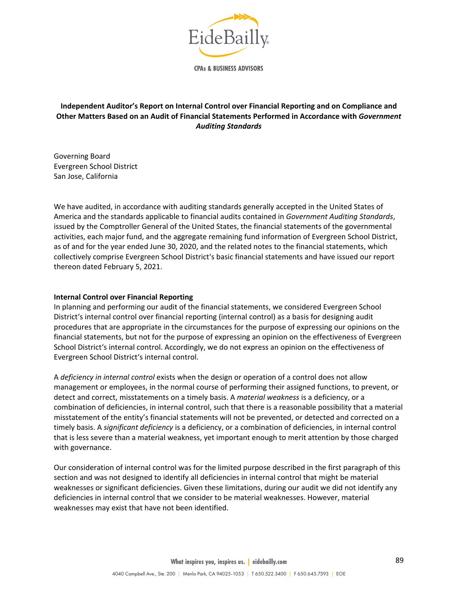

**CPAs & BUSINESS ADVISORS** 

## **Independent Auditor's Report on Internal Control over Financial Reporting and on Compliance and Other Matters Based on an Audit of Financial Statements Performed in Accordance with** *Government Auditing Standards*

Governing Board Evergreen School District San Jose, California

We have audited, in accordance with auditing standards generally accepted in the United States of America and the standards applicable to financial audits contained in *Government Auditing Standards*, issued by the Comptroller General of the United States, the financial statements of the governmental activities, each major fund, and the aggregate remaining fund information of Evergreen School District, as of and for the year ended June 30, 2020, and the related notes to the financial statements, which collectively comprise Evergreen School District's basic financial statements and have issued our report thereon dated February 5, 2021.

#### **Internal Control over Financial Reporting**

In planning and performing our audit of the financial statements, we considered Evergreen School District's internal control over financial reporting (internal control) as a basis for designing audit procedures that are appropriate in the circumstances for the purpose of expressing our opinions on the financial statements, but not for the purpose of expressing an opinion on the effectiveness of Evergreen School District's internal control. Accordingly, we do not express an opinion on the effectiveness of Evergreen School District's internal control.

A *deficiency in internal control* exists when the design or operation of a control does not allow management or employees, in the normal course of performing their assigned functions, to prevent, or detect and correct, misstatements on a timely basis. A *material weakness* is a deficiency, or a combination of deficiencies, in internal control, such that there is a reasonable possibility that a material misstatement of the entity's financial statements will not be prevented, or detected and corrected on a timely basis. A *significant deficiency* is a deficiency, or a combination of deficiencies, in internal control that is less severe than a material weakness, yet important enough to merit attention by those charged with governance.

Our consideration of internal control was for the limited purpose described in the first paragraph of this section and was not designed to identify all deficiencies in internal control that might be material weaknesses or significant deficiencies. Given these limitations, during our audit we did not identify any deficiencies in internal control that we consider to be material weaknesses. However, material weaknesses may exist that have not been identified.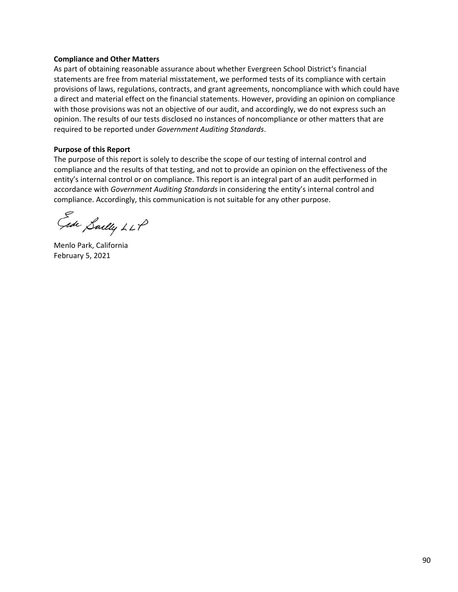## **Compliance and Other Matters**

As part of obtaining reasonable assurance about whether Evergreen School District's financial statements are free from material misstatement, we performed tests of its compliance with certain provisions of laws, regulations, contracts, and grant agreements, noncompliance with which could have a direct and material effect on the financial statements. However, providing an opinion on compliance with those provisions was not an objective of our audit, and accordingly, we do not express such an opinion. The results of our tests disclosed no instances of noncompliance or other matters that are required to be reported under *Government Auditing Standards*.

## **Purpose of this Report**

The purpose of this report is solely to describe the scope of our testing of internal control and compliance and the results of that testing, and not to provide an opinion on the effectiveness of the entity's internal control or on compliance. This report is an integral part of an audit performed in accordance with *Government Auditing Standards* in considering the entity's internal control and compliance. Accordingly, this communication is not suitable for any other purpose.

Each Sailly LLP

Menlo Park, California February 5, 2021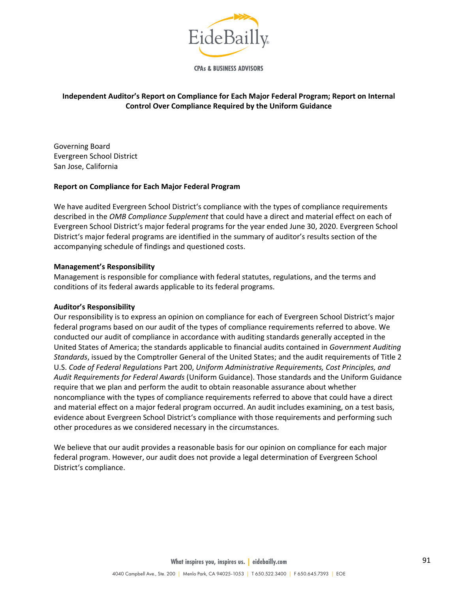

**CPAs & BUSINESS ADVISORS** 

## **Independent Auditor's Report on Compliance for Each Major Federal Program; Report on Internal Control Over Compliance Required by the Uniform Guidance**

Governing Board Evergreen School District San Jose, California

#### **Report on Compliance for Each Major Federal Program**

We have audited Evergreen School District's compliance with the types of compliance requirements described in the *OMB Compliance Supplement* that could have a direct and material effect on each of Evergreen School District's major federal programs for the year ended June 30, 2020. Evergreen School District's major federal programs are identified in the summary of auditor's results section of the accompanying schedule of findings and questioned costs.

#### **Management's Responsibility**

Management is responsible for compliance with federal statutes, regulations, and the terms and conditions of its federal awards applicable to its federal programs.

#### **Auditor's Responsibility**

Our responsibility is to express an opinion on compliance for each of Evergreen School District's major federal programs based on our audit of the types of compliance requirements referred to above. We conducted our audit of compliance in accordance with auditing standards generally accepted in the United States of America; the standards applicable to financial audits contained in *Government Auditing Standards*, issued by the Comptroller General of the United States; and the audit requirements of Title 2 U.S. *Code of Federal Regulations* Part 200, *Uniform Administrative Requirements, Cost Principles, and Audit Requirements for Federal Awards* (Uniform Guidance). Those standards and the Uniform Guidance require that we plan and perform the audit to obtain reasonable assurance about whether noncompliance with the types of compliance requirements referred to above that could have a direct and material effect on a major federal program occurred. An audit includes examining, on a test basis, evidence about Evergreen School District's compliance with those requirements and performing such other procedures as we considered necessary in the circumstances.

We believe that our audit provides a reasonable basis for our opinion on compliance for each major federal program. However, our audit does not provide a legal determination of Evergreen School District's compliance.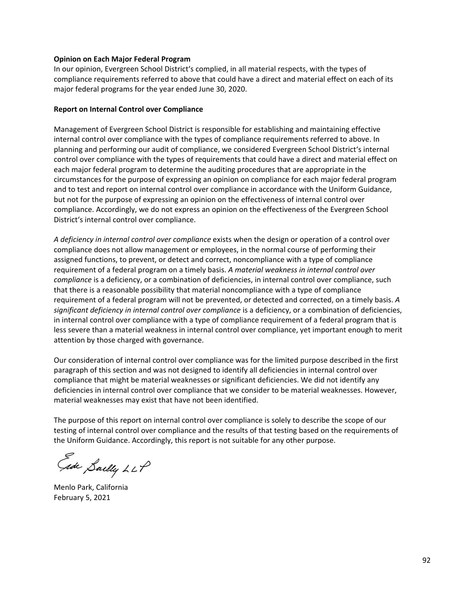#### **Opinion on Each Major Federal Program**

In our opinion, Evergreen School District's complied, in all material respects, with the types of compliance requirements referred to above that could have a direct and material effect on each of its major federal programs for the year ended June 30, 2020.

#### **Report on Internal Control over Compliance**

Management of Evergreen School District is responsible for establishing and maintaining effective internal control over compliance with the types of compliance requirements referred to above. In planning and performing our audit of compliance, we considered Evergreen School District's internal control over compliance with the types of requirements that could have a direct and material effect on each major federal program to determine the auditing procedures that are appropriate in the circumstances for the purpose of expressing an opinion on compliance for each major federal program and to test and report on internal control over compliance in accordance with the Uniform Guidance, but not for the purpose of expressing an opinion on the effectiveness of internal control over compliance. Accordingly, we do not express an opinion on the effectiveness of the Evergreen School District's internal control over compliance.

*A deficiency in internal control over compliance* exists when the design or operation of a control over compliance does not allow management or employees, in the normal course of performing their assigned functions, to prevent, or detect and correct, noncompliance with a type of compliance requirement of a federal program on a timely basis. *A material weakness in internal control over compliance* is a deficiency, or a combination of deficiencies, in internal control over compliance, such that there is a reasonable possibility that material noncompliance with a type of compliance requirement of a federal program will not be prevented, or detected and corrected, on a timely basis. *A significant deficiency in internal control over compliance* is a deficiency, or a combination of deficiencies, in internal control over compliance with a type of compliance requirement of a federal program that is less severe than a material weakness in internal control over compliance, yet important enough to merit attention by those charged with governance.

Our consideration of internal control over compliance was for the limited purpose described in the first paragraph of this section and was not designed to identify all deficiencies in internal control over compliance that might be material weaknesses or significant deficiencies. We did not identify any deficiencies in internal control over compliance that we consider to be material weaknesses. However, material weaknesses may exist that have not been identified.

The purpose of this report on internal control over compliance is solely to describe the scope of our testing of internal control over compliance and the results of that testing based on the requirements of the Uniform Guidance. Accordingly, this report is not suitable for any other purpose.

Ede Sailly LLP

Menlo Park, California February 5, 2021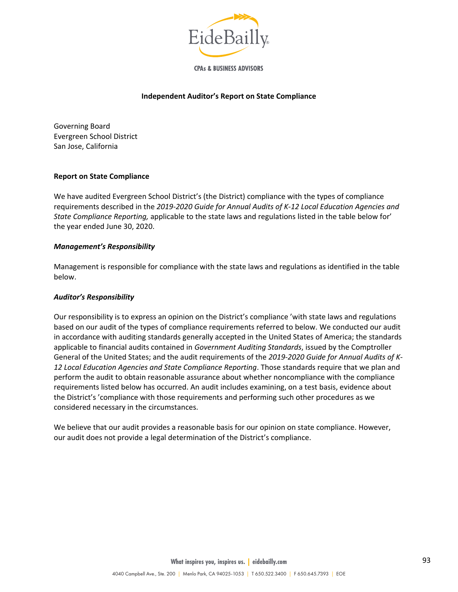

**CPAs & BUSINESS ADVISORS** 

## **Independent Auditor's Report on State Compliance**

Governing Board Evergreen School District San Jose, California

#### **Report on State Compliance**

We have audited Evergreen School District's (the District) compliance with the types of compliance requirements described in the *2019‐2020 Guide for Annual Audits of K‐12 Local Education Agencies and State Compliance Reporting,* applicable to the state laws and regulations listed in the table below for' the year ended June 30, 2020.

#### *Management's Responsibility*

Management is responsible for compliance with the state laws and regulations as identified in the table below.

## *Auditor's Responsibility*

Our responsibility is to express an opinion on the District's compliance 'with state laws and regulations based on our audit of the types of compliance requirements referred to below. We conducted our audit in accordance with auditing standards generally accepted in the United States of America; the standards applicable to financial audits contained in *Government Auditing Standards*, issued by the Comptroller General of the United States; and the audit requirements of the *2019‐2020 Guide for Annual Audits of K‐ 12 Local Education Agencies and State Compliance Reporting*. Those standards require that we plan and perform the audit to obtain reasonable assurance about whether noncompliance with the compliance requirements listed below has occurred. An audit includes examining, on a test basis, evidence about the District's 'compliance with those requirements and performing such other procedures as we considered necessary in the circumstances.

We believe that our audit provides a reasonable basis for our opinion on state compliance. However, our audit does not provide a legal determination of the District's compliance.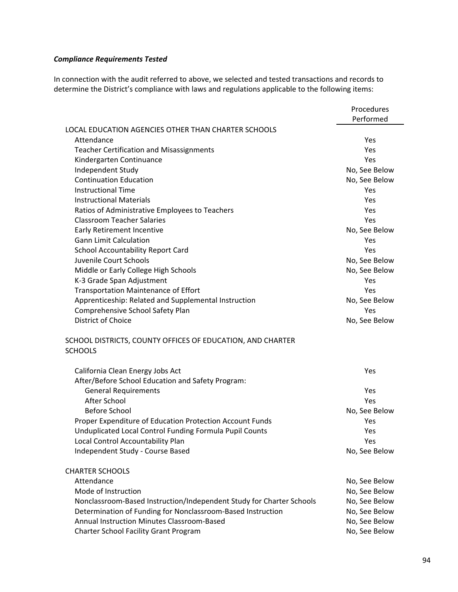## *Compliance Requirements Tested*

In connection with the audit referred to above, we selected and tested transactions and records to determine the District's compliance with laws and regulations applicable to the following items:

|                                                                              | Procedures<br>Performed |
|------------------------------------------------------------------------------|-------------------------|
| LOCAL EDUCATION AGENCIES OTHER THAN CHARTER SCHOOLS                          |                         |
| Attendance                                                                   | Yes                     |
| <b>Teacher Certification and Misassignments</b>                              | Yes                     |
| Kindergarten Continuance                                                     | Yes                     |
| Independent Study                                                            | No, See Below           |
| <b>Continuation Education</b>                                                | No, See Below           |
| <b>Instructional Time</b>                                                    | Yes                     |
| <b>Instructional Materials</b>                                               | Yes                     |
| Ratios of Administrative Employees to Teachers                               | Yes                     |
| <b>Classroom Teacher Salaries</b>                                            | Yes                     |
| Early Retirement Incentive                                                   | No, See Below           |
| <b>Gann Limit Calculation</b>                                                | Yes                     |
| <b>School Accountability Report Card</b>                                     | Yes                     |
| Juvenile Court Schools                                                       | No, See Below           |
| Middle or Early College High Schools                                         | No, See Below           |
| K-3 Grade Span Adjustment                                                    | Yes                     |
| <b>Transportation Maintenance of Effort</b>                                  | Yes                     |
| Apprenticeship: Related and Supplemental Instruction                         | No, See Below           |
| Comprehensive School Safety Plan                                             | Yes                     |
| District of Choice                                                           | No, See Below           |
| SCHOOL DISTRICTS, COUNTY OFFICES OF EDUCATION, AND CHARTER<br><b>SCHOOLS</b> |                         |
| California Clean Energy Jobs Act                                             | Yes                     |
| After/Before School Education and Safety Program:                            |                         |
| <b>General Requirements</b>                                                  | Yes                     |
| After School                                                                 | Yes                     |
| Before School                                                                | No, See Below           |
| Proper Expenditure of Education Protection Account Funds                     | Yes                     |
| Unduplicated Local Control Funding Formula Pupil Counts                      | Yes                     |
| Local Control Accountability Plan                                            | Yes                     |
| Independent Study - Course Based                                             | No, See Below           |
| <b>CHARTER SCHOOLS</b>                                                       |                         |
| Attendance                                                                   | No, See Below           |
| Mode of Instruction                                                          | No, See Below           |
| Nonclassroom-Based Instruction/Independent Study for Charter Schools         | No, See Below           |
| Determination of Funding for Nonclassroom-Based Instruction                  | No, See Below           |
| <b>Annual Instruction Minutes Classroom-Based</b>                            | No, See Below           |
| <b>Charter School Facility Grant Program</b>                                 | No, See Below           |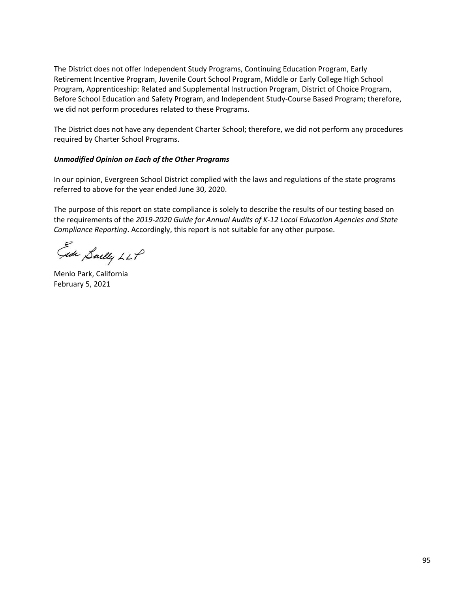The District does not offer Independent Study Programs, Continuing Education Program, Early Retirement Incentive Program, Juvenile Court School Program, Middle or Early College High School Program, Apprenticeship: Related and Supplemental Instruction Program, District of Choice Program, Before School Education and Safety Program, and Independent Study‐Course Based Program; therefore, we did not perform procedures related to these Programs.

The District does not have any dependent Charter School; therefore, we did not perform any procedures required by Charter School Programs.

## *Unmodified Opinion on Each of the Other Programs*

In our opinion, Evergreen School District complied with the laws and regulations of the state programs referred to above for the year ended June 30, 2020.

The purpose of this report on state compliance is solely to describe the results of our testing based on the requirements of the *2019‐2020 Guide for Annual Audits of K‐12 Local Education Agencies and State Compliance Reporting*. Accordingly, this report is not suitable for any other purpose.

Ede Sailly LLP

Menlo Park, California February 5, 2021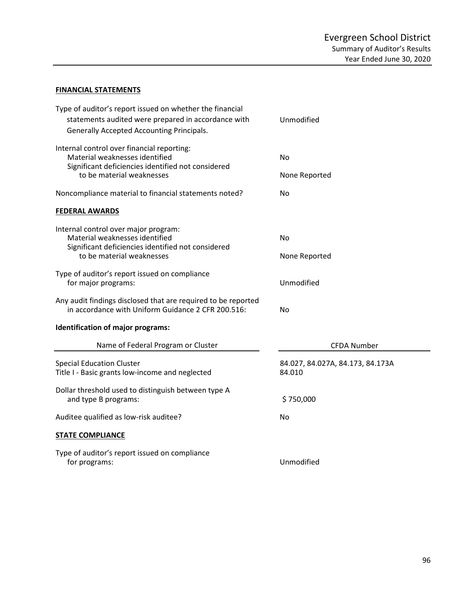## **FINANCIAL STATEMENTS**

| Type of auditor's report issued on whether the financial<br>statements audited were prepared in accordance with<br><b>Generally Accepted Accounting Principals.</b> | Unmodified                                 |  |  |
|---------------------------------------------------------------------------------------------------------------------------------------------------------------------|--------------------------------------------|--|--|
| Internal control over financial reporting:<br>Material weaknesses identified<br>Significant deficiencies identified not considered                                  | No                                         |  |  |
| to be material weaknesses                                                                                                                                           | None Reported                              |  |  |
| Noncompliance material to financial statements noted?                                                                                                               | No                                         |  |  |
| <b>FEDERAL AWARDS</b>                                                                                                                                               |                                            |  |  |
| Internal control over major program:<br>Material weaknesses identified<br>Significant deficiencies identified not considered                                        | <b>No</b>                                  |  |  |
| to be material weaknesses                                                                                                                                           | None Reported                              |  |  |
| Type of auditor's report issued on compliance<br>for major programs:                                                                                                | Unmodified                                 |  |  |
| Any audit findings disclosed that are required to be reported<br>in accordance with Uniform Guidance 2 CFR 200.516:                                                 | <b>No</b>                                  |  |  |
| Identification of major programs:                                                                                                                                   |                                            |  |  |
| Name of Federal Program or Cluster                                                                                                                                  | <b>CFDA Number</b>                         |  |  |
| <b>Special Education Cluster</b><br>Title I - Basic grants low-income and neglected                                                                                 | 84.027, 84.027A, 84.173, 84.173A<br>84.010 |  |  |
| Dollar threshold used to distinguish between type A<br>and type B programs:                                                                                         | \$750,000                                  |  |  |
| Auditee qualified as low-risk auditee?                                                                                                                              | No                                         |  |  |
| <b>STATE COMPLIANCE</b>                                                                                                                                             |                                            |  |  |
| Type of auditor's report issued on compliance<br>for programs:                                                                                                      | Unmodified                                 |  |  |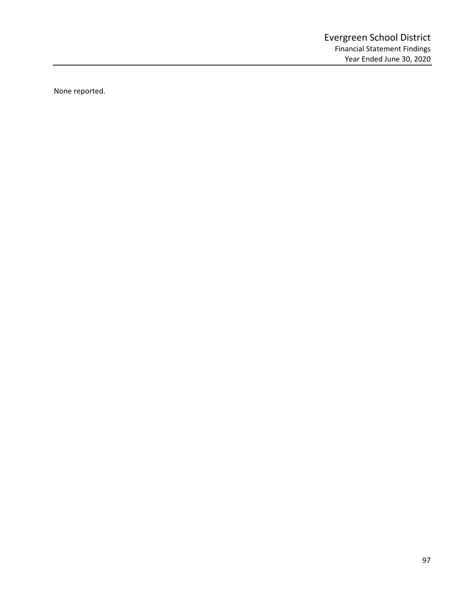None reported.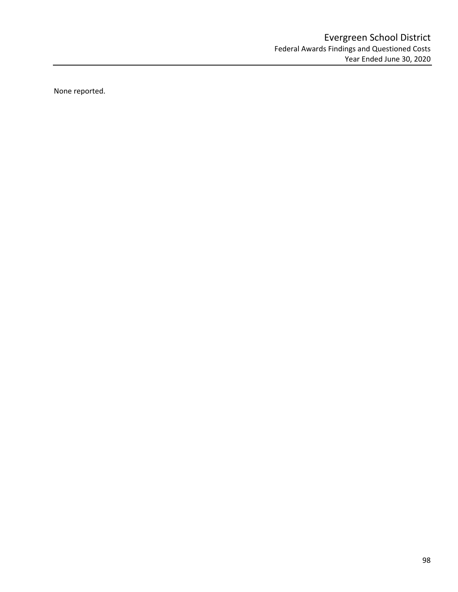None reported.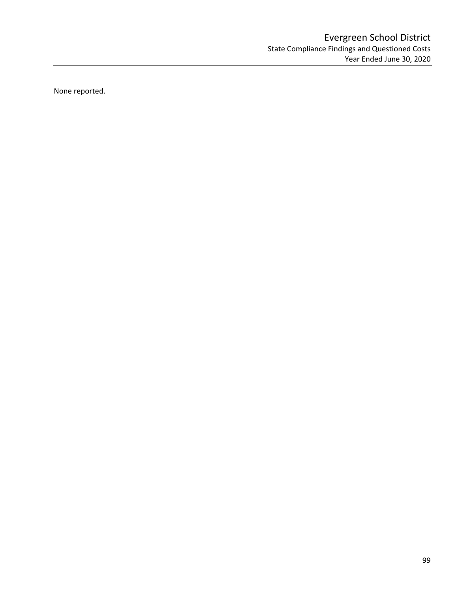None reported.